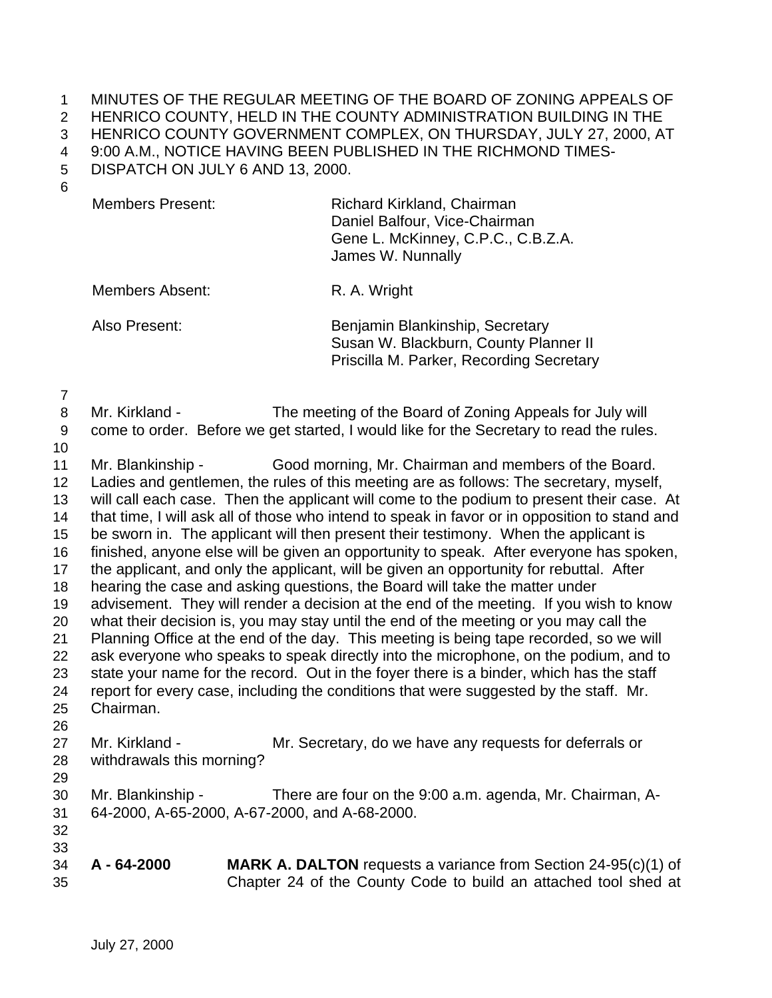MINUTES OF THE REGULAR MEETING OF THE BOARD OF ZONING APPEALS OF HENRICO COUNTY, HELD IN THE COUNTY ADMINISTRATION BUILDING IN THE

HENRICO COUNTY GOVERNMENT COMPLEX, ON THURSDAY, JULY 27, 2000, AT

9:00 A.M., NOTICE HAVING BEEN PUBLISHED IN THE RICHMOND TIMES-

DISPATCH ON JULY 6 AND 13, 2000.

| Members Present: | Richard Kirkland, Chairman<br>Daniel Balfour, Vice-Chairman<br>Gene L. McKinney, C.P.C., C.B.Z.A.<br>James W. Nunnally |
|------------------|------------------------------------------------------------------------------------------------------------------------|
|                  |                                                                                                                        |

Members Absent: R. A. Wright

Also Present: Benjamin Blankinship, Secretary Susan W. Blackburn, County Planner II Priscilla M. Parker, Recording Secretary

Mr. Kirkland - The meeting of the Board of Zoning Appeals for July will

come to order. Before we get started, I would like for the Secretary to read the rules.

 Mr. Blankinship - Good morning, Mr. Chairman and members of the Board. Ladies and gentlemen, the rules of this meeting are as follows: The secretary, myself, will call each case. Then the applicant will come to the podium to present their case. At that time, I will ask all of those who intend to speak in favor or in opposition to stand and be sworn in. The applicant will then present their testimony. When the applicant is finished, anyone else will be given an opportunity to speak. After everyone has spoken, the applicant, and only the applicant, will be given an opportunity for rebuttal. After hearing the case and asking questions, the Board will take the matter under advisement. They will render a decision at the end of the meeting. If you wish to know what their decision is, you may stay until the end of the meeting or you may call the Planning Office at the end of the day. This meeting is being tape recorded, so we will ask everyone who speaks to speak directly into the microphone, on the podium, and to state your name for the record. Out in the foyer there is a binder, which has the staff report for every case, including the conditions that were suggested by the staff. Mr. Chairman. 27 Mr. Kirkland - Mr. Secretary, do we have any requests for deferrals or withdrawals this morning? Mr. Blankinship - There are four on the 9:00 a.m. agenda, Mr. Chairman, A- 64-2000, A-65-2000, A-67-2000, and A-68-2000. **A - 64-2000 MARK A. DALTON** requests a variance from Section 24-95(c)(1) of

Chapter 24 of the County Code to build an attached tool shed at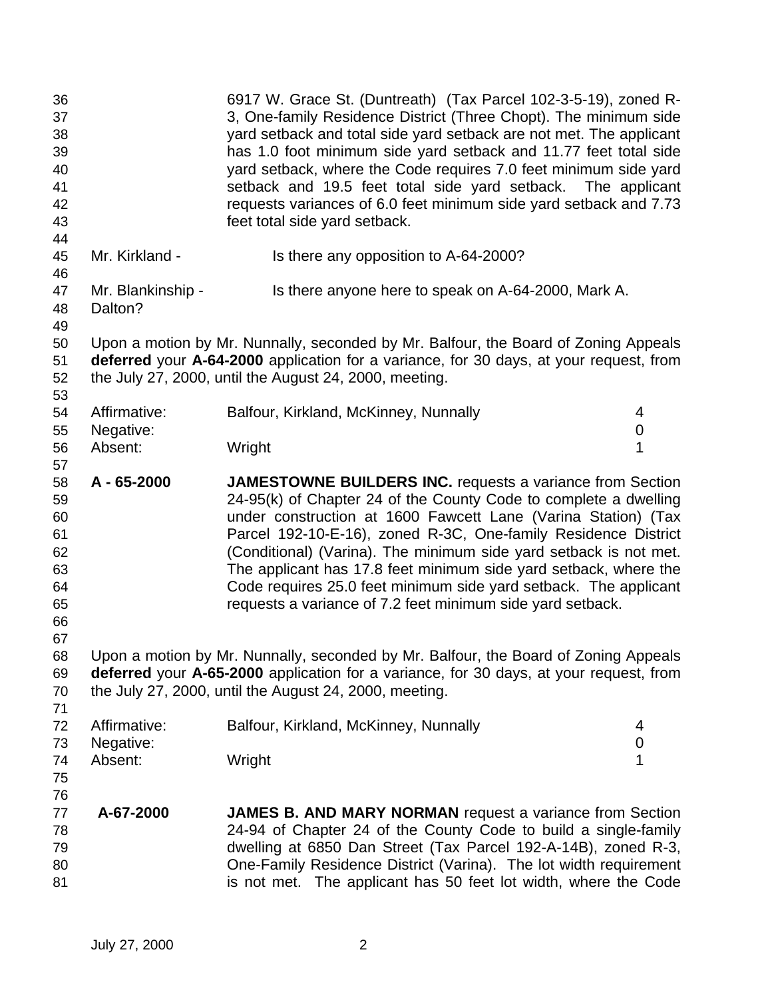| 36<br>37<br>38<br>39<br>40<br>41<br>42<br>43             |                              | 6917 W. Grace St. (Duntreath) (Tax Parcel 102-3-5-19), zoned R-<br>3, One-family Residence District (Three Chopt). The minimum side<br>yard setback and total side yard setback are not met. The applicant<br>has 1.0 foot minimum side yard setback and 11.77 feet total side<br>yard setback, where the Code requires 7.0 feet minimum side yard<br>setback and 19.5 feet total side yard setback. The applicant<br>requests variances of 6.0 feet minimum side yard setback and 7.73<br>feet total side yard setback.                           |                  |
|----------------------------------------------------------|------------------------------|----------------------------------------------------------------------------------------------------------------------------------------------------------------------------------------------------------------------------------------------------------------------------------------------------------------------------------------------------------------------------------------------------------------------------------------------------------------------------------------------------------------------------------------------------|------------------|
| 44<br>45<br>46                                           | Mr. Kirkland -               | Is there any opposition to A-64-2000?                                                                                                                                                                                                                                                                                                                                                                                                                                                                                                              |                  |
| 47<br>48<br>49                                           | Mr. Blankinship -<br>Dalton? | Is there anyone here to speak on A-64-2000, Mark A.                                                                                                                                                                                                                                                                                                                                                                                                                                                                                                |                  |
| 50<br>51<br>52<br>53                                     |                              | Upon a motion by Mr. Nunnally, seconded by Mr. Balfour, the Board of Zoning Appeals<br>deferred your A-64-2000 application for a variance, for 30 days, at your request, from<br>the July 27, 2000, until the August 24, 2000, meeting.                                                                                                                                                                                                                                                                                                            |                  |
| 54                                                       | Affirmative:                 | Balfour, Kirkland, McKinney, Nunnally                                                                                                                                                                                                                                                                                                                                                                                                                                                                                                              | 4                |
| 55                                                       | Negative:                    |                                                                                                                                                                                                                                                                                                                                                                                                                                                                                                                                                    | 0                |
| 56                                                       | Absent:                      | Wright                                                                                                                                                                                                                                                                                                                                                                                                                                                                                                                                             | 1                |
| 57                                                       |                              |                                                                                                                                                                                                                                                                                                                                                                                                                                                                                                                                                    |                  |
| 58<br>59<br>60<br>61<br>62<br>63<br>64<br>65<br>66<br>67 | A - 65-2000                  | <b>JAMESTOWNE BUILDERS INC.</b> requests a variance from Section<br>24-95(k) of Chapter 24 of the County Code to complete a dwelling<br>under construction at 1600 Fawcett Lane (Varina Station) (Tax<br>Parcel 192-10-E-16), zoned R-3C, One-family Residence District<br>(Conditional) (Varina). The minimum side yard setback is not met.<br>The applicant has 17.8 feet minimum side yard setback, where the<br>Code requires 25.0 feet minimum side yard setback. The applicant<br>requests a variance of 7.2 feet minimum side yard setback. |                  |
| 68<br>69<br>70<br>71                                     |                              | Upon a motion by Mr. Nunnally, seconded by Mr. Balfour, the Board of Zoning Appeals<br>deferred your A-65-2000 application for a variance, for 30 days, at your request, from<br>the July 27, 2000, until the August 24, 2000, meeting.                                                                                                                                                                                                                                                                                                            |                  |
| 72                                                       | Affirmative:                 | Balfour, Kirkland, McKinney, Nunnally                                                                                                                                                                                                                                                                                                                                                                                                                                                                                                              | 4                |
| 73                                                       | Negative:                    |                                                                                                                                                                                                                                                                                                                                                                                                                                                                                                                                                    | $\boldsymbol{0}$ |
| 74                                                       | Absent:                      | Wright                                                                                                                                                                                                                                                                                                                                                                                                                                                                                                                                             | 1                |
| 75<br>76                                                 |                              |                                                                                                                                                                                                                                                                                                                                                                                                                                                                                                                                                    |                  |
| 77                                                       | A-67-2000                    | <b>JAMES B. AND MARY NORMAN</b> request a variance from Section                                                                                                                                                                                                                                                                                                                                                                                                                                                                                    |                  |
| 78                                                       |                              | 24-94 of Chapter 24 of the County Code to build a single-family                                                                                                                                                                                                                                                                                                                                                                                                                                                                                    |                  |
| 79                                                       |                              | dwelling at 6850 Dan Street (Tax Parcel 192-A-14B), zoned R-3,                                                                                                                                                                                                                                                                                                                                                                                                                                                                                     |                  |
| 80                                                       |                              | One-Family Residence District (Varina). The lot width requirement                                                                                                                                                                                                                                                                                                                                                                                                                                                                                  |                  |
| 81                                                       |                              | is not met. The applicant has 50 feet lot width, where the Code                                                                                                                                                                                                                                                                                                                                                                                                                                                                                    |                  |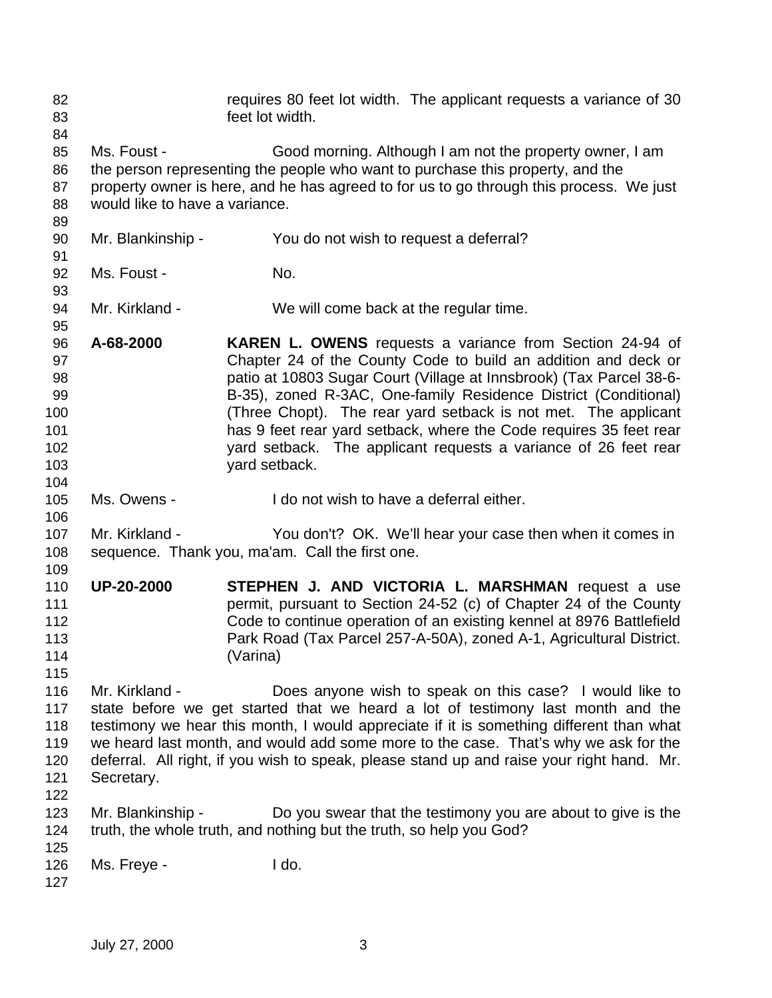| 82<br>83<br>84                                          |                                               | requires 80 feet lot width. The applicant requests a variance of 30<br>feet lot width.                                                                                                                                                                                                                                                                                                                                                                                                                  |
|---------------------------------------------------------|-----------------------------------------------|---------------------------------------------------------------------------------------------------------------------------------------------------------------------------------------------------------------------------------------------------------------------------------------------------------------------------------------------------------------------------------------------------------------------------------------------------------------------------------------------------------|
| 85<br>86<br>87<br>88<br>89                              | Ms. Foust -<br>would like to have a variance. | Good morning. Although I am not the property owner, I am<br>the person representing the people who want to purchase this property, and the<br>property owner is here, and he has agreed to for us to go through this process. We just                                                                                                                                                                                                                                                                   |
| 90<br>91                                                | Mr. Blankinship -                             | You do not wish to request a deferral?                                                                                                                                                                                                                                                                                                                                                                                                                                                                  |
| 92<br>93                                                | Ms. Foust -                                   | No.                                                                                                                                                                                                                                                                                                                                                                                                                                                                                                     |
| 94<br>95                                                | Mr. Kirkland -                                | We will come back at the regular time.                                                                                                                                                                                                                                                                                                                                                                                                                                                                  |
| 96<br>97<br>98<br>99<br>100<br>101<br>102<br>103<br>104 | A-68-2000                                     | <b>KAREN L. OWENS</b> requests a variance from Section 24-94 of<br>Chapter 24 of the County Code to build an addition and deck or<br>patio at 10803 Sugar Court (Village at Innsbrook) (Tax Parcel 38-6-<br>B-35), zoned R-3AC, One-family Residence District (Conditional)<br>(Three Chopt). The rear yard setback is not met. The applicant<br>has 9 feet rear yard setback, where the Code requires 35 feet rear<br>yard setback. The applicant requests a variance of 26 feet rear<br>yard setback. |
| 105<br>106                                              | Ms. Owens -                                   | I do not wish to have a deferral either.                                                                                                                                                                                                                                                                                                                                                                                                                                                                |
| 107<br>108<br>109                                       | Mr. Kirkland -                                | You don't? OK. We'll hear your case then when it comes in<br>sequence. Thank you, ma'am. Call the first one.                                                                                                                                                                                                                                                                                                                                                                                            |
| 110<br>111<br>112<br>113<br>114<br>115                  | <b>UP-20-2000</b>                             | STEPHEN J. AND VICTORIA L. MARSHMAN request a use<br>permit, pursuant to Section 24-52 (c) of Chapter 24 of the County<br>Code to continue operation of an existing kennel at 8976 Battlefield<br>Park Road (Tax Parcel 257-A-50A), zoned A-1, Agricultural District.<br>(Varina)                                                                                                                                                                                                                       |
| 116<br>117<br>118<br>119<br>120<br>121<br>122           | Mr. Kirkland -<br>Secretary.                  | Does anyone wish to speak on this case? I would like to<br>state before we get started that we heard a lot of testimony last month and the<br>testimony we hear this month, I would appreciate if it is something different than what<br>we heard last month, and would add some more to the case. That's why we ask for the<br>deferral. All right, if you wish to speak, please stand up and raise your right hand. Mr.                                                                               |
| 123<br>124                                              | Mr. Blankinship -                             | Do you swear that the testimony you are about to give is the<br>truth, the whole truth, and nothing but the truth, so help you God?                                                                                                                                                                                                                                                                                                                                                                     |
| 125<br>126<br>127                                       | Ms. Freye -                                   | I do.                                                                                                                                                                                                                                                                                                                                                                                                                                                                                                   |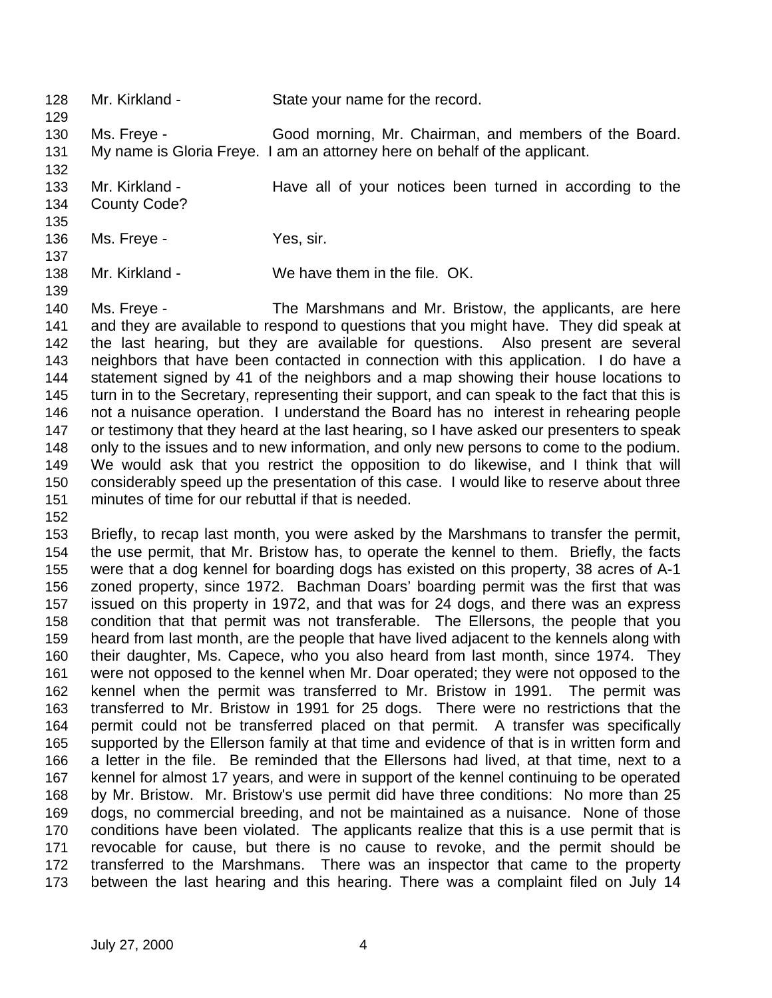| 128<br>129 | Mr. Kirkland - | State your name for the record.                                            |
|------------|----------------|----------------------------------------------------------------------------|
| 130        | Ms. Freye -    | Good morning, Mr. Chairman, and members of the Board.                      |
| 131        |                | My name is Gloria Freye. I am an attorney here on behalf of the applicant. |
| 132        |                |                                                                            |
| 133        | Mr. Kirkland - | Have all of your notices been turned in according to the                   |
| 134        | County Code?   |                                                                            |
| 135        |                |                                                                            |
| 136        | Ms. Freye -    | Yes, sir.                                                                  |
| 137        |                |                                                                            |
| 138        | Mr. Kirkland - | We have them in the file. OK.                                              |
| 139        |                |                                                                            |
| 140        | Ms. Freye -    | The Marshmans and Mr. Bristow, the applicants, are here                    |

 and they are available to respond to questions that you might have. They did speak at the last hearing, but they are available for questions. Also present are several neighbors that have been contacted in connection with this application. I do have a statement signed by 41 of the neighbors and a map showing their house locations to turn in to the Secretary, representing their support, and can speak to the fact that this is not a nuisance operation. I understand the Board has no interest in rehearing people 147 or testimony that they heard at the last hearing, so I have asked our presenters to speak only to the issues and to new information, and only new persons to come to the podium. We would ask that you restrict the opposition to do likewise, and I think that will considerably speed up the presentation of this case. I would like to reserve about three minutes of time for our rebuttal if that is needed.

 Briefly, to recap last month, you were asked by the Marshmans to transfer the permit, the use permit, that Mr. Bristow has, to operate the kennel to them. Briefly, the facts were that a dog kennel for boarding dogs has existed on this property, 38 acres of A-1 zoned property, since 1972. Bachman Doars' boarding permit was the first that was issued on this property in 1972, and that was for 24 dogs, and there was an express condition that that permit was not transferable. The Ellersons, the people that you heard from last month, are the people that have lived adjacent to the kennels along with their daughter, Ms. Capece, who you also heard from last month, since 1974. They were not opposed to the kennel when Mr. Doar operated; they were not opposed to the kennel when the permit was transferred to Mr. Bristow in 1991. The permit was transferred to Mr. Bristow in 1991 for 25 dogs. There were no restrictions that the permit could not be transferred placed on that permit. A transfer was specifically supported by the Ellerson family at that time and evidence of that is in written form and a letter in the file. Be reminded that the Ellersons had lived, at that time, next to a kennel for almost 17 years, and were in support of the kennel continuing to be operated by Mr. Bristow. Mr. Bristow's use permit did have three conditions: No more than 25 dogs, no commercial breeding, and not be maintained as a nuisance. None of those conditions have been violated. The applicants realize that this is a use permit that is revocable for cause, but there is no cause to revoke, and the permit should be transferred to the Marshmans. There was an inspector that came to the property between the last hearing and this hearing. There was a complaint filed on July 14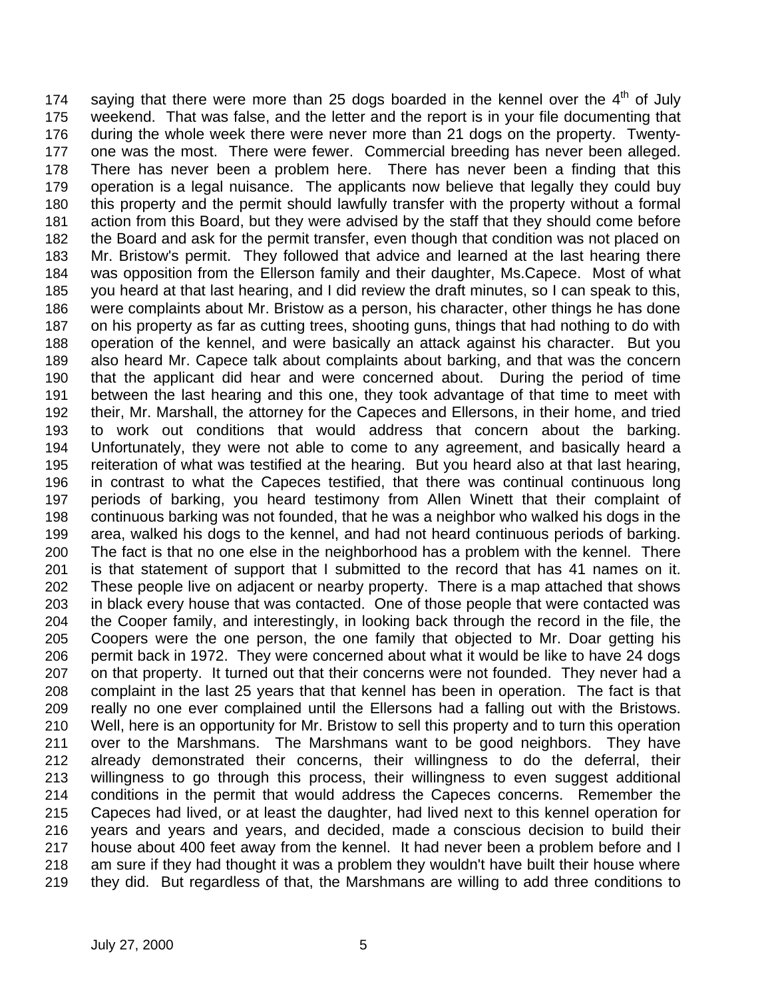174 saying that there were more than 25 dogs boarded in the kennel over the  $4<sup>th</sup>$  of July weekend. That was false, and the letter and the report is in your file documenting that during the whole week there were never more than 21 dogs on the property. Twenty- one was the most. There were fewer. Commercial breeding has never been alleged. There has never been a problem here. There has never been a finding that this operation is a legal nuisance. The applicants now believe that legally they could buy this property and the permit should lawfully transfer with the property without a formal action from this Board, but they were advised by the staff that they should come before the Board and ask for the permit transfer, even though that condition was not placed on Mr. Bristow's permit. They followed that advice and learned at the last hearing there was opposition from the Ellerson family and their daughter, Ms.Capece. Most of what you heard at that last hearing, and I did review the draft minutes, so I can speak to this, were complaints about Mr. Bristow as a person, his character, other things he has done on his property as far as cutting trees, shooting guns, things that had nothing to do with operation of the kennel, and were basically an attack against his character. But you also heard Mr. Capece talk about complaints about barking, and that was the concern that the applicant did hear and were concerned about. During the period of time between the last hearing and this one, they took advantage of that time to meet with their, Mr. Marshall, the attorney for the Capeces and Ellersons, in their home, and tried to work out conditions that would address that concern about the barking. Unfortunately, they were not able to come to any agreement, and basically heard a reiteration of what was testified at the hearing. But you heard also at that last hearing, in contrast to what the Capeces testified, that there was continual continuous long periods of barking, you heard testimony from Allen Winett that their complaint of continuous barking was not founded, that he was a neighbor who walked his dogs in the area, walked his dogs to the kennel, and had not heard continuous periods of barking. The fact is that no one else in the neighborhood has a problem with the kennel. There is that statement of support that I submitted to the record that has 41 names on it. These people live on adjacent or nearby property. There is a map attached that shows in black every house that was contacted. One of those people that were contacted was the Cooper family, and interestingly, in looking back through the record in the file, the Coopers were the one person, the one family that objected to Mr. Doar getting his permit back in 1972. They were concerned about what it would be like to have 24 dogs on that property. It turned out that their concerns were not founded. They never had a complaint in the last 25 years that that kennel has been in operation. The fact is that really no one ever complained until the Ellersons had a falling out with the Bristows. Well, here is an opportunity for Mr. Bristow to sell this property and to turn this operation over to the Marshmans. The Marshmans want to be good neighbors. They have already demonstrated their concerns, their willingness to do the deferral, their willingness to go through this process, their willingness to even suggest additional conditions in the permit that would address the Capeces concerns. Remember the Capeces had lived, or at least the daughter, had lived next to this kennel operation for years and years and years, and decided, made a conscious decision to build their house about 400 feet away from the kennel. It had never been a problem before and I am sure if they had thought it was a problem they wouldn't have built their house where they did. But regardless of that, the Marshmans are willing to add three conditions to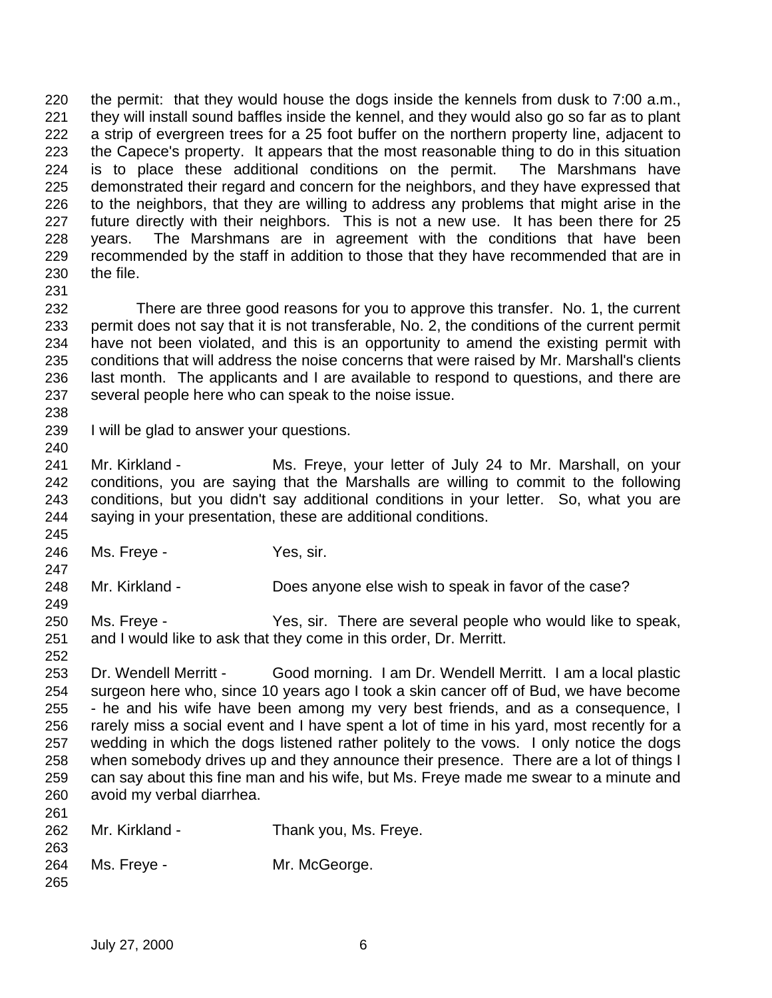the permit: that they would house the dogs inside the kennels from dusk to 7:00 a.m., they will install sound baffles inside the kennel, and they would also go so far as to plant a strip of evergreen trees for a 25 foot buffer on the northern property line, adjacent to the Capece's property. It appears that the most reasonable thing to do in this situation is to place these additional conditions on the permit. The Marshmans have demonstrated their regard and concern for the neighbors, and they have expressed that to the neighbors, that they are willing to address any problems that might arise in the future directly with their neighbors. This is not a new use. It has been there for 25 years. The Marshmans are in agreement with the conditions that have been recommended by the staff in addition to those that they have recommended that are in the file. 

- There are three good reasons for you to approve this transfer. No. 1, the current permit does not say that it is not transferable, No. 2, the conditions of the current permit have not been violated, and this is an opportunity to amend the existing permit with conditions that will address the noise concerns that were raised by Mr. Marshall's clients last month. The applicants and I are available to respond to questions, and there are several people here who can speak to the noise issue.
- 

- I will be glad to answer your questions.
- Mr. Kirkland Ms. Freye, your letter of July 24 to Mr. Marshall, on your conditions, you are saying that the Marshalls are willing to commit to the following conditions, but you didn't say additional conditions in your letter. So, what you are saying in your presentation, these are additional conditions.
- Ms. Freye Yes, sir.
- Mr. Kirkland Does anyone else wish to speak in favor of the case?
- Ms. Freye Yes, sir. There are several people who would like to speak, and I would like to ask that they come in this order, Dr. Merritt.
- Dr. Wendell Merritt - Good morning. I am Dr. Wendell Merritt. I am a local plastic surgeon here who, since 10 years ago I took a skin cancer off of Bud, we have become - he and his wife have been among my very best friends, and as a consequence, I rarely miss a social event and I have spent a lot of time in his yard, most recently for a wedding in which the dogs listened rather politely to the vows. I only notice the dogs when somebody drives up and they announce their presence. There are a lot of things I can say about this fine man and his wife, but Ms. Freye made me swear to a minute and avoid my verbal diarrhea.

| 262 | Mr. Kirkland - | Thank you, Ms. Freye. |
|-----|----------------|-----------------------|
| 263 |                |                       |
| 264 | Ms. Freye -    | Mr. McGeorge.         |
| 265 |                |                       |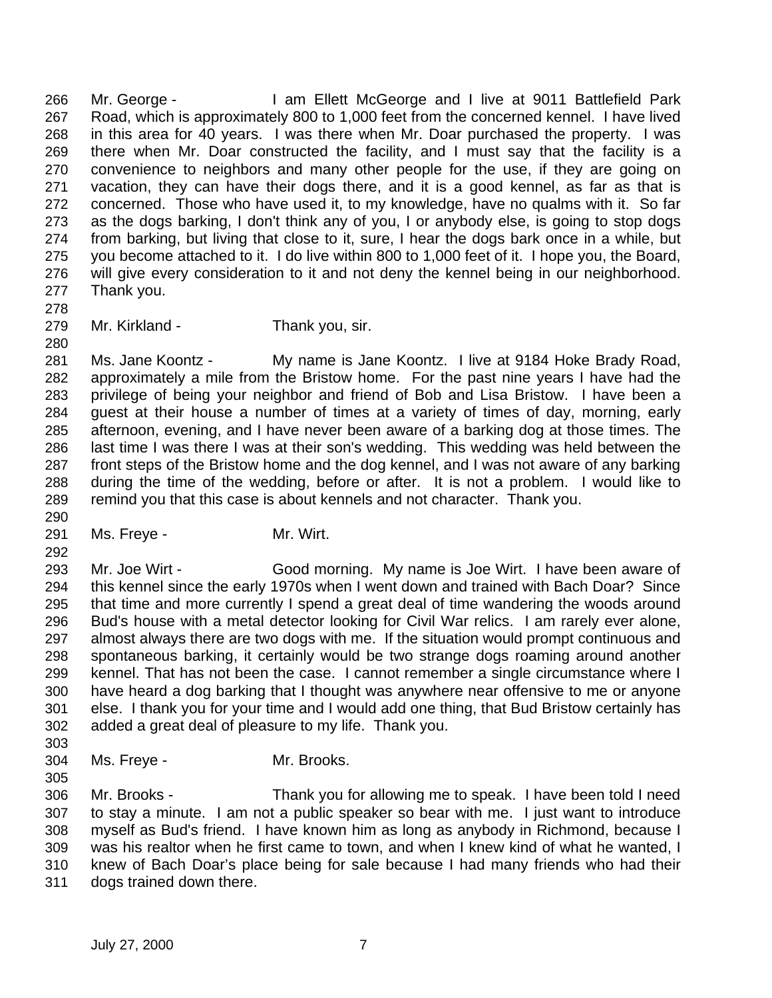Mr. George - I am Ellett McGeorge and I live at 9011 Battlefield Park Road, which is approximately 800 to 1,000 feet from the concerned kennel. I have lived in this area for 40 years. I was there when Mr. Doar purchased the property. I was there when Mr. Doar constructed the facility, and I must say that the facility is a convenience to neighbors and many other people for the use, if they are going on vacation, they can have their dogs there, and it is a good kennel, as far as that is concerned. Those who have used it, to my knowledge, have no qualms with it. So far as the dogs barking, I don't think any of you, I or anybody else, is going to stop dogs from barking, but living that close to it, sure, I hear the dogs bark once in a while, but you become attached to it. I do live within 800 to 1,000 feet of it. I hope you, the Board, will give every consideration to it and not deny the kennel being in our neighborhood. Thank you. 

Mr. Kirkland - Thank you, sir.

 Ms. Jane Koontz - My name is Jane Koontz. I live at 9184 Hoke Brady Road, approximately a mile from the Bristow home. For the past nine years I have had the privilege of being your neighbor and friend of Bob and Lisa Bristow. I have been a guest at their house a number of times at a variety of times of day, morning, early afternoon, evening, and I have never been aware of a barking dog at those times. The last time I was there I was at their son's wedding. This wedding was held between the front steps of the Bristow home and the dog kennel, and I was not aware of any barking during the time of the wedding, before or after. It is not a problem. I would like to remind you that this case is about kennels and not character. Thank you.

291 Ms. Freye - Mr. Wirt.

 Mr. Joe Wirt - Good morning. My name is Joe Wirt. I have been aware of this kennel since the early 1970s when I went down and trained with Bach Doar? Since that time and more currently I spend a great deal of time wandering the woods around Bud's house with a metal detector looking for Civil War relics. I am rarely ever alone, almost always there are two dogs with me. If the situation would prompt continuous and spontaneous barking, it certainly would be two strange dogs roaming around another kennel. That has not been the case. I cannot remember a single circumstance where I have heard a dog barking that I thought was anywhere near offensive to me or anyone else. I thank you for your time and I would add one thing, that Bud Bristow certainly has added a great deal of pleasure to my life. Thank you. 

Ms. Freye - Mr. Brooks.

 Mr. Brooks - Thank you for allowing me to speak. I have been told I need to stay a minute. I am not a public speaker so bear with me. I just want to introduce myself as Bud's friend. I have known him as long as anybody in Richmond, because I was his realtor when he first came to town, and when I knew kind of what he wanted, I knew of Bach Doar's place being for sale because I had many friends who had their dogs trained down there.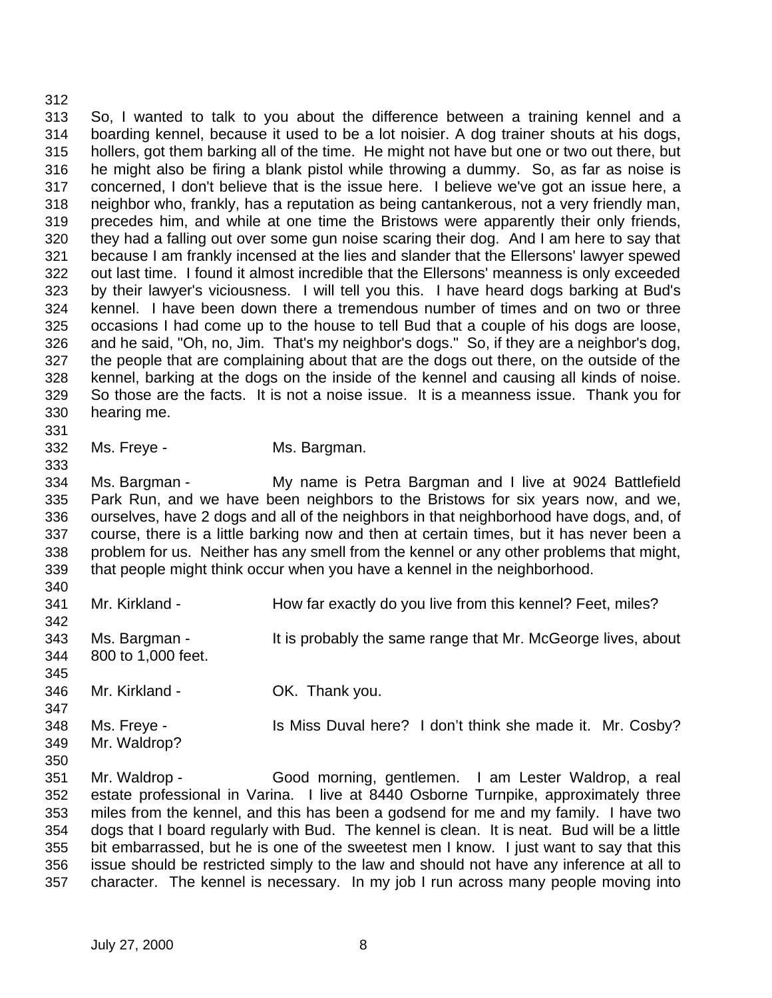So, I wanted to talk to you about the difference between a training kennel and a boarding kennel, because it used to be a lot noisier. A dog trainer shouts at his dogs, hollers, got them barking all of the time. He might not have but one or two out there, but he might also be firing a blank pistol while throwing a dummy. So, as far as noise is concerned, I don't believe that is the issue here. I believe we've got an issue here, a neighbor who, frankly, has a reputation as being cantankerous, not a very friendly man, precedes him, and while at one time the Bristows were apparently their only friends, they had a falling out over some gun noise scaring their dog. And I am here to say that because I am frankly incensed at the lies and slander that the Ellersons' lawyer spewed out last time. I found it almost incredible that the Ellersons' meanness is only exceeded by their lawyer's viciousness. I will tell you this. I have heard dogs barking at Bud's kennel. I have been down there a tremendous number of times and on two or three occasions I had come up to the house to tell Bud that a couple of his dogs are loose, and he said, "Oh, no, Jim. That's my neighbor's dogs." So, if they are a neighbor's dog, the people that are complaining about that are the dogs out there, on the outside of the kennel, barking at the dogs on the inside of the kennel and causing all kinds of noise. So those are the facts. It is not a noise issue. It is a meanness issue. Thank you for hearing me.

- 
- Ms. Freye Ms. Bargman.

 Ms. Bargman - My name is Petra Bargman and I live at 9024 Battlefield Park Run, and we have been neighbors to the Bristows for six years now, and we, ourselves, have 2 dogs and all of the neighbors in that neighborhood have dogs, and, of course, there is a little barking now and then at certain times, but it has never been a problem for us. Neither has any smell from the kennel or any other problems that might, that people might think occur when you have a kennel in the neighborhood.

 341 Mr. Kirkland - How far exactly do you live from this kennel? Feet, miles? Ms. Bargman - It is probably the same range that Mr. McGeorge lives, about 800 to 1,000 feet. Mr. Kirkland - OK. Thank you. 348 Ms. Freye - Is Miss Duval here? I don't think she made it. Mr. Cosby? Mr. Waldrop? Mr. Waldrop - Good morning, gentlemen. I am Lester Waldrop, a real estate professional in Varina. I live at 8440 Osborne Turnpike, approximately three miles from the kennel, and this has been a godsend for me and my family. I have two dogs that I board regularly with Bud. The kennel is clean. It is neat. Bud will be a little bit embarrassed, but he is one of the sweetest men I know. I just want to say that this

 issue should be restricted simply to the law and should not have any inference at all to character. The kennel is necessary. In my job I run across many people moving into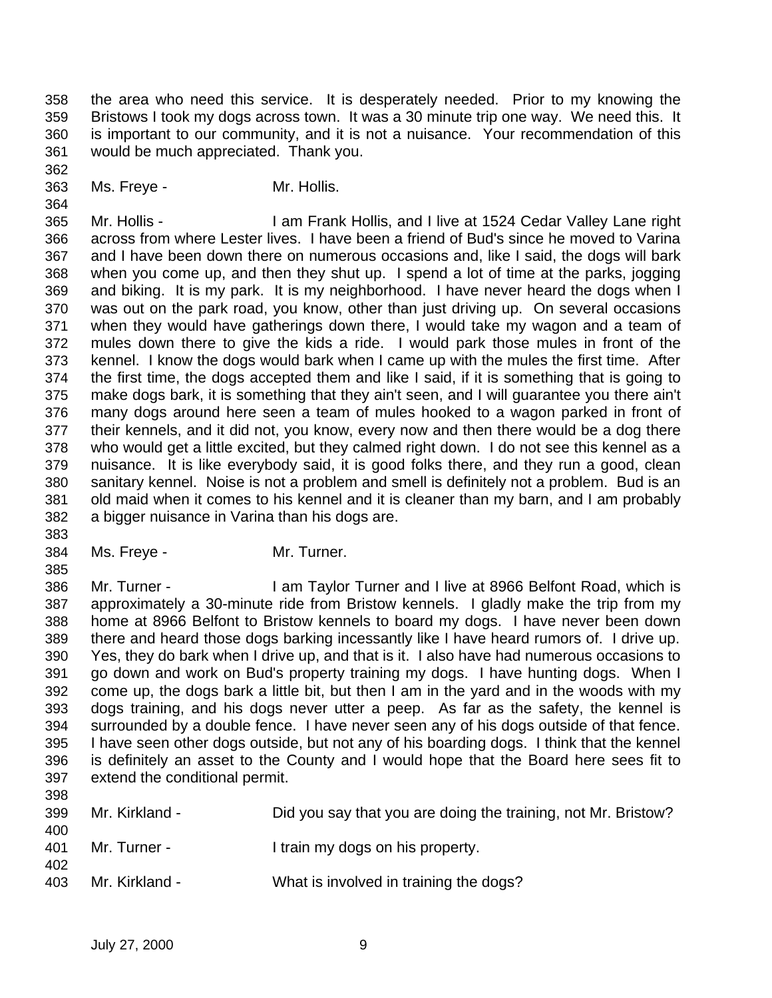the area who need this service. It is desperately needed. Prior to my knowing the Bristows I took my dogs across town. It was a 30 minute trip one way. We need this. It is important to our community, and it is not a nuisance. Your recommendation of this would be much appreciated. Thank you.

Ms. Freye - Mr. Hollis.

 Mr. Hollis - I am Frank Hollis, and I live at 1524 Cedar Valley Lane right across from where Lester lives. I have been a friend of Bud's since he moved to Varina and I have been down there on numerous occasions and, like I said, the dogs will bark when you come up, and then they shut up. I spend a lot of time at the parks, jogging and biking. It is my park. It is my neighborhood. I have never heard the dogs when I was out on the park road, you know, other than just driving up. On several occasions when they would have gatherings down there, I would take my wagon and a team of mules down there to give the kids a ride. I would park those mules in front of the kennel. I know the dogs would bark when I came up with the mules the first time. After the first time, the dogs accepted them and like I said, if it is something that is going to make dogs bark, it is something that they ain't seen, and I will guarantee you there ain't many dogs around here seen a team of mules hooked to a wagon parked in front of their kennels, and it did not, you know, every now and then there would be a dog there who would get a little excited, but they calmed right down. I do not see this kennel as a nuisance. It is like everybody said, it is good folks there, and they run a good, clean sanitary kennel. Noise is not a problem and smell is definitely not a problem. Bud is an old maid when it comes to his kennel and it is cleaner than my barn, and I am probably a bigger nuisance in Varina than his dogs are.

Ms. Freye - Mr. Turner.

 Mr. Turner - I am Taylor Turner and I live at 8966 Belfont Road, which is approximately a 30-minute ride from Bristow kennels. I gladly make the trip from my home at 8966 Belfont to Bristow kennels to board my dogs. I have never been down there and heard those dogs barking incessantly like I have heard rumors of. I drive up. Yes, they do bark when I drive up, and that is it. I also have had numerous occasions to go down and work on Bud's property training my dogs. I have hunting dogs. When I come up, the dogs bark a little bit, but then I am in the yard and in the woods with my dogs training, and his dogs never utter a peep. As far as the safety, the kennel is surrounded by a double fence. I have never seen any of his dogs outside of that fence. I have seen other dogs outside, but not any of his boarding dogs. I think that the kennel is definitely an asset to the County and I would hope that the Board here sees fit to extend the conditional permit. 

| ບບບ<br>399<br>400 | Mr. Kirkland - | Did you say that you are doing the training, not Mr. Bristow? |
|-------------------|----------------|---------------------------------------------------------------|
| 401<br>402        | Mr. Turner -   | I train my dogs on his property.                              |
| 403               | Mr. Kirkland - | What is involved in training the dogs?                        |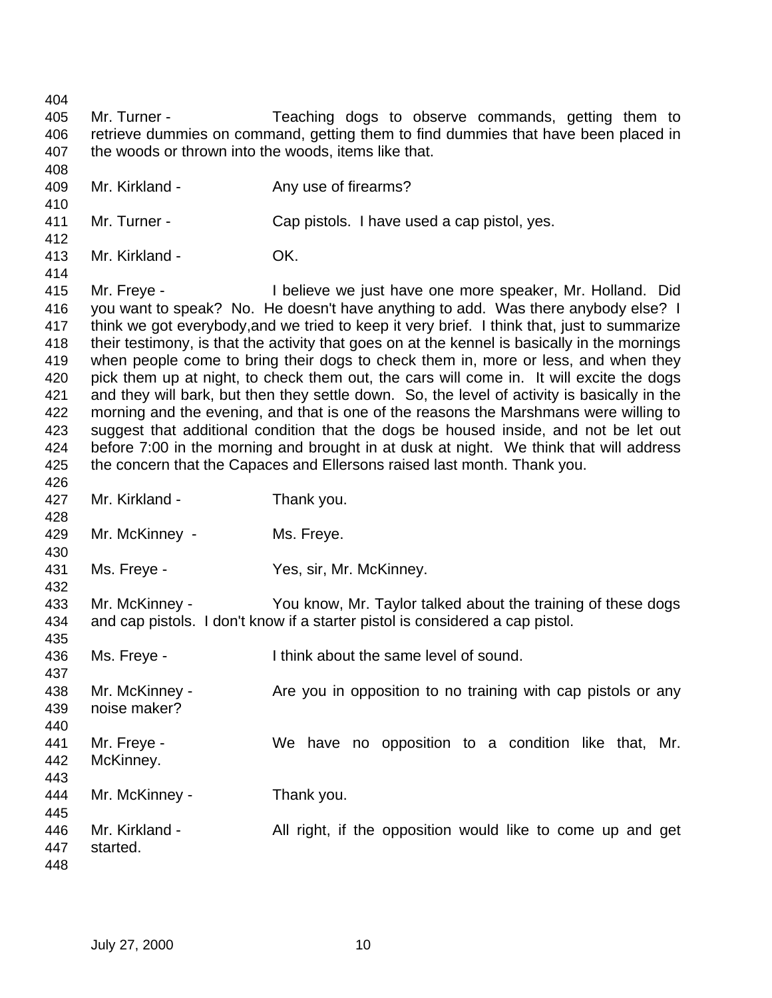Mr. Turner - Teaching dogs to observe commands, getting them to retrieve dummies on command, getting them to find dummies that have been placed in the woods or thrown into the woods, items like that. 409 Mr. Kirkland - Any use of firearms? Mr. Turner - Cap pistols. I have used a cap pistol, yes. Mr. Kirkland - OK. Mr. Freye - I believe we just have one more speaker, Mr. Holland. Did you want to speak? No. He doesn't have anything to add. Was there anybody else? I think we got everybody,and we tried to keep it very brief. I think that, just to summarize their testimony, is that the activity that goes on at the kennel is basically in the mornings when people come to bring their dogs to check them in, more or less, and when they pick them up at night, to check them out, the cars will come in. It will excite the dogs and they will bark, but then they settle down. So, the level of activity is basically in the morning and the evening, and that is one of the reasons the Marshmans were willing to suggest that additional condition that the dogs be housed inside, and not be let out before 7:00 in the morning and brought in at dusk at night. We think that will address the concern that the Capaces and Ellersons raised last month. Thank you. Mr. Kirkland - Thank you. Mr. McKinney - Ms. Freye. Ms. Freye - Yes, sir, Mr. McKinney. Mr. McKinney - You know, Mr. Taylor talked about the training of these dogs and cap pistols. I don't know if a starter pistol is considered a cap pistol. Ms. Freye - I think about the same level of sound. 438 Mr. McKinney - Are you in opposition to no training with cap pistols or any noise maker? Mr. Freye - We have no opposition to a condition like that, Mr. McKinney. Mr. McKinney - Thank you. Mr. Kirkland - All right, if the opposition would like to come up and get started.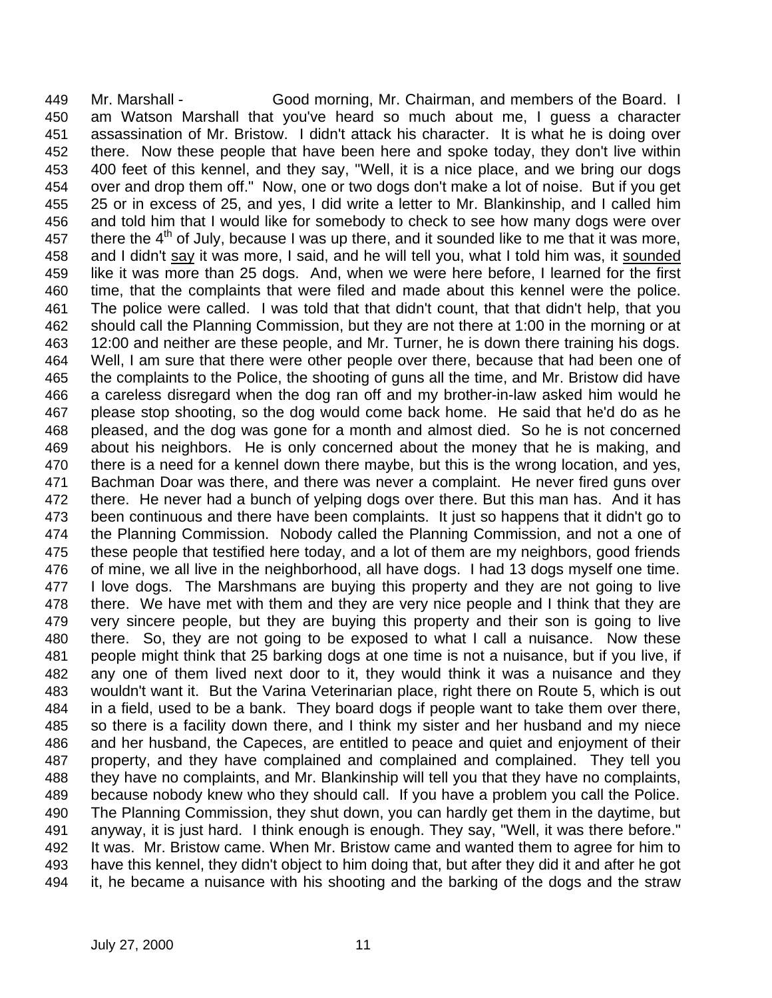Mr. Marshall - Good morning, Mr. Chairman, and members of the Board. I am Watson Marshall that you've heard so much about me, I guess a character assassination of Mr. Bristow. I didn't attack his character. It is what he is doing over there. Now these people that have been here and spoke today, they don't live within 400 feet of this kennel, and they say, "Well, it is a nice place, and we bring our dogs over and drop them off." Now, one or two dogs don't make a lot of noise. But if you get 25 or in excess of 25, and yes, I did write a letter to Mr. Blankinship, and I called him and told him that I would like for somebody to check to see how many dogs were over 457 there the  $4<sup>th</sup>$  of July, because I was up there, and it sounded like to me that it was more, and I didn't say it was more, I said, and he will tell you, what I told him was, it sounded like it was more than 25 dogs. And, when we were here before, I learned for the first time, that the complaints that were filed and made about this kennel were the police. The police were called. I was told that that didn't count, that that didn't help, that you should call the Planning Commission, but they are not there at 1:00 in the morning or at 12:00 and neither are these people, and Mr. Turner, he is down there training his dogs. Well, I am sure that there were other people over there, because that had been one of the complaints to the Police, the shooting of guns all the time, and Mr. Bristow did have a careless disregard when the dog ran off and my brother-in-law asked him would he please stop shooting, so the dog would come back home. He said that he'd do as he pleased, and the dog was gone for a month and almost died. So he is not concerned about his neighbors. He is only concerned about the money that he is making, and there is a need for a kennel down there maybe, but this is the wrong location, and yes, Bachman Doar was there, and there was never a complaint. He never fired guns over there. He never had a bunch of yelping dogs over there. But this man has. And it has been continuous and there have been complaints. It just so happens that it didn't go to the Planning Commission. Nobody called the Planning Commission, and not a one of these people that testified here today, and a lot of them are my neighbors, good friends of mine, we all live in the neighborhood, all have dogs. I had 13 dogs myself one time. I love dogs. The Marshmans are buying this property and they are not going to live there. We have met with them and they are very nice people and I think that they are very sincere people, but they are buying this property and their son is going to live there. So, they are not going to be exposed to what I call a nuisance. Now these people might think that 25 barking dogs at one time is not a nuisance, but if you live, if any one of them lived next door to it, they would think it was a nuisance and they wouldn't want it. But the Varina Veterinarian place, right there on Route 5, which is out in a field, used to be a bank. They board dogs if people want to take them over there, so there is a facility down there, and I think my sister and her husband and my niece and her husband, the Capeces, are entitled to peace and quiet and enjoyment of their property, and they have complained and complained and complained. They tell you they have no complaints, and Mr. Blankinship will tell you that they have no complaints, because nobody knew who they should call. If you have a problem you call the Police. The Planning Commission, they shut down, you can hardly get them in the daytime, but anyway, it is just hard. I think enough is enough. They say, "Well, it was there before." It was. Mr. Bristow came. When Mr. Bristow came and wanted them to agree for him to have this kennel, they didn't object to him doing that, but after they did it and after he got it, he became a nuisance with his shooting and the barking of the dogs and the straw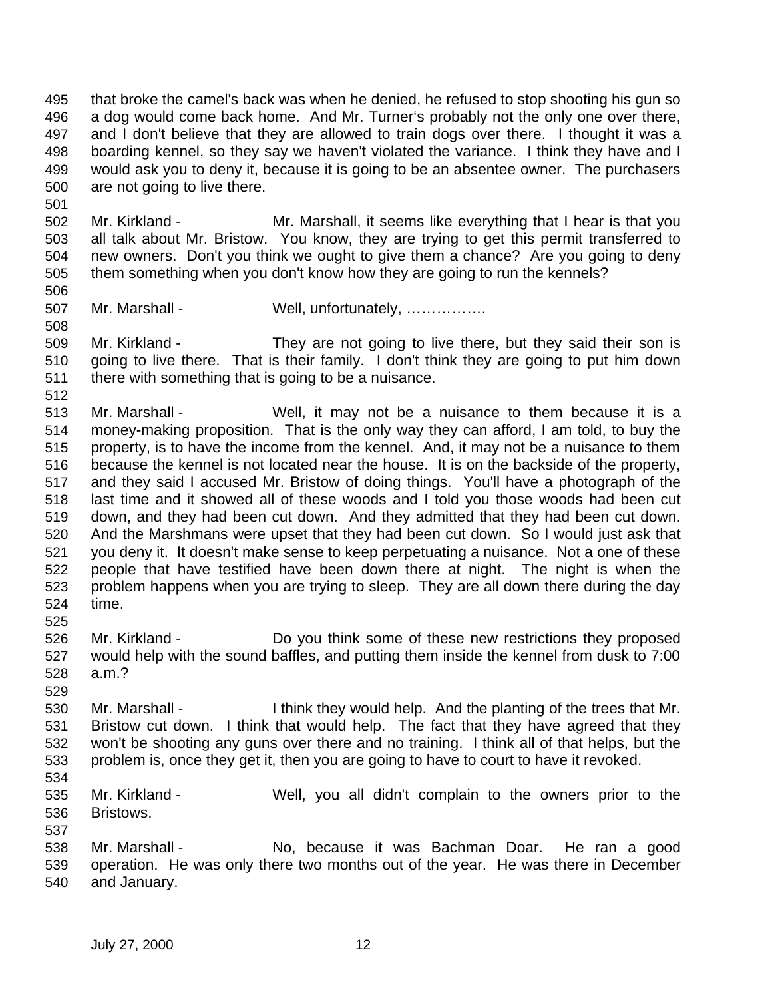that broke the camel's back was when he denied, he refused to stop shooting his gun so a dog would come back home. And Mr. Turner's probably not the only one over there, and I don't believe that they are allowed to train dogs over there. I thought it was a boarding kennel, so they say we haven't violated the variance. I think they have and I would ask you to deny it, because it is going to be an absentee owner. The purchasers are not going to live there.

 Mr. Kirkland - Mr. Marshall, it seems like everything that I hear is that you all talk about Mr. Bristow. You know, they are trying to get this permit transferred to new owners. Don't you think we ought to give them a chance? Are you going to deny them something when you don't know how they are going to run the kennels?

 Mr. Marshall - Well, unfortunately, ……………. 

 Mr. Kirkland - They are not going to live there, but they said their son is going to live there. That is their family. I don't think they are going to put him down there with something that is going to be a nuisance.

 Mr. Marshall - Well, it may not be a nuisance to them because it is a money-making proposition. That is the only way they can afford, I am told, to buy the property, is to have the income from the kennel. And, it may not be a nuisance to them because the kennel is not located near the house. It is on the backside of the property, and they said I accused Mr. Bristow of doing things. You'll have a photograph of the last time and it showed all of these woods and I told you those woods had been cut down, and they had been cut down. And they admitted that they had been cut down. And the Marshmans were upset that they had been cut down. So I would just ask that you deny it. It doesn't make sense to keep perpetuating a nuisance. Not a one of these people that have testified have been down there at night. The night is when the problem happens when you are trying to sleep. They are all down there during the day time.

- Mr. Kirkland Do you think some of these new restrictions they proposed would help with the sound baffles, and putting them inside the kennel from dusk to 7:00 a.m.?
- Mr. Marshall I think they would help. And the planting of the trees that Mr. Bristow cut down. I think that would help. The fact that they have agreed that they won't be shooting any guns over there and no training. I think all of that helps, but the problem is, once they get it, then you are going to have to court to have it revoked.
- 

 Mr. Kirkland - Well, you all didn't complain to the owners prior to the Bristows.

 Mr. Marshall - No, because it was Bachman Doar. He ran a good operation. He was only there two months out of the year. He was there in December and January.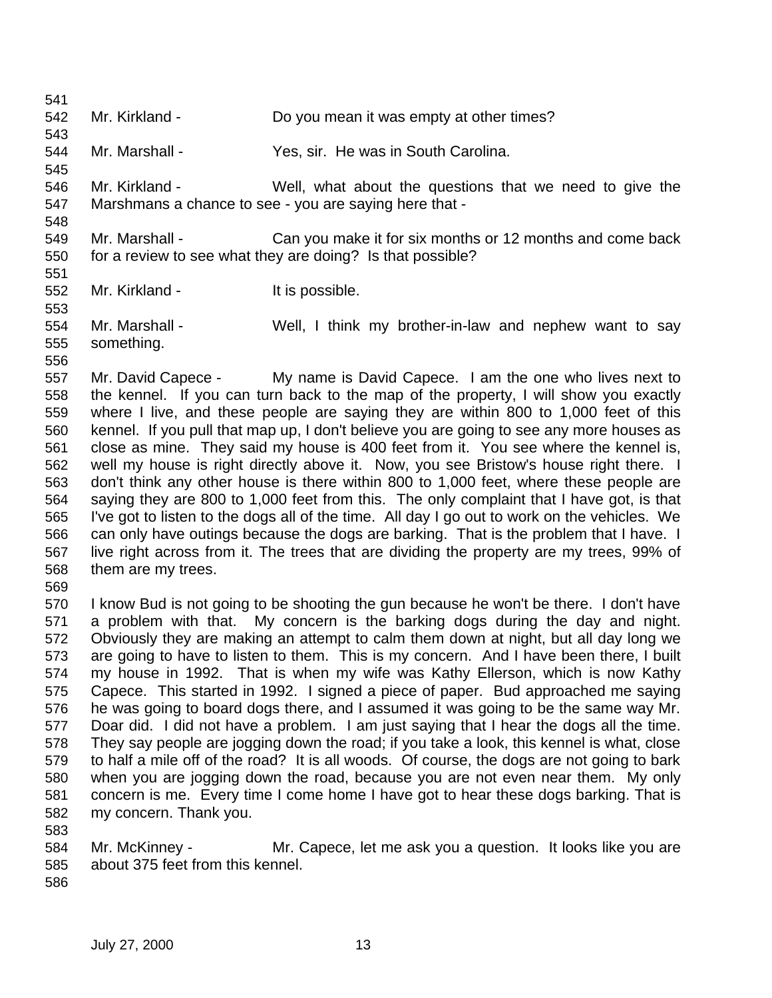Mr. Kirkland - Do you mean it was empty at other times? Mr. Marshall - Yes, sir. He was in South Carolina. Mr. Kirkland - Well, what about the questions that we need to give the Marshmans a chance to see - you are saying here that - Mr. Marshall - Can you make it for six months or 12 months and come back for a review to see what they are doing? Is that possible? 552 Mr. Kirkland - It is possible. Mr. Marshall - Well, I think my brother-in-law and nephew want to say something. Mr. David Capece - My name is David Capece. I am the one who lives next to the kennel. If you can turn back to the map of the property, I will show you exactly where I live, and these people are saying they are within 800 to 1,000 feet of this kennel. If you pull that map up, I don't believe you are going to see any more houses as close as mine. They said my house is 400 feet from it. You see where the kennel is, well my house is right directly above it. Now, you see Bristow's house right there. I don't think any other house is there within 800 to 1,000 feet, where these people are saying they are 800 to 1,000 feet from this. The only complaint that I have got, is that I've got to listen to the dogs all of the time. All day I go out to work on the vehicles. We can only have outings because the dogs are barking. That is the problem that I have. I live right across from it. The trees that are dividing the property are my trees, 99% of them are my trees. I know Bud is not going to be shooting the gun because he won't be there. I don't have a problem with that. My concern is the barking dogs during the day and night. Obviously they are making an attempt to calm them down at night, but all day long we are going to have to listen to them. This is my concern. And I have been there, I built my house in 1992. That is when my wife was Kathy Ellerson, which is now Kathy Capece. This started in 1992. I signed a piece of paper. Bud approached me saying he was going to board dogs there, and I assumed it was going to be the same way Mr. Doar did. I did not have a problem. I am just saying that I hear the dogs all the time. They say people are jogging down the road; if you take a look, this kennel is what, close to half a mile off of the road? It is all woods. Of course, the dogs are not going to bark when you are jogging down the road, because you are not even near them. My only concern is me. Every time I come home I have got to hear these dogs barking. That is my concern. Thank you. 

 Mr. McKinney - Mr. Capece, let me ask you a question. It looks like you are about 375 feet from this kennel.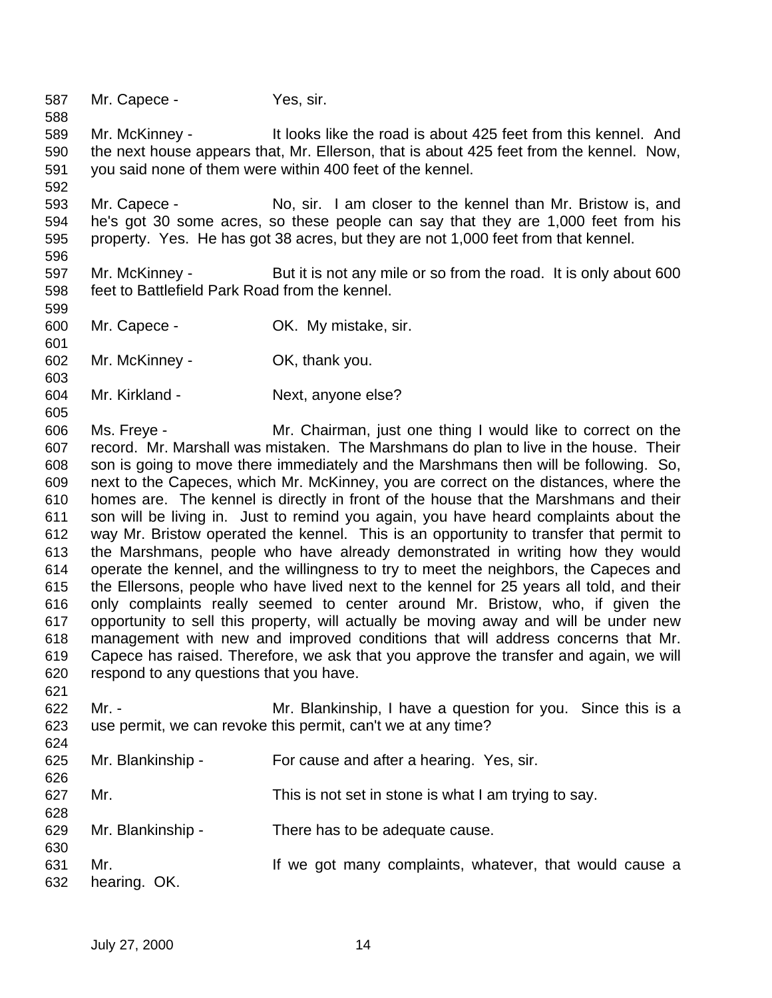Mr. Capece - Yes, sir.

 Mr. McKinney - It looks like the road is about 425 feet from this kennel. And the next house appears that, Mr. Ellerson, that is about 425 feet from the kennel. Now, you said none of them were within 400 feet of the kennel.

 Mr. Capece - No, sir. I am closer to the kennel than Mr. Bristow is, and he's got 30 some acres, so these people can say that they are 1,000 feet from his property. Yes. He has got 38 acres, but they are not 1,000 feet from that kennel.

 Mr. McKinney - But it is not any mile or so from the road. It is only about 600 feet to Battlefield Park Road from the kennel.

- Mr. Capece OK. My mistake, sir.
- Mr. McKinney OK, thank you.
- Mr. Kirkland Next, anyone else?

 Ms. Freye - Mr. Chairman, just one thing I would like to correct on the record. Mr. Marshall was mistaken. The Marshmans do plan to live in the house. Their son is going to move there immediately and the Marshmans then will be following. So, next to the Capeces, which Mr. McKinney, you are correct on the distances, where the homes are. The kennel is directly in front of the house that the Marshmans and their son will be living in. Just to remind you again, you have heard complaints about the way Mr. Bristow operated the kennel. This is an opportunity to transfer that permit to the Marshmans, people who have already demonstrated in writing how they would operate the kennel, and the willingness to try to meet the neighbors, the Capeces and the Ellersons, people who have lived next to the kennel for 25 years all told, and their only complaints really seemed to center around Mr. Bristow, who, if given the opportunity to sell this property, will actually be moving away and will be under new management with new and improved conditions that will address concerns that Mr. Capece has raised. Therefore, we ask that you approve the transfer and again, we will respond to any questions that you have.

 Mr. - Mr. Blankinship, I have a question for you. Since this is a use permit, we can revoke this permit, can't we at any time?

| 624 |                   |                                                         |
|-----|-------------------|---------------------------------------------------------|
| 625 | Mr. Blankinship - | For cause and after a hearing. Yes, sir.                |
| 626 |                   |                                                         |
| 627 | Mr.               | This is not set in stone is what I am trying to say.    |
| 628 |                   |                                                         |
| 629 | Mr. Blankinship - | There has to be adequate cause.                         |
| 630 |                   |                                                         |
| 631 | Mr.               | If we got many complaints, whatever, that would cause a |
| 632 | hearing. OK.      |                                                         |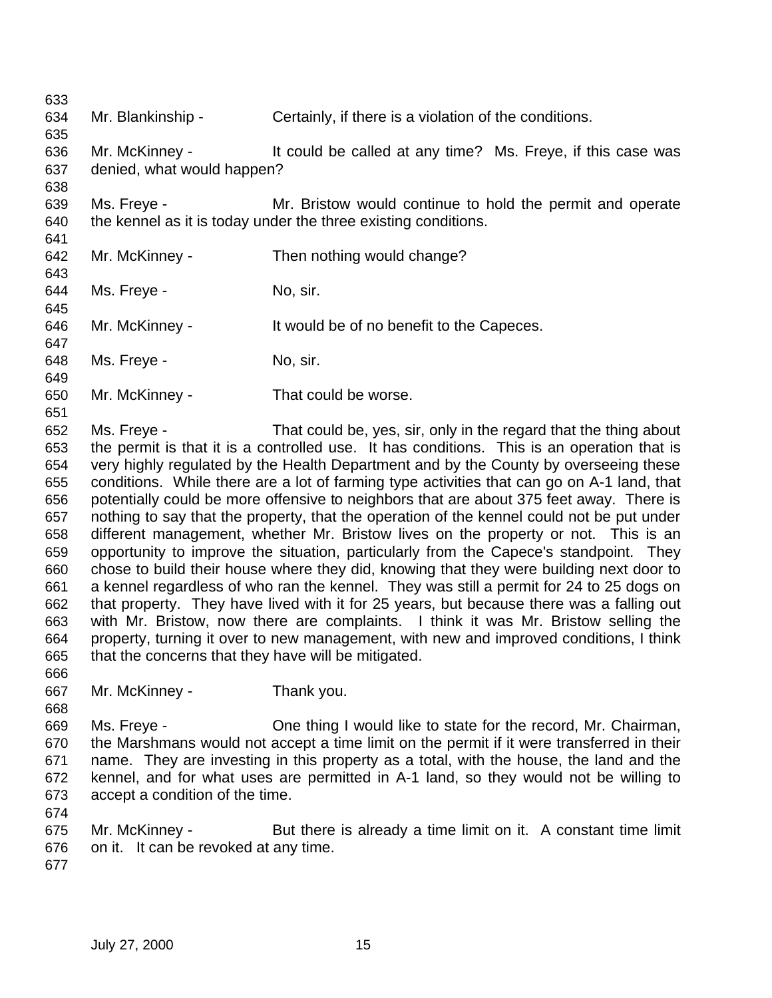Mr. Blankinship - Certainly, if there is a violation of the conditions. Mr. McKinney - It could be called at any time? Ms. Freye, if this case was denied, what would happen? Ms. Freye - Mr. Bristow would continue to hold the permit and operate the kennel as it is today under the three existing conditions. Mr. McKinney - Then nothing would change? 644 Ms. Freye - No, sir. 646 Mr. McKinney - It would be of no benefit to the Capeces. 648 Ms. Freye - No, sir. Mr. McKinney - That could be worse. Ms. Freye - That could be, yes, sir, only in the regard that the thing about the permit is that it is a controlled use. It has conditions. This is an operation that is very highly regulated by the Health Department and by the County by overseeing these conditions. While there are a lot of farming type activities that can go on A-1 land, that potentially could be more offensive to neighbors that are about 375 feet away. There is nothing to say that the property, that the operation of the kennel could not be put under different management, whether Mr. Bristow lives on the property or not. This is an opportunity to improve the situation, particularly from the Capece's standpoint. They chose to build their house where they did, knowing that they were building next door to a kennel regardless of who ran the kennel. They was still a permit for 24 to 25 dogs on that property. They have lived with it for 25 years, but because there was a falling out with Mr. Bristow, now there are complaints. I think it was Mr. Bristow selling the property, turning it over to new management, with new and improved conditions, I think that the concerns that they have will be mitigated. Mr. McKinney - Thank you. Ms. Freye - One thing I would like to state for the record, Mr. Chairman, the Marshmans would not accept a time limit on the permit if it were transferred in their name. They are investing in this property as a total, with the house, the land and the kennel, and for what uses are permitted in A-1 land, so they would not be willing to accept a condition of the time. Mr. McKinney - But there is already a time limit on it. A constant time limit on it. It can be revoked at any time.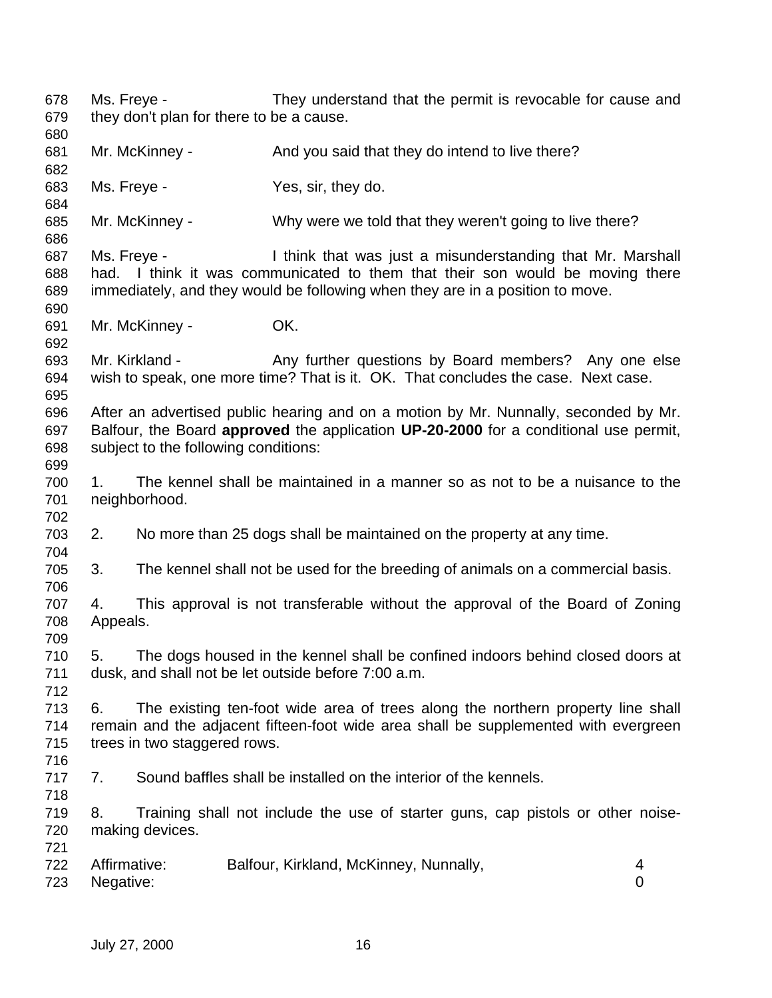Ms. Freye - They understand that the permit is revocable for cause and they don't plan for there to be a cause. 681 Mr. McKinney - And you said that they do intend to live there? Ms. Freye - Yes, sir, they do. Mr. McKinney - Why were we told that they weren't going to live there? Ms. Freye - I think that was just a misunderstanding that Mr. Marshall had. I think it was communicated to them that their son would be moving there immediately, and they would be following when they are in a position to move. Mr. McKinney - OK. Mr. Kirkland - Any further questions by Board members? Any one else wish to speak, one more time? That is it. OK. That concludes the case. Next case. After an advertised public hearing and on a motion by Mr. Nunnally, seconded by Mr. Balfour, the Board **approved** the application **UP-20-2000** for a conditional use permit, subject to the following conditions: 1. The kennel shall be maintained in a manner so as not to be a nuisance to the neighborhood. 2. No more than 25 dogs shall be maintained on the property at any time. 3. The kennel shall not be used for the breeding of animals on a commercial basis. 4. This approval is not transferable without the approval of the Board of Zoning Appeals. 5. The dogs housed in the kennel shall be confined indoors behind closed doors at dusk, and shall not be let outside before 7:00 a.m. 6. The existing ten-foot wide area of trees along the northern property line shall remain and the adjacent fifteen-foot wide area shall be supplemented with evergreen trees in two staggered rows. 7. Sound baffles shall be installed on the interior of the kennels. 8. Training shall not include the use of starter guns, cap pistols or other noise- making devices. Affirmative: Balfour, Kirkland, McKinney, Nunnally, 4 Negative: 0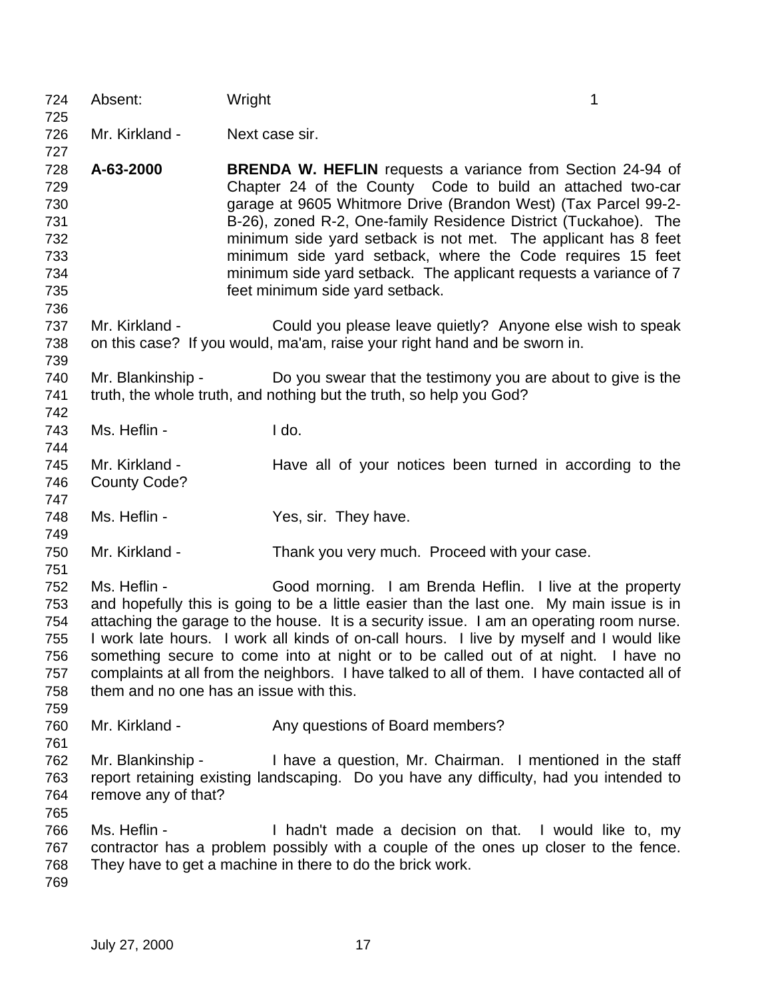| 724<br>725                                                         | Absent:                                                 | Wright |                                                                                                                                                                                                                                                                                                                                                                                                                                                                                                                                 | 1 |
|--------------------------------------------------------------------|---------------------------------------------------------|--------|---------------------------------------------------------------------------------------------------------------------------------------------------------------------------------------------------------------------------------------------------------------------------------------------------------------------------------------------------------------------------------------------------------------------------------------------------------------------------------------------------------------------------------|---|
| 726                                                                | Mr. Kirkland -                                          |        | Next case sir.                                                                                                                                                                                                                                                                                                                                                                                                                                                                                                                  |   |
| 727<br>728<br>729<br>730<br>731<br>732<br>733<br>734<br>735<br>736 | A-63-2000                                               |        | <b>BRENDA W. HEFLIN</b> requests a variance from Section 24-94 of<br>Chapter 24 of the County Code to build an attached two-car<br>garage at 9605 Whitmore Drive (Brandon West) (Tax Parcel 99-2-<br>B-26), zoned R-2, One-family Residence District (Tuckahoe). The<br>minimum side yard setback is not met. The applicant has 8 feet<br>minimum side yard setback, where the Code requires 15 feet<br>minimum side yard setback. The applicant requests a variance of 7<br>feet minimum side yard setback.                    |   |
| 737<br>738<br>739                                                  | Mr. Kirkland -                                          |        | Could you please leave quietly? Anyone else wish to speak<br>on this case? If you would, ma'am, raise your right hand and be sworn in.                                                                                                                                                                                                                                                                                                                                                                                          |   |
| 740<br>741<br>742                                                  | Mr. Blankinship -                                       |        | Do you swear that the testimony you are about to give is the<br>truth, the whole truth, and nothing but the truth, so help you God?                                                                                                                                                                                                                                                                                                                                                                                             |   |
| 743<br>744                                                         | Ms. Heflin -                                            |        | I do.                                                                                                                                                                                                                                                                                                                                                                                                                                                                                                                           |   |
| 745<br>746<br>747                                                  | Mr. Kirkland -<br><b>County Code?</b>                   |        | Have all of your notices been turned in according to the                                                                                                                                                                                                                                                                                                                                                                                                                                                                        |   |
| 748<br>749                                                         | Ms. Heflin -                                            |        | Yes, sir. They have.                                                                                                                                                                                                                                                                                                                                                                                                                                                                                                            |   |
| 750<br>751                                                         | Mr. Kirkland -                                          |        | Thank you very much. Proceed with your case.                                                                                                                                                                                                                                                                                                                                                                                                                                                                                    |   |
| 752<br>753<br>754<br>755<br>756<br>757<br>758<br>759               | Ms. Heflin -<br>them and no one has an issue with this. |        | Good morning. I am Brenda Heflin. I live at the property<br>and hopefully this is going to be a little easier than the last one. My main issue is in<br>attaching the garage to the house. It is a security issue. I am an operating room nurse.<br>I work late hours. I work all kinds of on-call hours. I live by myself and I would like<br>something secure to come into at night or to be called out of at night. I have no<br>complaints at all from the neighbors. I have talked to all of them. I have contacted all of |   |
| 760<br>761                                                         | Mr. Kirkland -                                          |        | Any questions of Board members?                                                                                                                                                                                                                                                                                                                                                                                                                                                                                                 |   |
| 762<br>763<br>764                                                  | Mr. Blankinship -<br>remove any of that?                |        | I have a question, Mr. Chairman. I mentioned in the staff<br>report retaining existing landscaping. Do you have any difficulty, had you intended to                                                                                                                                                                                                                                                                                                                                                                             |   |
| 765<br>766<br>767<br>768<br>769                                    | Ms. Heflin -                                            |        | I hadn't made a decision on that. I would like to, my<br>contractor has a problem possibly with a couple of the ones up closer to the fence.<br>They have to get a machine in there to do the brick work.                                                                                                                                                                                                                                                                                                                       |   |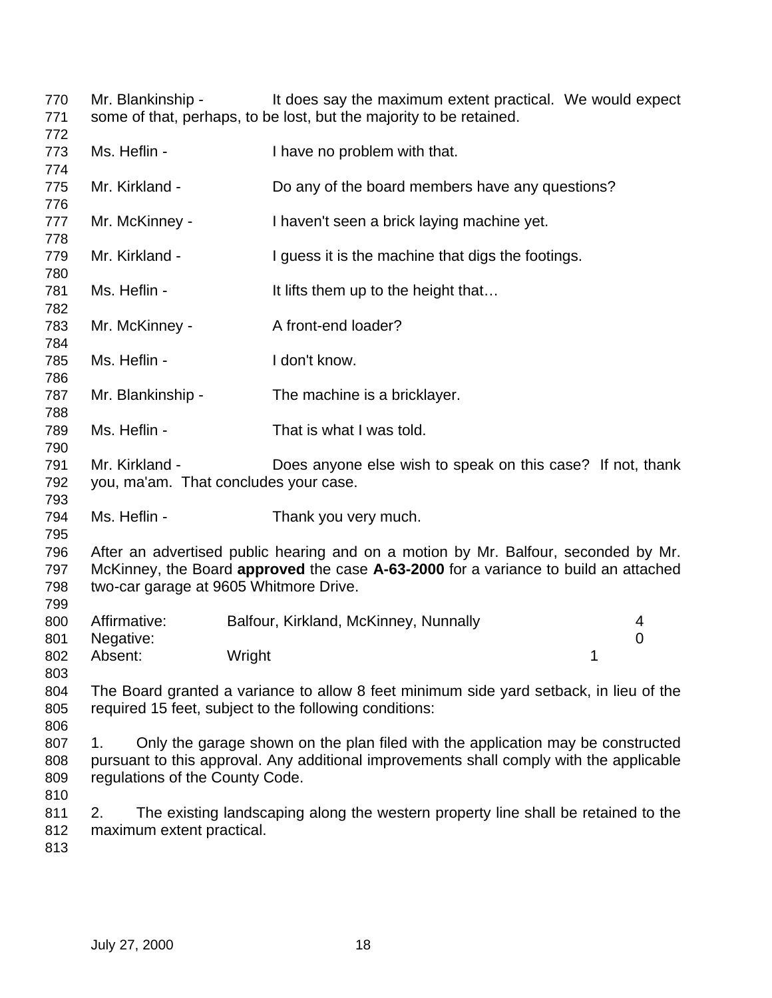Mr. Blankinship - It does say the maximum extent practical. We would expect some of that, perhaps, to be lost, but the majority to be retained.

| 772                      |                                                                                                                                                                                                                     |                                                                                                                                                                            |                  |  |
|--------------------------|---------------------------------------------------------------------------------------------------------------------------------------------------------------------------------------------------------------------|----------------------------------------------------------------------------------------------------------------------------------------------------------------------------|------------------|--|
| 773                      | Ms. Heflin -                                                                                                                                                                                                        | I have no problem with that.                                                                                                                                               |                  |  |
| 774                      |                                                                                                                                                                                                                     |                                                                                                                                                                            |                  |  |
| 775                      | Mr. Kirkland -                                                                                                                                                                                                      | Do any of the board members have any questions?                                                                                                                            |                  |  |
| 776<br>777               | Mr. McKinney -                                                                                                                                                                                                      | I haven't seen a brick laying machine yet.                                                                                                                                 |                  |  |
| 778<br>779               | Mr. Kirkland -                                                                                                                                                                                                      | I guess it is the machine that digs the footings.                                                                                                                          |                  |  |
| 780<br>781<br>782        | Ms. Heflin -                                                                                                                                                                                                        | It lifts them up to the height that                                                                                                                                        |                  |  |
| 783<br>784               | Mr. McKinney -                                                                                                                                                                                                      | A front-end loader?                                                                                                                                                        |                  |  |
| 785<br>786               | Ms. Heflin -                                                                                                                                                                                                        | I don't know.                                                                                                                                                              |                  |  |
| 787<br>788               | Mr. Blankinship -                                                                                                                                                                                                   | The machine is a bricklayer.                                                                                                                                               |                  |  |
| 789<br>790               | Ms. Heflin -                                                                                                                                                                                                        | That is what I was told.                                                                                                                                                   |                  |  |
| 791<br>792<br>793        | Mr. Kirkland -<br>you, ma'am. That concludes your case.                                                                                                                                                             | Does anyone else wish to speak on this case? If not, thank                                                                                                                 |                  |  |
| 794<br>795               | Ms. Heflin -                                                                                                                                                                                                        | Thank you very much.                                                                                                                                                       |                  |  |
| 796<br>797<br>798        | After an advertised public hearing and on a motion by Mr. Balfour, seconded by Mr.<br>McKinney, the Board approved the case A-63-2000 for a variance to build an attached<br>two-car garage at 9605 Whitmore Drive. |                                                                                                                                                                            |                  |  |
| 799<br>800               | Affirmative:                                                                                                                                                                                                        | Balfour, Kirkland, McKinney, Nunnally                                                                                                                                      | 4<br>$\mathbf 0$ |  |
| 801<br>802<br>803        | Negative:<br>Absent:                                                                                                                                                                                                | Wright                                                                                                                                                                     | 1                |  |
| 804<br>805<br>806        |                                                                                                                                                                                                                     | The Board granted a variance to allow 8 feet minimum side yard setback, in lieu of the<br>required 15 feet, subject to the following conditions:                           |                  |  |
| 807<br>808<br>809        | 1.<br>regulations of the County Code.                                                                                                                                                                               | Only the garage shown on the plan filed with the application may be constructed<br>pursuant to this approval. Any additional improvements shall comply with the applicable |                  |  |
| 810<br>811<br>812<br>813 | 2.<br>maximum extent practical.                                                                                                                                                                                     | The existing landscaping along the western property line shall be retained to the                                                                                          |                  |  |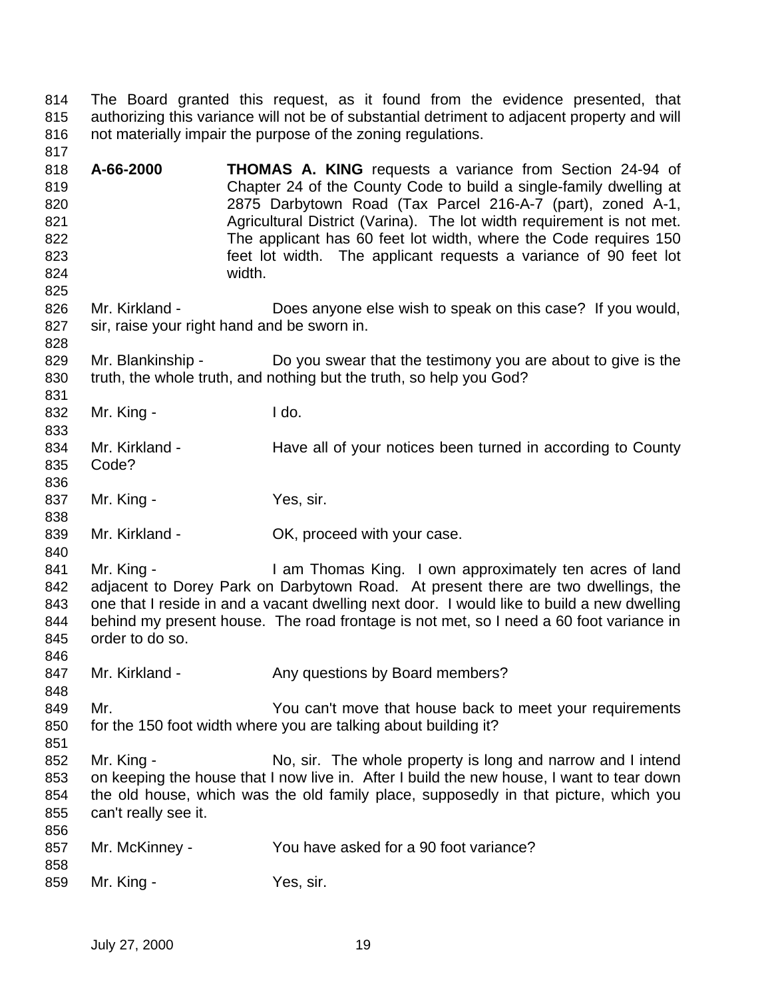The Board granted this request, as it found from the evidence presented, that authorizing this variance will not be of substantial detriment to adjacent property and will not materially impair the purpose of the zoning regulations. 

- **A-66-2000 THOMAS A. KING** requests a variance from Section 24-94 of Chapter 24 of the County Code to build a single-family dwelling at 2875 Darbytown Road (Tax Parcel 216-A-7 (part), zoned A-1, 821 Agricultural District (Varina). The lot width requirement is not met. The applicant has 60 feet lot width, where the Code requires 150 feet lot width. The applicant requests a variance of 90 feet lot width.
- Mr. Kirkland Does anyone else wish to speak on this case? If you would, sir, raise your right hand and be sworn in.
- 829 Mr. Blankinship Do you swear that the testimony you are about to give is the truth, the whole truth, and nothing but the truth, so help you God?
- 832 Mr. King I do.

- 834 Mr. Kirkland - Have all of your notices been turned in according to County Code?
- 837 Mr. King - Yes, sir.
- 839 Mr. Kirkland **OK, proceed with your case.**
- 841 Mr. King I am Thomas King. I own approximately ten acres of land adjacent to Dorey Park on Darbytown Road. At present there are two dwellings, the one that I reside in and a vacant dwelling next door. I would like to build a new dwelling behind my present house. The road frontage is not met, so I need a 60 foot variance in order to do so.
- 847 Mr. Kirkland Any questions by Board members?
- Mr. You can't move that house back to meet your requirements for the 150 foot width where you are talking about building it?
- 852 Mr. King No, sir. The whole property is long and narrow and I intend on keeping the house that I now live in. After I build the new house, I want to tear down the old house, which was the old family place, supposedly in that picture, which you can't really see it.
- Mr. McKinney - You have asked for a 90 foot variance?
- 859 Mr. King Yes, sir.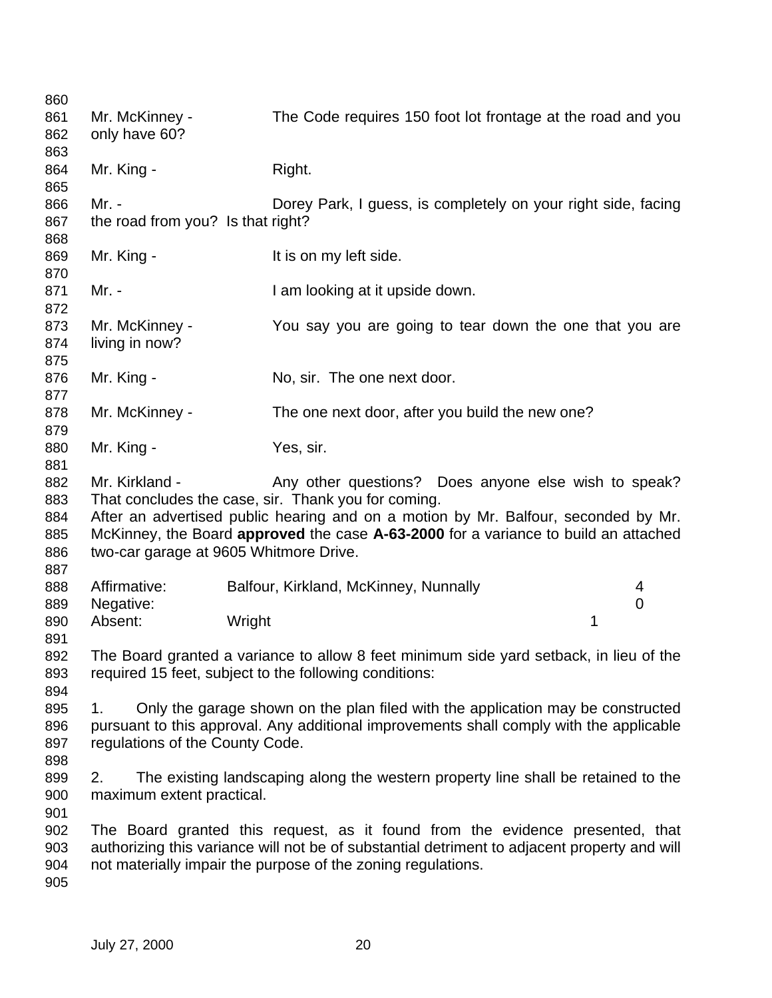| 860<br>861<br>862                      | Mr. McKinney -<br>only have 60?                                                                                                                                                                                     | The Code requires 150 foot lot frontage at the road and you                                                                                                                                                                                                                              |        |
|----------------------------------------|---------------------------------------------------------------------------------------------------------------------------------------------------------------------------------------------------------------------|------------------------------------------------------------------------------------------------------------------------------------------------------------------------------------------------------------------------------------------------------------------------------------------|--------|
| 863<br>864<br>865                      | Mr. King -                                                                                                                                                                                                          | Right.                                                                                                                                                                                                                                                                                   |        |
| 866<br>867<br>868                      | Mr. -<br>the road from you? Is that right?                                                                                                                                                                          | Dorey Park, I guess, is completely on your right side, facing                                                                                                                                                                                                                            |        |
| 869<br>870                             | Mr. King -                                                                                                                                                                                                          | It is on my left side.                                                                                                                                                                                                                                                                   |        |
| 871<br>872                             | Mr. -                                                                                                                                                                                                               | I am looking at it upside down.                                                                                                                                                                                                                                                          |        |
| 873<br>874<br>875                      | Mr. McKinney -<br>living in now?                                                                                                                                                                                    | You say you are going to tear down the one that you are                                                                                                                                                                                                                                  |        |
| 876<br>877                             | Mr. King -                                                                                                                                                                                                          | No, sir. The one next door.                                                                                                                                                                                                                                                              |        |
| 878<br>879                             | Mr. McKinney -                                                                                                                                                                                                      | The one next door, after you build the new one?                                                                                                                                                                                                                                          |        |
| 880<br>881                             | Mr. King -                                                                                                                                                                                                          | Yes, sir.                                                                                                                                                                                                                                                                                |        |
| 882<br>883<br>884<br>885<br>886<br>887 | Mr. Kirkland -<br>two-car garage at 9605 Whitmore Drive.                                                                                                                                                            | Any other questions? Does anyone else wish to speak?<br>That concludes the case, sir. Thank you for coming.<br>After an advertised public hearing and on a motion by Mr. Balfour, seconded by Mr.<br>McKinney, the Board approved the case A-63-2000 for a variance to build an attached |        |
| 888<br>889                             | Affirmative:<br>Negative:                                                                                                                                                                                           | Balfour, Kirkland, McKinney, Nunnally                                                                                                                                                                                                                                                    | 4<br>0 |
| 890<br>891                             | Absent:<br>Wright                                                                                                                                                                                                   | 1                                                                                                                                                                                                                                                                                        |        |
| 892<br>893<br>894                      |                                                                                                                                                                                                                     | The Board granted a variance to allow 8 feet minimum side yard setback, in lieu of the<br>required 15 feet, subject to the following conditions:                                                                                                                                         |        |
| 895<br>896<br>897<br>898               | Only the garage shown on the plan filed with the application may be constructed<br>1.<br>pursuant to this approval. Any additional improvements shall comply with the applicable<br>regulations of the County Code. |                                                                                                                                                                                                                                                                                          |        |
| 899<br>900<br>901                      | The existing landscaping along the western property line shall be retained to the<br>2.<br>maximum extent practical.                                                                                                |                                                                                                                                                                                                                                                                                          |        |
| 902<br>903<br>904<br>905               |                                                                                                                                                                                                                     | The Board granted this request, as it found from the evidence presented, that<br>authorizing this variance will not be of substantial detriment to adjacent property and will<br>not materially impair the purpose of the zoning regulations.                                            |        |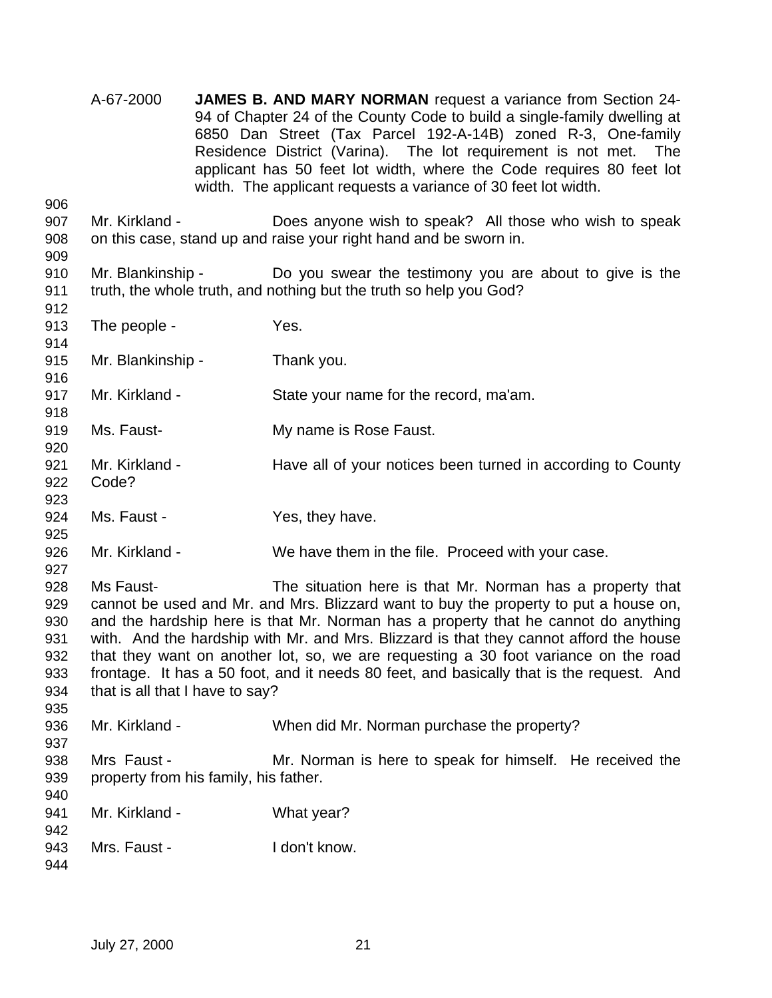- A-67-2000 **JAMES B. AND MARY NORMAN** request a variance from Section 24- 94 of Chapter 24 of the County Code to build a single-family dwelling at 6850 Dan Street (Tax Parcel 192-A-14B) zoned R-3, One-family Residence District (Varina). The lot requirement is not met. The applicant has 50 feet lot width, where the Code requires 80 feet lot width. The applicant requests a variance of 30 feet lot width.
- Mr. Kirkland Does anyone wish to speak? All those who wish to speak on this case, stand up and raise your right hand and be sworn in.
- Mr. Blankinship Do you swear the testimony you are about to give is the truth, the whole truth, and nothing but the truth so help you God?
- 913 The people - Yes. Mr. Blankinship - Thank you. Mr. Kirkland - State your name for the record, ma'am. Ms. Faust- My name is Rose Faust. 921 Mr. Kirkland - Have all of your notices been turned in according to County Code? 924 Ms. Faust - Yes, they have. Mr. Kirkland - We have them in the file. Proceed with your case. Ms Faust- The situation here is that Mr. Norman has a property that cannot be used and Mr. and Mrs. Blizzard want to buy the property to put a house on, and the hardship here is that Mr. Norman has a property that he cannot do anything with. And the hardship with Mr. and Mrs. Blizzard is that they cannot afford the house that they want on another lot, so, we are requesting a 30 foot variance on the road frontage. It has a 50 foot, and it needs 80 feet, and basically that is the request. And that is all that I have to say? 936 Mr. Kirkland - When did Mr. Norman purchase the property? 938 Mrs Faust - Mr. Norman is here to speak for himself. He received the property from his family, his father. 941 Mr. Kirkland - What year? 943 Mrs. Faust - I don't know.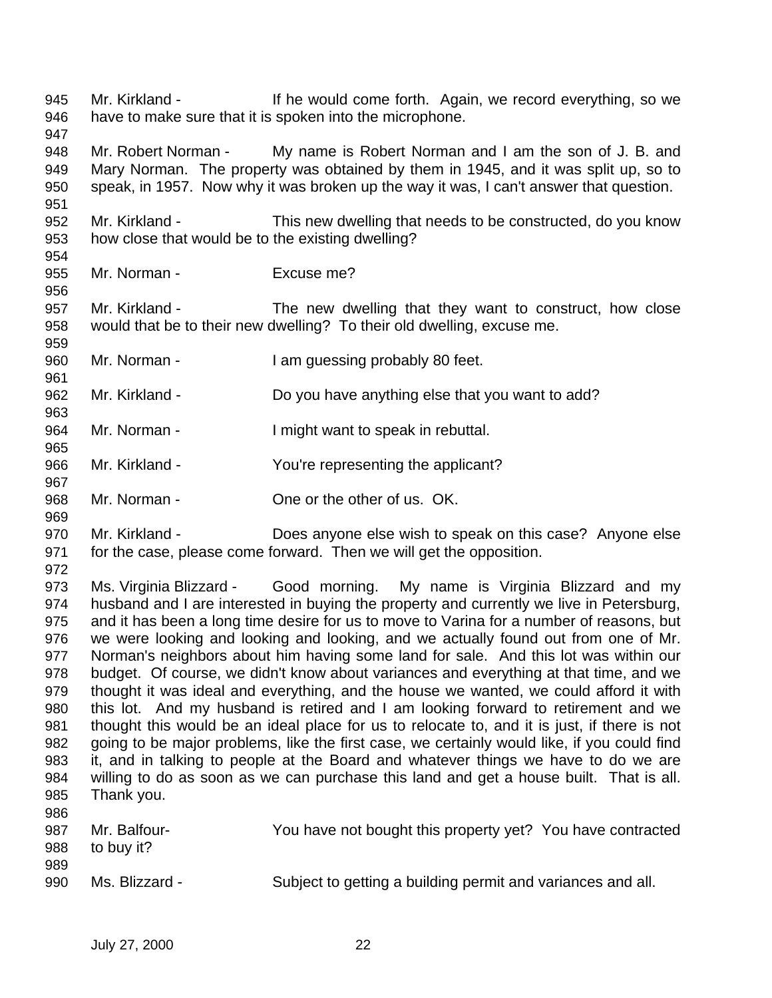Mr. Kirkland - If he would come forth. Again, we record everything, so we have to make sure that it is spoken into the microphone. Mr. Robert Norman - My name is Robert Norman and I am the son of J. B. and Mary Norman. The property was obtained by them in 1945, and it was split up, so to speak, in 1957. Now why it was broken up the way it was, I can't answer that question. Mr. Kirkland - This new dwelling that needs to be constructed, do you know how close that would be to the existing dwelling? Mr. Norman - Excuse me? Mr. Kirkland - The new dwelling that they want to construct, how close would that be to their new dwelling? To their old dwelling, excuse me. Mr. Norman - I am guessing probably 80 feet. Mr. Kirkland - Do you have anything else that you want to add? 964 Mr. Norman - Imight want to speak in rebuttal. Mr. Kirkland - You're representing the applicant? Mr. Norman - One or the other of us. OK. Mr. Kirkland - Does anyone else wish to speak on this case? Anyone else for the case, please come forward. Then we will get the opposition. Ms. Virginia Blizzard - Good morning. My name is Virginia Blizzard and my husband and I are interested in buying the property and currently we live in Petersburg, and it has been a long time desire for us to move to Varina for a number of reasons, but we were looking and looking and looking, and we actually found out from one of Mr. Norman's neighbors about him having some land for sale. And this lot was within our budget. Of course, we didn't know about variances and everything at that time, and we thought it was ideal and everything, and the house we wanted, we could afford it with this lot. And my husband is retired and I am looking forward to retirement and we thought this would be an ideal place for us to relocate to, and it is just, if there is not going to be major problems, like the first case, we certainly would like, if you could find it, and in talking to people at the Board and whatever things we have to do we are willing to do as soon as we can purchase this land and get a house built. That is all. Thank you. Mr. Balfour- You have not bought this property yet? You have contracted to buy it? Ms. Blizzard - Subject to getting a building permit and variances and all.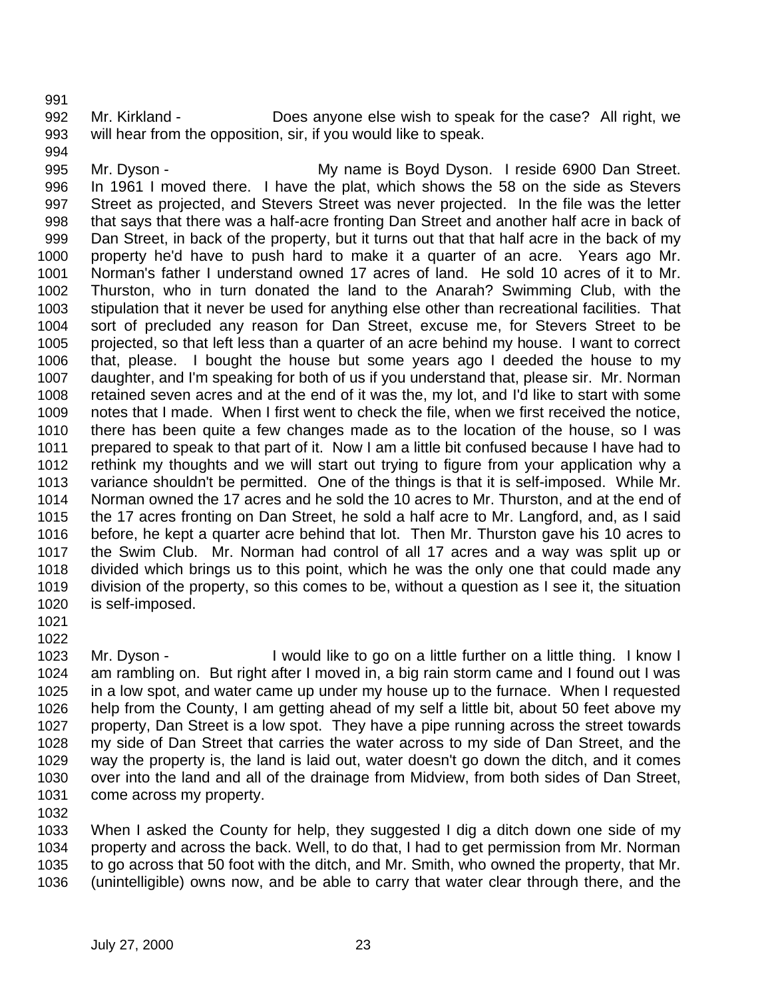Mr. Kirkland - Does anyone else wish to speak for the case? All right, we will hear from the opposition, sir, if you would like to speak.

995 Mr. Dyson - The My name is Boyd Dyson. I reside 6900 Dan Street. In 1961 I moved there. I have the plat, which shows the 58 on the side as Stevers Street as projected, and Stevers Street was never projected. In the file was the letter that says that there was a half-acre fronting Dan Street and another half acre in back of Dan Street, in back of the property, but it turns out that that half acre in the back of my property he'd have to push hard to make it a quarter of an acre. Years ago Mr. Norman's father I understand owned 17 acres of land. He sold 10 acres of it to Mr. Thurston, who in turn donated the land to the Anarah? Swimming Club, with the stipulation that it never be used for anything else other than recreational facilities. That sort of precluded any reason for Dan Street, excuse me, for Stevers Street to be projected, so that left less than a quarter of an acre behind my house. I want to correct that, please. I bought the house but some years ago I deeded the house to my daughter, and I'm speaking for both of us if you understand that, please sir. Mr. Norman retained seven acres and at the end of it was the, my lot, and I'd like to start with some notes that I made. When I first went to check the file, when we first received the notice, there has been quite a few changes made as to the location of the house, so I was prepared to speak to that part of it. Now I am a little bit confused because I have had to rethink my thoughts and we will start out trying to figure from your application why a variance shouldn't be permitted. One of the things is that it is self-imposed. While Mr. Norman owned the 17 acres and he sold the 10 acres to Mr. Thurston, and at the end of the 17 acres fronting on Dan Street, he sold a half acre to Mr. Langford, and, as I said before, he kept a quarter acre behind that lot. Then Mr. Thurston gave his 10 acres to the Swim Club. Mr. Norman had control of all 17 acres and a way was split up or divided which brings us to this point, which he was the only one that could made any division of the property, so this comes to be, without a question as I see it, the situation is self-imposed.

 Mr. Dyson - I would like to go on a little further on a little thing. I know I am rambling on. But right after I moved in, a big rain storm came and I found out I was in a low spot, and water came up under my house up to the furnace. When I requested help from the County, I am getting ahead of my self a little bit, about 50 feet above my property, Dan Street is a low spot. They have a pipe running across the street towards my side of Dan Street that carries the water across to my side of Dan Street, and the way the property is, the land is laid out, water doesn't go down the ditch, and it comes over into the land and all of the drainage from Midview, from both sides of Dan Street, come across my property.

 When I asked the County for help, they suggested I dig a ditch down one side of my property and across the back. Well, to do that, I had to get permission from Mr. Norman to go across that 50 foot with the ditch, and Mr. Smith, who owned the property, that Mr. (unintelligible) owns now, and be able to carry that water clear through there, and the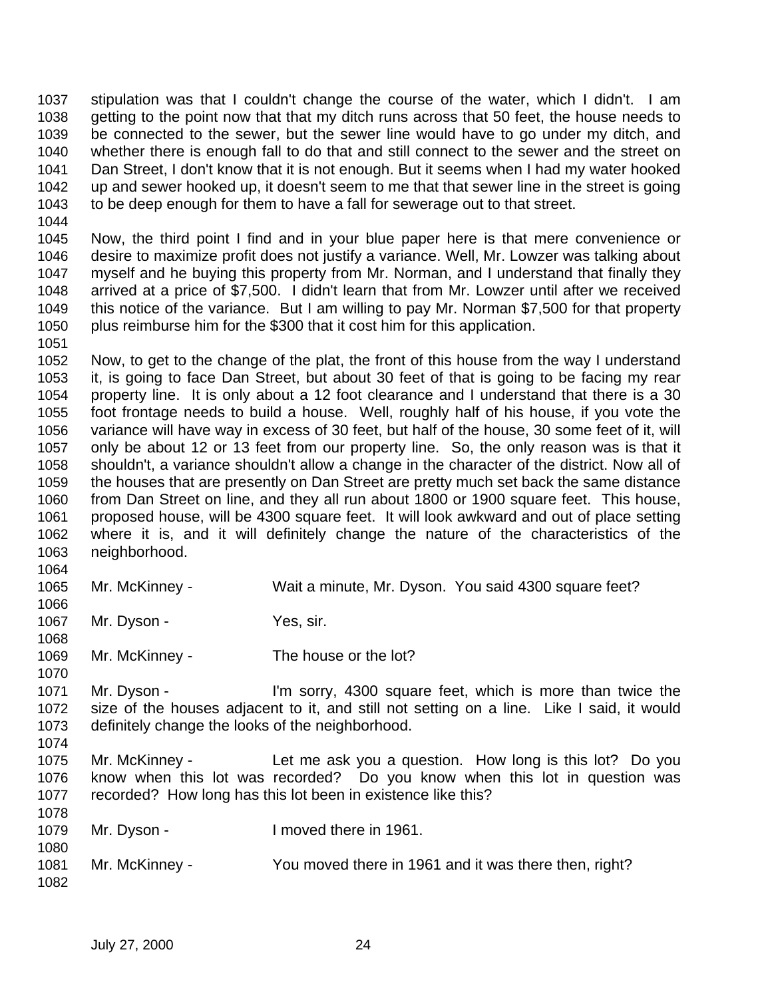stipulation was that I couldn't change the course of the water, which I didn't. I am getting to the point now that that my ditch runs across that 50 feet, the house needs to be connected to the sewer, but the sewer line would have to go under my ditch, and whether there is enough fall to do that and still connect to the sewer and the street on Dan Street, I don't know that it is not enough. But it seems when I had my water hooked up and sewer hooked up, it doesn't seem to me that that sewer line in the street is going to be deep enough for them to have a fall for sewerage out to that street.

 Now, the third point I find and in your blue paper here is that mere convenience or desire to maximize profit does not justify a variance. Well, Mr. Lowzer was talking about myself and he buying this property from Mr. Norman, and I understand that finally they arrived at a price of \$7,500. I didn't learn that from Mr. Lowzer until after we received this notice of the variance. But I am willing to pay Mr. Norman \$7,500 for that property plus reimburse him for the \$300 that it cost him for this application.

 Now, to get to the change of the plat, the front of this house from the way I understand it, is going to face Dan Street, but about 30 feet of that is going to be facing my rear property line. It is only about a 12 foot clearance and I understand that there is a 30 foot frontage needs to build a house. Well, roughly half of his house, if you vote the variance will have way in excess of 30 feet, but half of the house, 30 some feet of it, will only be about 12 or 13 feet from our property line. So, the only reason was is that it shouldn't, a variance shouldn't allow a change in the character of the district. Now all of the houses that are presently on Dan Street are pretty much set back the same distance from Dan Street on line, and they all run about 1800 or 1900 square feet. This house, proposed house, will be 4300 square feet. It will look awkward and out of place setting where it is, and it will definitely change the nature of the characteristics of the neighborhood.

- Mr. McKinney - Wait a minute, Mr. Dyson. You said 4300 square feet?
- 1067 Mr. Dyson Yes, sir.
- Mr. McKinney The house or the lot?
- Mr. Dyson I'm sorry, 4300 square feet, which is more than twice the size of the houses adjacent to it, and still not setting on a line. Like I said, it would definitely change the looks of the neighborhood.
- Mr. McKinney Let me ask you a question. How long is this lot? Do you know when this lot was recorded? Do you know when this lot in question was recorded? How long has this lot been in existence like this?

| 1078 |                |                                                       |
|------|----------------|-------------------------------------------------------|
| 1079 | Mr. Dyson -    | I moved there in 1961.                                |
| 1080 |                |                                                       |
| 1081 | Mr. McKinney - | You moved there in 1961 and it was there then, right? |
| 1082 |                |                                                       |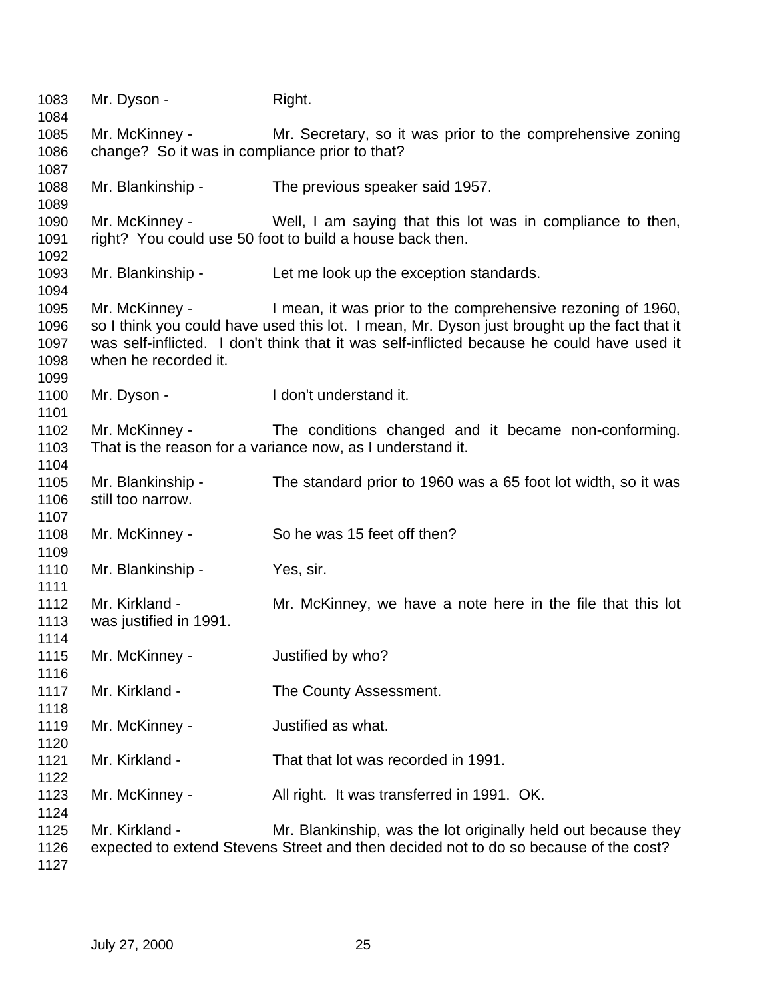1083 Mr. Dyson - Right. Mr. McKinney - Mr. Secretary, so it was prior to the comprehensive zoning change? So it was in compliance prior to that? Mr. Blankinship - The previous speaker said 1957. Mr. McKinney - Well, I am saying that this lot was in compliance to then, right? You could use 50 foot to build a house back then. Mr. Blankinship - Let me look up the exception standards. Mr. McKinney - I mean, it was prior to the comprehensive rezoning of 1960, so I think you could have used this lot. I mean, Mr. Dyson just brought up the fact that it was self-inflicted. I don't think that it was self-inflicted because he could have used it when he recorded it. 1100 Mr. Dyson - I don't understand it. Mr. McKinney - The conditions changed and it became non-conforming. That is the reason for a variance now, as I understand it. Mr. Blankinship - The standard prior to 1960 was a 65 foot lot width, so it was still too narrow. Mr. McKinney - So he was 15 feet off then? 1110 Mr. Blankinship - Yes, sir. Mr. Kirkland - Mr. McKinney, we have a note here in the file that this lot was justified in 1991. Mr. McKinney - Justified by who? 1117 Mr. Kirkland - The County Assessment. Mr. McKinney - Justified as what. Mr. Kirkland - That that lot was recorded in 1991. 1123 Mr. McKinney - All right. It was transferred in 1991. OK. Mr. Kirkland - Mr. Blankinship, was the lot originally held out because they expected to extend Stevens Street and then decided not to do so because of the cost?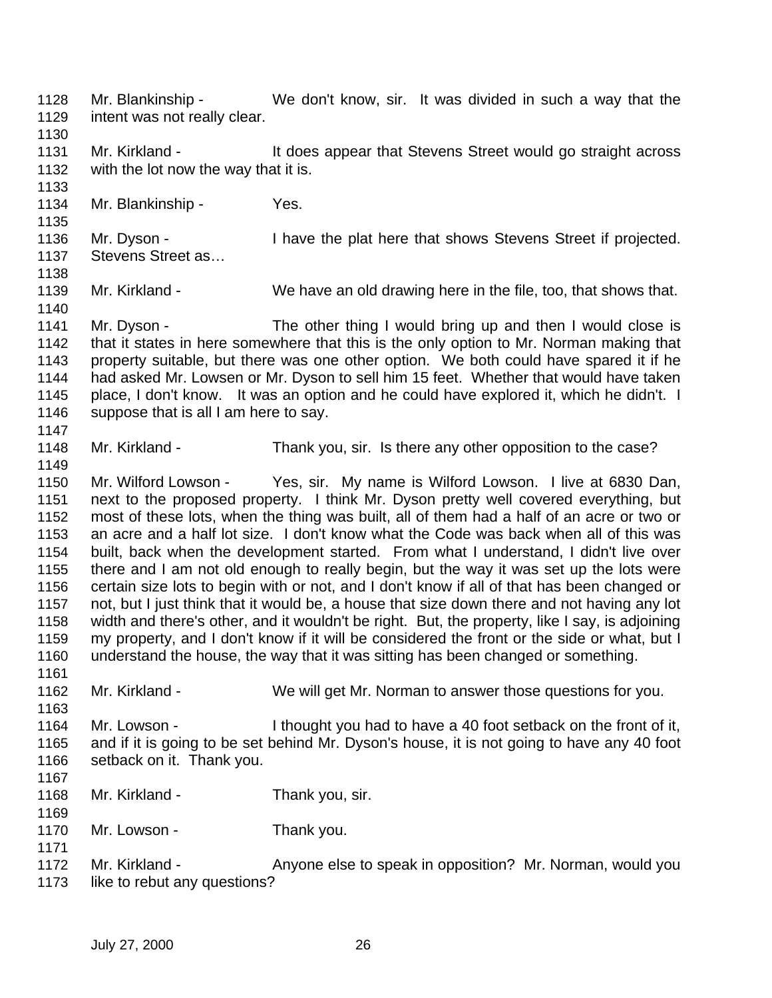Mr. Blankinship - We don't know, sir. It was divided in such a way that the intent was not really clear. 1131 Mr. Kirkland - It does appear that Stevens Street would go straight across with the lot now the way that it is. Mr. Blankinship - Yes. 1136 Mr. Dyson - I have the plat here that shows Stevens Street if projected. 1137 Stevens Street as... Mr. Kirkland - We have an old drawing here in the file, too, that shows that. 1141 Mr. Dyson - The other thing I would bring up and then I would close is that it states in here somewhere that this is the only option to Mr. Norman making that property suitable, but there was one other option. We both could have spared it if he had asked Mr. Lowsen or Mr. Dyson to sell him 15 feet. Whether that would have taken place, I don't know. It was an option and he could have explored it, which he didn't. I suppose that is all I am here to say. Mr. Kirkland - Thank you, sir. Is there any other opposition to the case? Mr. Wilford Lowson - Yes, sir. My name is Wilford Lowson. I live at 6830 Dan, next to the proposed property. I think Mr. Dyson pretty well covered everything, but most of these lots, when the thing was built, all of them had a half of an acre or two or an acre and a half lot size. I don't know what the Code was back when all of this was built, back when the development started. From what I understand, I didn't live over there and I am not old enough to really begin, but the way it was set up the lots were certain size lots to begin with or not, and I don't know if all of that has been changed or not, but I just think that it would be, a house that size down there and not having any lot width and there's other, and it wouldn't be right. But, the property, like I say, is adjoining my property, and I don't know if it will be considered the front or the side or what, but I understand the house, the way that it was sitting has been changed or something. Mr. Kirkland - We will get Mr. Norman to answer those questions for you. Mr. Lowson - I thought you had to have a 40 foot setback on the front of it, and if it is going to be set behind Mr. Dyson's house, it is not going to have any 40 foot setback on it. Thank you. Mr. Kirkland - Thank you, sir. 1170 Mr. Lowson - Thank you. Mr. Kirkland - Anyone else to speak in opposition? Mr. Norman, would you like to rebut any questions?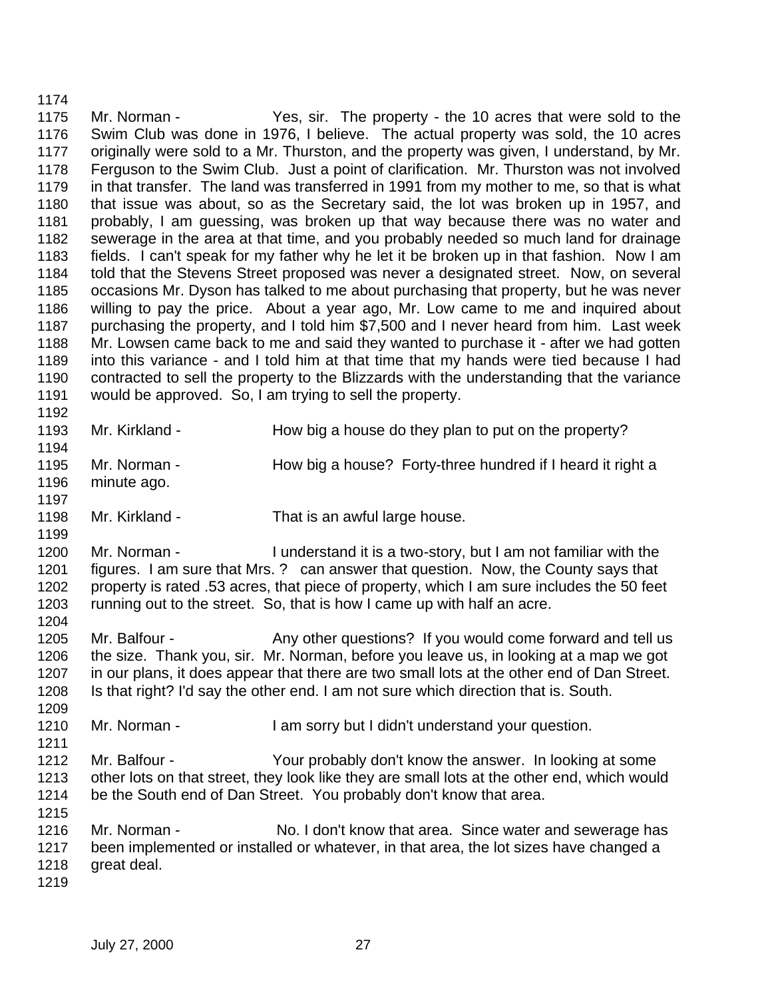Mr. Norman - Yes, sir. The property - the 10 acres that were sold to the Swim Club was done in 1976, I believe. The actual property was sold, the 10 acres originally were sold to a Mr. Thurston, and the property was given, I understand, by Mr. Ferguson to the Swim Club. Just a point of clarification. Mr. Thurston was not involved in that transfer. The land was transferred in 1991 from my mother to me, so that is what that issue was about, so as the Secretary said, the lot was broken up in 1957, and probably, I am guessing, was broken up that way because there was no water and sewerage in the area at that time, and you probably needed so much land for drainage fields. I can't speak for my father why he let it be broken up in that fashion. Now I am told that the Stevens Street proposed was never a designated street. Now, on several occasions Mr. Dyson has talked to me about purchasing that property, but he was never willing to pay the price. About a year ago, Mr. Low came to me and inquired about purchasing the property, and I told him \$7,500 and I never heard from him. Last week Mr. Lowsen came back to me and said they wanted to purchase it - after we had gotten into this variance - and I told him at that time that my hands were tied because I had contracted to sell the property to the Blizzards with the understanding that the variance would be approved. So, I am trying to sell the property. 

- 1193 Mr. Kirkland How big a house do they plan to put on the property?
- 1195 Mr. Norman How big a house? Forty-three hundred if I heard it right a
- minute ago.

- 1198 Mr. Kirkland That is an awful large house.
- Mr. Norman I understand it is a two-story, but I am not familiar with the figures. I am sure that Mrs. ? can answer that question. Now, the County says that property is rated .53 acres, that piece of property, which I am sure includes the 50 feet running out to the street. So, that is how I came up with half an acre.
- 1205 Mr. Balfour Any other questions? If you would come forward and tell us the size. Thank you, sir. Mr. Norman, before you leave us, in looking at a map we got in our plans, it does appear that there are two small lots at the other end of Dan Street. Is that right? I'd say the other end. I am not sure which direction that is. South.
- 1210 Mr. Norman I am sorry but I didn't understand your question.
- Mr. Balfour Your probably don't know the answer. In looking at some other lots on that street, they look like they are small lots at the other end, which would be the South end of Dan Street. You probably don't know that area.
- Mr. Norman No. I don't know that area. Since water and sewerage has been implemented or installed or whatever, in that area, the lot sizes have changed a great deal.
-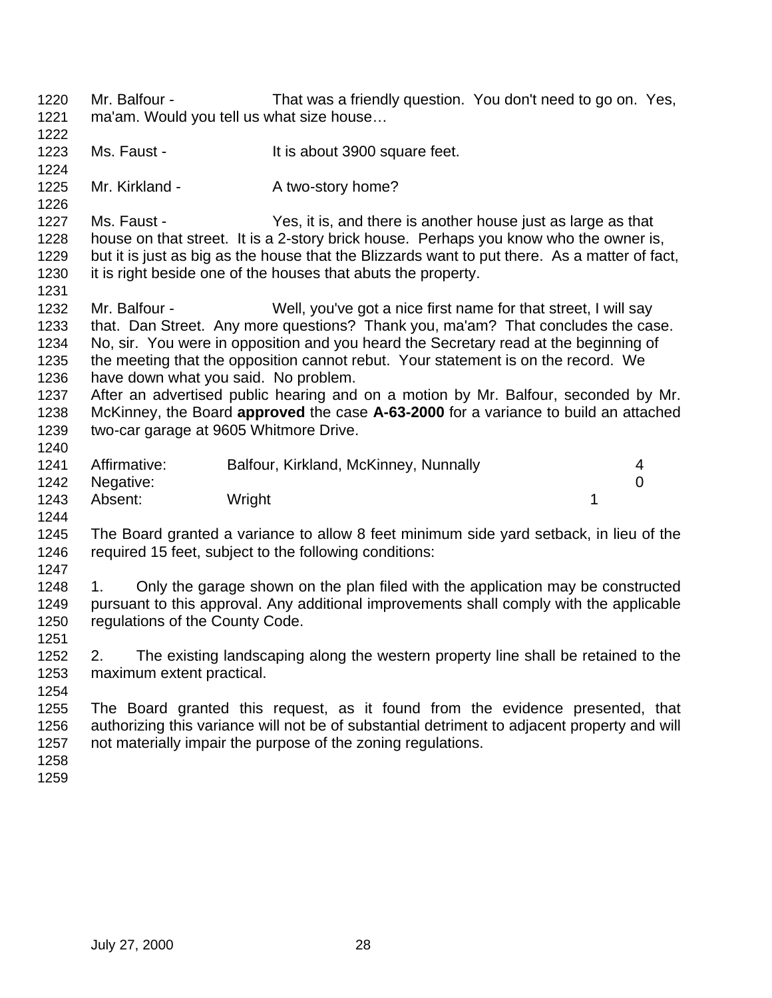- Mr. Balfour That was a friendly question. You don't need to go on. Yes, ma'am. Would you tell us what size house…
- 1223 Ms. Faust It is about 3900 square feet.
- 

- 1225 Mr. Kirkland A two-story home?
- Ms. Faust Yes, it is, and there is another house just as large as that house on that street. It is a 2-story brick house. Perhaps you know who the owner is, but it is just as big as the house that the Blizzards want to put there. As a matter of fact, it is right beside one of the houses that abuts the property.
- 

- Mr. Balfour Well, you've got a nice first name for that street, I will say that. Dan Street. Any more questions? Thank you, ma'am? That concludes the case. No, sir. You were in opposition and you heard the Secretary read at the beginning of the meeting that the opposition cannot rebut. Your statement is on the record. We have down what you said. No problem.
- After an advertised public hearing and on a motion by Mr. Balfour, seconded by Mr. McKinney, the Board **approved** the case **A-63-2000** for a variance to build an attached two-car garage at 9605 Whitmore Drive.
- Affirmative: Balfour, Kirkland, McKinney, Nunnally 4 Negative: 0 1243 Absent: Wright 1243 Absent: 1
- The Board granted a variance to allow 8 feet minimum side yard setback, in lieu of the required 15 feet, subject to the following conditions:
- 1. Only the garage shown on the plan filed with the application may be constructed pursuant to this approval. Any additional improvements shall comply with the applicable regulations of the County Code.
- 2. The existing landscaping along the western property line shall be retained to the maximum extent practical.
- 
- The Board granted this request, as it found from the evidence presented, that authorizing this variance will not be of substantial detriment to adjacent property and will not materially impair the purpose of the zoning regulations.
-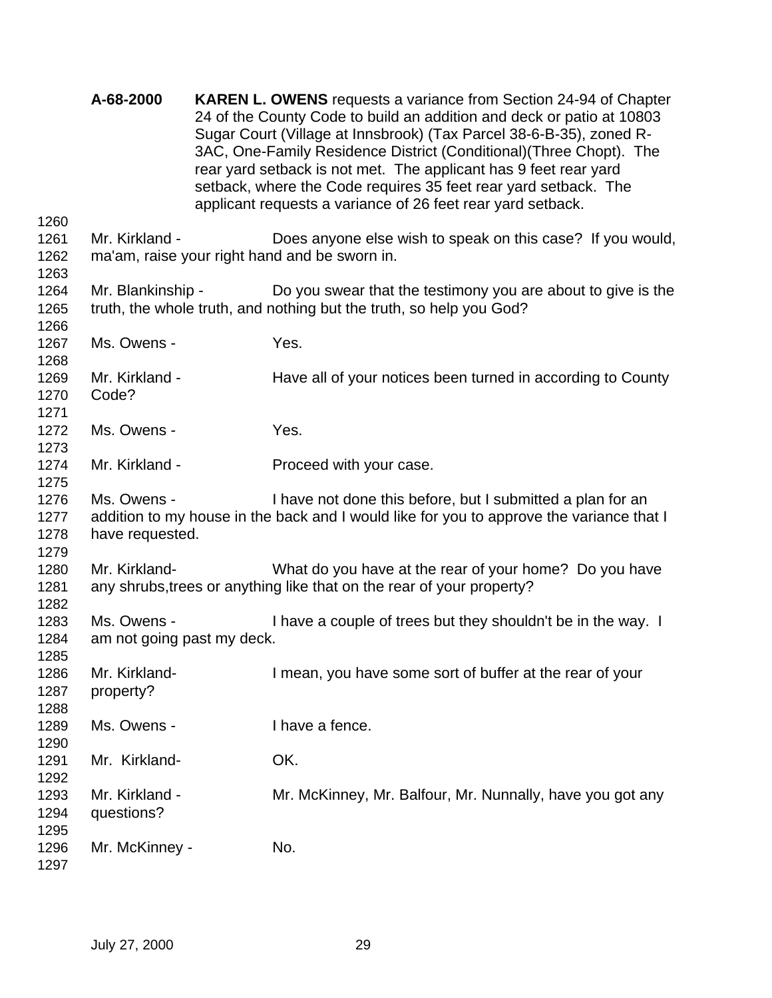|                              | A-68-2000                                 | <b>KAREN L. OWENS</b> requests a variance from Section 24-94 of Chapter<br>24 of the County Code to build an addition and deck or patio at 10803<br>Sugar Court (Village at Innsbrook) (Tax Parcel 38-6-B-35), zoned R-<br>3AC, One-Family Residence District (Conditional) (Three Chopt). The<br>rear yard setback is not met. The applicant has 9 feet rear yard<br>setback, where the Code requires 35 feet rear yard setback. The<br>applicant requests a variance of 26 feet rear yard setback. |
|------------------------------|-------------------------------------------|------------------------------------------------------------------------------------------------------------------------------------------------------------------------------------------------------------------------------------------------------------------------------------------------------------------------------------------------------------------------------------------------------------------------------------------------------------------------------------------------------|
| 1260<br>1261                 | Mr. Kirkland -                            |                                                                                                                                                                                                                                                                                                                                                                                                                                                                                                      |
| 1262<br>1263                 |                                           | Does anyone else wish to speak on this case? If you would,<br>ma'am, raise your right hand and be sworn in.                                                                                                                                                                                                                                                                                                                                                                                          |
| 1264<br>1265<br>1266         | Mr. Blankinship -                         | Do you swear that the testimony you are about to give is the<br>truth, the whole truth, and nothing but the truth, so help you God?                                                                                                                                                                                                                                                                                                                                                                  |
| 1267<br>1268                 | Ms. Owens -                               | Yes.                                                                                                                                                                                                                                                                                                                                                                                                                                                                                                 |
| 1269<br>1270<br>1271         | Mr. Kirkland -<br>Code?                   | Have all of your notices been turned in according to County                                                                                                                                                                                                                                                                                                                                                                                                                                          |
| 1272<br>1273                 | Ms. Owens -                               | Yes.                                                                                                                                                                                                                                                                                                                                                                                                                                                                                                 |
| 1274<br>1275                 | Mr. Kirkland -                            | Proceed with your case.                                                                                                                                                                                                                                                                                                                                                                                                                                                                              |
| 1276<br>1277<br>1278<br>1279 | Ms. Owens -<br>have requested.            | I have not done this before, but I submitted a plan for an<br>addition to my house in the back and I would like for you to approve the variance that I                                                                                                                                                                                                                                                                                                                                               |
| 1280<br>1281<br>1282         | Mr. Kirkland-                             | What do you have at the rear of your home? Do you have<br>any shrubs, trees or anything like that on the rear of your property?                                                                                                                                                                                                                                                                                                                                                                      |
| 1283<br>1284<br>1285         | Ms. Owens -<br>am not going past my deck. | I have a couple of trees but they shouldn't be in the way. I                                                                                                                                                                                                                                                                                                                                                                                                                                         |
| 1286<br>1287<br>1288         | Mr. Kirkland-<br>property?                | I mean, you have some sort of buffer at the rear of your                                                                                                                                                                                                                                                                                                                                                                                                                                             |
| 1289<br>1290                 | Ms. Owens -                               | I have a fence.                                                                                                                                                                                                                                                                                                                                                                                                                                                                                      |
| 1291<br>1292                 | Mr. Kirkland-                             | OK.                                                                                                                                                                                                                                                                                                                                                                                                                                                                                                  |
| 1293<br>1294<br>1295         | Mr. Kirkland -<br>questions?              | Mr. McKinney, Mr. Balfour, Mr. Nunnally, have you got any                                                                                                                                                                                                                                                                                                                                                                                                                                            |
| 1296<br>1297                 | Mr. McKinney -                            | No.                                                                                                                                                                                                                                                                                                                                                                                                                                                                                                  |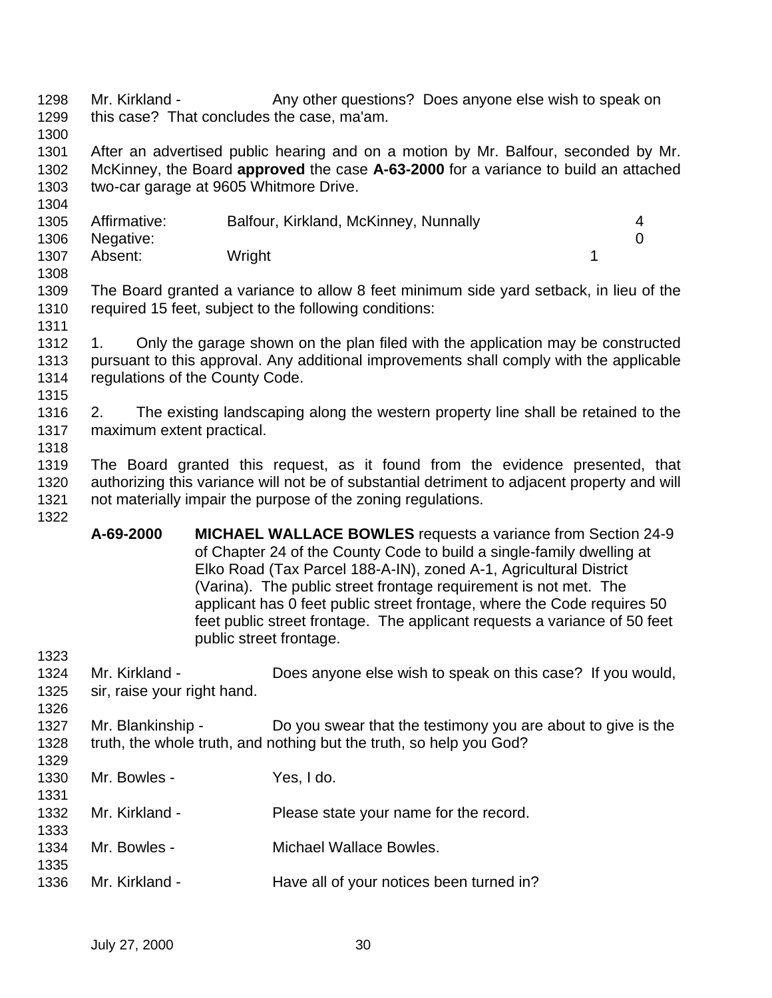- 1298 Mr. Kirkland Any other questions? Does anyone else wish to speak on this case? That concludes the case, ma'am.
- 

 After an advertised public hearing and on a motion by Mr. Balfour, seconded by Mr. McKinney, the Board **approved** the case **A-63-2000** for a variance to build an attached two-car garage at 9605 Whitmore Drive.

| 1305 | Affirmative: | Balfour, Kirkland, McKinney, Nunnally |  |
|------|--------------|---------------------------------------|--|
|      |              |                                       |  |
| 1306 | Negative:    |                                       |  |
| 1307 | Absent:      | Wright                                |  |
| 1308 |              |                                       |  |

 The Board granted a variance to allow 8 feet minimum side yard setback, in lieu of the required 15 feet, subject to the following conditions: 

- 1312 1. Only the garage shown on the plan filed with the application may be constructed pursuant to this approval. Any additional improvements shall comply with the applicable regulations of the County Code.
- 

 2. The existing landscaping along the western property line shall be retained to the maximum extent practical.

 The Board granted this request, as it found from the evidence presented, that authorizing this variance will not be of substantial detriment to adjacent property and will not materially impair the purpose of the zoning regulations. 

- **A-69-2000 MICHAEL WALLACE BOWLES** requests a variance from Section 24-9 of Chapter 24 of the County Code to build a single-family dwelling at Elko Road (Tax Parcel 188-A-IN), zoned A-1, Agricultural District (Varina). The public street frontage requirement is not met. The applicant has 0 feet public street frontage, where the Code requires 50 feet public street frontage. The applicant requests a variance of 50 feet public street frontage.
- Mr. Kirkland - Does anyone else wish to speak on this case? If you would, sir, raise your right hand. 1327 Mr. Blankinship - Do you swear that the testimony you are about to give is the truth, the whole truth, and nothing but the truth, so help you God? Mr. Bowles - Yes, I do. Mr. Kirkland - Please state your name for the record. Mr. Bowles - Michael Wallace Bowles. Mr. Kirkland - Have all of your notices been turned in?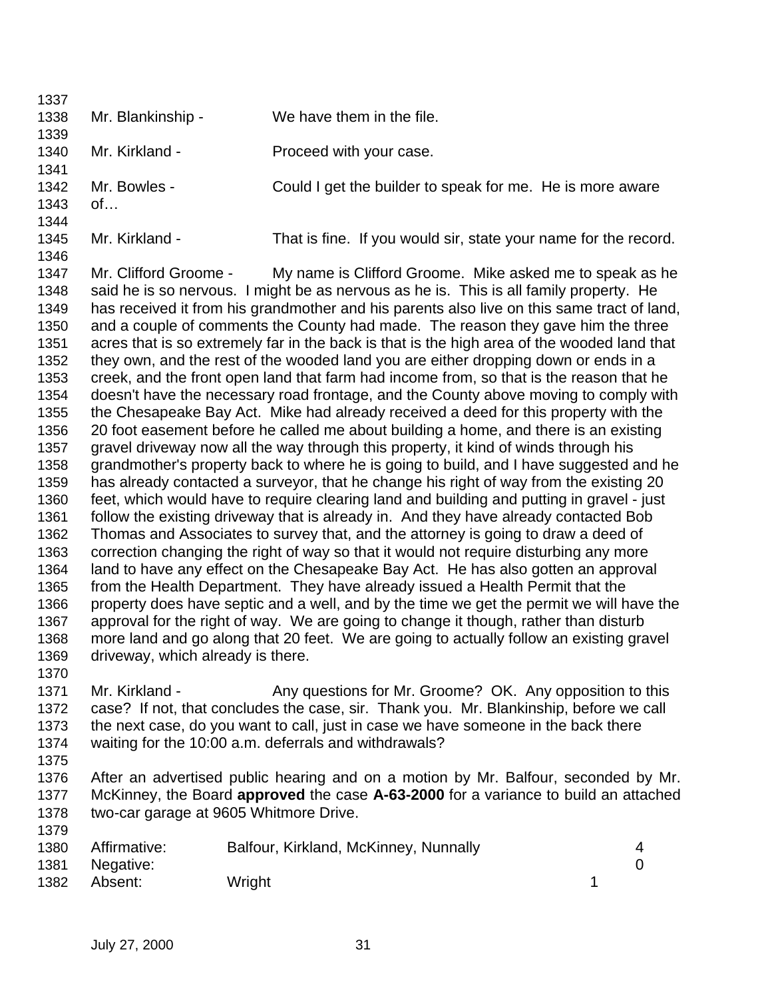| 1337         |                                  |                                                                                                                                                                    |
|--------------|----------------------------------|--------------------------------------------------------------------------------------------------------------------------------------------------------------------|
| 1338         | Mr. Blankinship -                | We have them in the file.                                                                                                                                          |
| 1339         |                                  |                                                                                                                                                                    |
| 1340         | Mr. Kirkland -                   | Proceed with your case.                                                                                                                                            |
| 1341         |                                  |                                                                                                                                                                    |
| 1342         | Mr. Bowles -                     | Could I get the builder to speak for me. He is more aware                                                                                                          |
| 1343         | of                               |                                                                                                                                                                    |
| 1344         |                                  |                                                                                                                                                                    |
| 1345         | Mr. Kirkland -                   | That is fine. If you would sir, state your name for the record.                                                                                                    |
| 1346         |                                  |                                                                                                                                                                    |
| 1347         | Mr. Clifford Groome -            | My name is Clifford Groome. Mike asked me to speak as he                                                                                                           |
| 1348         |                                  | said he is so nervous. I might be as nervous as he is. This is all family property. He                                                                             |
| 1349         |                                  | has received it from his grandmother and his parents also live on this same tract of land,                                                                         |
| 1350         |                                  | and a couple of comments the County had made. The reason they gave him the three                                                                                   |
| 1351         |                                  | acres that is so extremely far in the back is that is the high area of the wooded land that                                                                        |
| 1352         |                                  | they own, and the rest of the wooded land you are either dropping down or ends in a                                                                                |
| 1353         |                                  | creek, and the front open land that farm had income from, so that is the reason that he                                                                            |
| 1354         |                                  | doesn't have the necessary road frontage, and the County above moving to comply with                                                                               |
| 1355         |                                  | the Chesapeake Bay Act. Mike had already received a deed for this property with the                                                                                |
| 1356         |                                  | 20 foot easement before he called me about building a home, and there is an existing                                                                               |
| 1357         |                                  | gravel driveway now all the way through this property, it kind of winds through his                                                                                |
| 1358         |                                  | grandmother's property back to where he is going to build, and I have suggested and he                                                                             |
| 1359         |                                  | has already contacted a surveyor, that he change his right of way from the existing 20                                                                             |
| 1360         |                                  | feet, which would have to require clearing land and building and putting in gravel - just                                                                          |
| 1361         |                                  | follow the existing driveway that is already in. And they have already contacted Bob                                                                               |
| 1362         |                                  | Thomas and Associates to survey that, and the attorney is going to draw a deed of                                                                                  |
| 1363         |                                  | correction changing the right of way so that it would not require disturbing any more                                                                              |
| 1364         |                                  | land to have any effect on the Chesapeake Bay Act. He has also gotten an approval<br>from the Health Department. They have already issued a Health Permit that the |
| 1365<br>1366 |                                  | property does have septic and a well, and by the time we get the permit we will have the                                                                           |
| 1367         |                                  | approval for the right of way. We are going to change it though, rather than disturb                                                                               |
| 1368         |                                  | more land and go along that 20 feet. We are going to actually follow an existing gravel                                                                            |
| 1369         | driveway, which already is there |                                                                                                                                                                    |
| 1370         |                                  |                                                                                                                                                                    |
| 1371         | Mr. Kirkland -                   | Any questions for Mr. Groome? OK. Any opposition to this                                                                                                           |
| 1372         |                                  | case? If not, that concludes the case, sir. Thank you. Mr. Blankinship, before we call                                                                             |
| 1373         |                                  | the next case, do you want to call, just in case we have someone in the back there                                                                                 |
| 1374         |                                  | waiting for the 10:00 a.m. deferrals and withdrawals?                                                                                                              |
| 1375         |                                  |                                                                                                                                                                    |
| 1376         |                                  | After an advertised public hearing and on a motion by Mr. Balfour, seconded by Mr.                                                                                 |
| 1377         |                                  | McKinney, the Board approved the case A-63-2000 for a variance to build an attached                                                                                |
| 1378         |                                  | two-car garage at 9605 Whitmore Drive.                                                                                                                             |
| 1379         |                                  |                                                                                                                                                                    |
| 1380         | Affirmative:                     | Balfour, Kirkland, McKinney, Nunnally<br>4                                                                                                                         |
| 1381         | Negative:                        | $\overline{0}$                                                                                                                                                     |
| 1382         | Absent:                          | 1<br>Wright                                                                                                                                                        |
|              |                                  |                                                                                                                                                                    |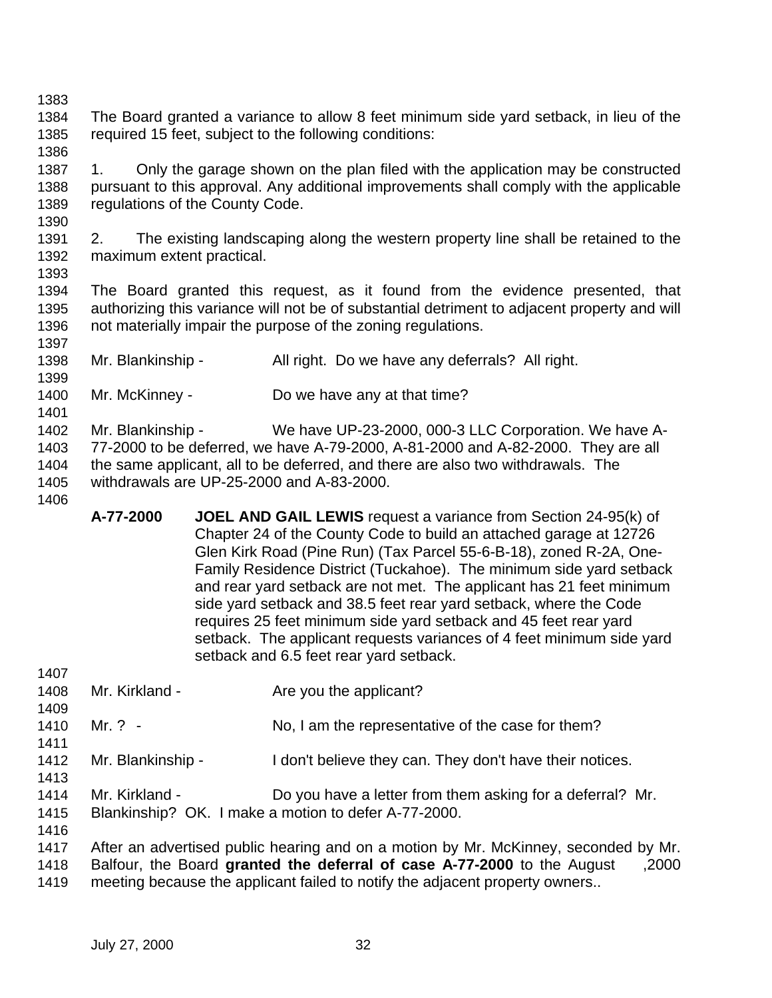- The Board granted a variance to allow 8 feet minimum side yard setback, in lieu of the required 15 feet, subject to the following conditions:
- 1. Only the garage shown on the plan filed with the application may be constructed pursuant to this approval. Any additional improvements shall comply with the applicable regulations of the County Code.
- 2. The existing landscaping along the western property line shall be retained to the maximum extent practical.
- 

- The Board granted this request, as it found from the evidence presented, that authorizing this variance will not be of substantial detriment to adjacent property and will not materially impair the purpose of the zoning regulations.
- 1398 Mr. Blankinship All right. Do we have any deferrals? All right.
- 1400 Mr. McKinney Do we have any at that time?

 Mr. Blankinship - We have UP-23-2000, 000-3 LLC Corporation. We have A- 77-2000 to be deferred, we have A-79-2000, A-81-2000 and A-82-2000. They are all the same applicant, all to be deferred, and there are also two withdrawals. The withdrawals are UP-25-2000 and A-83-2000.

**A-77-2000 JOEL AND GAIL LEWIS** request a variance from Section 24-95(k) of Chapter 24 of the County Code to build an attached garage at 12726 Glen Kirk Road (Pine Run) (Tax Parcel 55-6-B-18), zoned R-2A, One-Family Residence District (Tuckahoe). The minimum side yard setback and rear yard setback are not met. The applicant has 21 feet minimum side yard setback and 38.5 feet rear yard setback, where the Code requires 25 feet minimum side yard setback and 45 feet rear yard setback. The applicant requests variances of 4 feet minimum side yard setback and 6.5 feet rear yard setback.

| 1407 |                                                                                     |                                                                                  |  |  |  |
|------|-------------------------------------------------------------------------------------|----------------------------------------------------------------------------------|--|--|--|
| 1408 | Mr. Kirkland -                                                                      | Are you the applicant?                                                           |  |  |  |
| 1409 |                                                                                     |                                                                                  |  |  |  |
| 1410 | Mr. $? -$                                                                           | No, I am the representative of the case for them?                                |  |  |  |
|      |                                                                                     |                                                                                  |  |  |  |
| 1411 |                                                                                     |                                                                                  |  |  |  |
| 1412 | Mr. Blankinship -                                                                   | I don't believe they can. They don't have their notices.                         |  |  |  |
| 1413 |                                                                                     |                                                                                  |  |  |  |
| 1414 | Mr. Kirkland -                                                                      | Do you have a letter from them asking for a deferral? Mr.                        |  |  |  |
| 1415 |                                                                                     | Blankinship? OK. I make a motion to defer A-77-2000.                             |  |  |  |
| 1416 |                                                                                     |                                                                                  |  |  |  |
|      |                                                                                     |                                                                                  |  |  |  |
| 1417 | After an advertised public hearing and on a motion by Mr. McKinney, seconded by Mr. |                                                                                  |  |  |  |
| 1418 |                                                                                     | Balfour, the Board granted the deferral of case A-77-2000 to the August<br>,2000 |  |  |  |
| 1419 |                                                                                     | meeting because the applicant failed to notify the adjacent property owners      |  |  |  |
|      |                                                                                     |                                                                                  |  |  |  |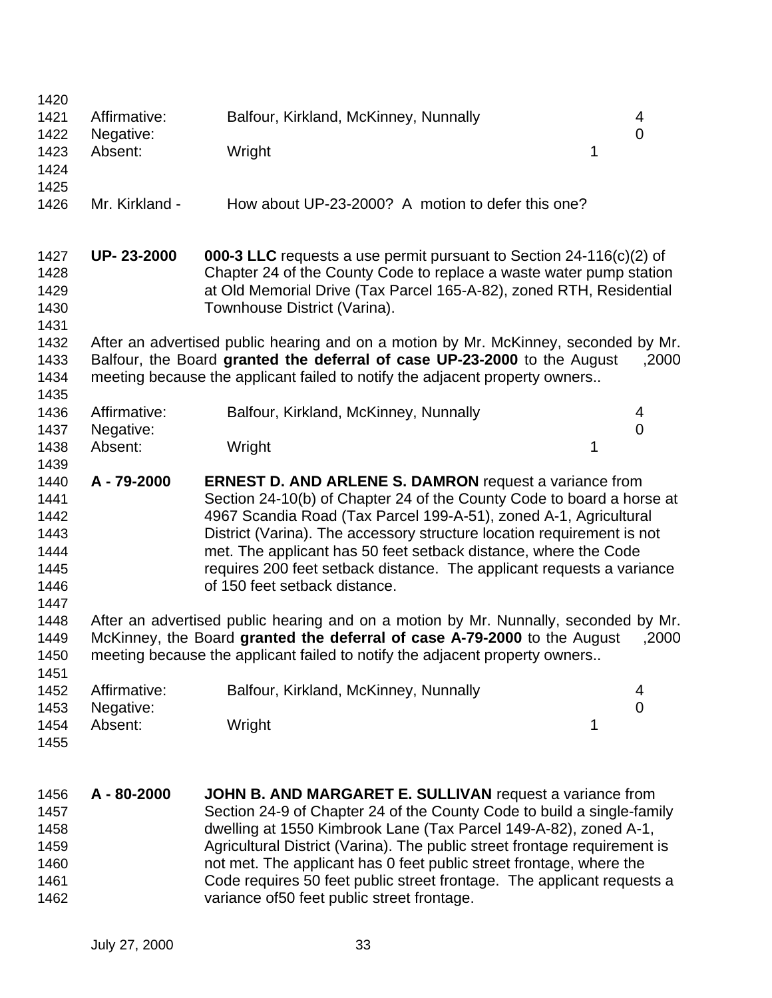| 1420<br>1421<br>1422<br>1423<br>1424<br>1425                 | Affirmative:<br>Negative:<br>Absent:                                | Balfour, Kirkland, McKinney, Nunnally<br>Wright<br>1                                                                                                                                                                                                                                                                                                                                                                                                              | 4<br>$\overline{0}$ |  |  |
|--------------------------------------------------------------|---------------------------------------------------------------------|-------------------------------------------------------------------------------------------------------------------------------------------------------------------------------------------------------------------------------------------------------------------------------------------------------------------------------------------------------------------------------------------------------------------------------------------------------------------|---------------------|--|--|
| 1426                                                         | Mr. Kirkland -<br>How about UP-23-2000? A motion to defer this one? |                                                                                                                                                                                                                                                                                                                                                                                                                                                                   |                     |  |  |
| 1427<br>1428<br>1429<br>1430<br>1431                         | UP-23-2000                                                          | <b>000-3 LLC</b> requests a use permit pursuant to Section 24-116(c)(2) of<br>Chapter 24 of the County Code to replace a waste water pump station<br>at Old Memorial Drive (Tax Parcel 165-A-82), zoned RTH, Residential<br>Townhouse District (Varina).                                                                                                                                                                                                          |                     |  |  |
| 1432<br>1433<br>1434<br>1435                                 |                                                                     | After an advertised public hearing and on a motion by Mr. McKinney, seconded by Mr.<br>Balfour, the Board granted the deferral of case UP-23-2000 to the August<br>meeting because the applicant failed to notify the adjacent property owners                                                                                                                                                                                                                    | ,2000               |  |  |
| 1436<br>1437                                                 | Affirmative:<br>Negative:                                           | Balfour, Kirkland, McKinney, Nunnally                                                                                                                                                                                                                                                                                                                                                                                                                             | 4<br>0              |  |  |
| 1438<br>1439                                                 | Absent:                                                             | 1<br>Wright                                                                                                                                                                                                                                                                                                                                                                                                                                                       |                     |  |  |
| 1440<br>1441<br>1442<br>1443<br>1444<br>1445<br>1446<br>1447 | A-79-2000                                                           | <b>ERNEST D. AND ARLENE S. DAMRON</b> request a variance from<br>Section 24-10(b) of Chapter 24 of the County Code to board a horse at<br>4967 Scandia Road (Tax Parcel 199-A-51), zoned A-1, Agricultural<br>District (Varina). The accessory structure location requirement is not<br>met. The applicant has 50 feet setback distance, where the Code<br>requires 200 feet setback distance. The applicant requests a variance<br>of 150 feet setback distance. |                     |  |  |
| 1448<br>1449<br>1450<br>1451                                 |                                                                     | After an advertised public hearing and on a motion by Mr. Nunnally, seconded by Mr.<br>McKinney, the Board granted the deferral of case A-79-2000 to the August<br>meeting because the applicant failed to notify the adjacent property owners                                                                                                                                                                                                                    | ,2000               |  |  |
| 1452<br>1453                                                 | Affirmative:<br>Negative:                                           | Balfour, Kirkland, McKinney, Nunnally                                                                                                                                                                                                                                                                                                                                                                                                                             | 4<br>$\mathbf 0$    |  |  |
| 1454<br>1455                                                 | Absent:                                                             | Wright<br>1                                                                                                                                                                                                                                                                                                                                                                                                                                                       |                     |  |  |
| 1456<br>1457<br>1458                                         | A - 80-2000                                                         | JOHN B. AND MARGARET E. SULLIVAN request a variance from<br>Section 24-9 of Chapter 24 of the County Code to build a single-family<br>dwelling at 1550 Kimbrook Lane (Tax Parcel 149-A-82), zoned A-1,                                                                                                                                                                                                                                                            |                     |  |  |

**Agricultural District (Varina). The public street frontage requirement is**  not met. The applicant has 0 feet public street frontage, where the Code requires 50 feet public street frontage. The applicant requests a variance of50 feet public street frontage.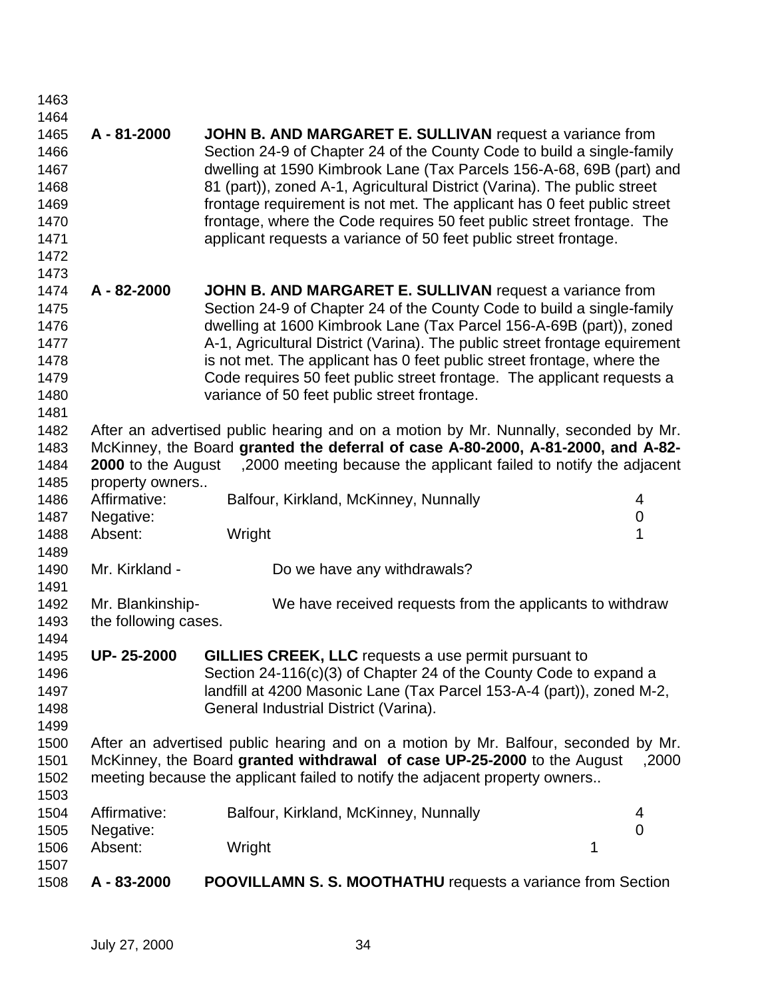| 1508         | A - 83-2000          | <b>POOVILLAMN S. S. MOOTHATHU</b> requests a variance from Section                  |                  |  |  |  |
|--------------|----------------------|-------------------------------------------------------------------------------------|------------------|--|--|--|
| 1506<br>1507 | Absent:              | Wright                                                                              | 1                |  |  |  |
| 1505         | Negative:            |                                                                                     | $\overline{0}$   |  |  |  |
| 1504         | Affirmative:         | Balfour, Kirkland, McKinney, Nunnally                                               | 4                |  |  |  |
| 1503         |                      |                                                                                     |                  |  |  |  |
| 1502         |                      | meeting because the applicant failed to notify the adjacent property owners         |                  |  |  |  |
| 1501         |                      | McKinney, the Board granted withdrawal of case UP-25-2000 to the August             | ,2000            |  |  |  |
| 1500         |                      | After an advertised public hearing and on a motion by Mr. Balfour, seconded by Mr.  |                  |  |  |  |
| 1499         |                      |                                                                                     |                  |  |  |  |
|              |                      |                                                                                     |                  |  |  |  |
| 1498         |                      | General Industrial District (Varina).                                               |                  |  |  |  |
| 1497         |                      | landfill at 4200 Masonic Lane (Tax Parcel 153-A-4 (part)), zoned M-2,               |                  |  |  |  |
| 1496         |                      | Section 24-116(c)(3) of Chapter 24 of the County Code to expand a                   |                  |  |  |  |
| 1495         | UP-25-2000           | GILLIES CREEK, LLC requests a use permit pursuant to                                |                  |  |  |  |
| 1494         |                      |                                                                                     |                  |  |  |  |
| 1493         | the following cases. |                                                                                     |                  |  |  |  |
| 1492         | Mr. Blankinship-     | We have received requests from the applicants to withdraw                           |                  |  |  |  |
| 1491         |                      |                                                                                     |                  |  |  |  |
| 1490         | Mr. Kirkland -       | Do we have any withdrawals?                                                         |                  |  |  |  |
| 1489         |                      |                                                                                     |                  |  |  |  |
| 1488         | Absent:              | Wright                                                                              | 1                |  |  |  |
| 1487         | Negative:            |                                                                                     | $\boldsymbol{0}$ |  |  |  |
| 1486         | Affirmative:         | Balfour, Kirkland, McKinney, Nunnally                                               | 4                |  |  |  |
| 1485         | property owners      |                                                                                     |                  |  |  |  |
| 1484         |                      | 2000 to the August 3000 meeting because the applicant failed to notify the adjacent |                  |  |  |  |
| 1483         |                      | McKinney, the Board granted the deferral of case A-80-2000, A-81-2000, and A-82-    |                  |  |  |  |
| 1482         |                      | After an advertised public hearing and on a motion by Mr. Nunnally, seconded by Mr. |                  |  |  |  |
| 1481         |                      |                                                                                     |                  |  |  |  |
| 1480         |                      | variance of 50 feet public street frontage.                                         |                  |  |  |  |
| 1479         |                      | Code requires 50 feet public street frontage. The applicant requests a              |                  |  |  |  |
| 1478         |                      | is not met. The applicant has 0 feet public street frontage, where the              |                  |  |  |  |
| 1477         |                      | A-1, Agricultural District (Varina). The public street frontage equirement          |                  |  |  |  |
| 1476         |                      | dwelling at 1600 Kimbrook Lane (Tax Parcel 156-A-69B (part)), zoned                 |                  |  |  |  |
| 1475         |                      | Section 24-9 of Chapter 24 of the County Code to build a single-family              |                  |  |  |  |
| 1474         | A - 82-2000          | JOHN B. AND MARGARET E. SULLIVAN request a variance from                            |                  |  |  |  |
| 1473         |                      |                                                                                     |                  |  |  |  |
| 1472         |                      |                                                                                     |                  |  |  |  |
| 1471         |                      | applicant requests a variance of 50 feet public street frontage.                    |                  |  |  |  |
| 1470         |                      | frontage, where the Code requires 50 feet public street frontage. The               |                  |  |  |  |
| 1469         |                      | frontage requirement is not met. The applicant has 0 feet public street             |                  |  |  |  |
| 1468         |                      | 81 (part)), zoned A-1, Agricultural District (Varina). The public street            |                  |  |  |  |
| 1467         |                      | dwelling at 1590 Kimbrook Lane (Tax Parcels 156-A-68, 69B (part) and                |                  |  |  |  |
| 1466         |                      | Section 24-9 of Chapter 24 of the County Code to build a single-family              |                  |  |  |  |
| 1465         | A-81-2000            | JOHN B. AND MARGARET E. SULLIVAN request a variance from                            |                  |  |  |  |
| 1464         |                      |                                                                                     |                  |  |  |  |
| 1463         |                      |                                                                                     |                  |  |  |  |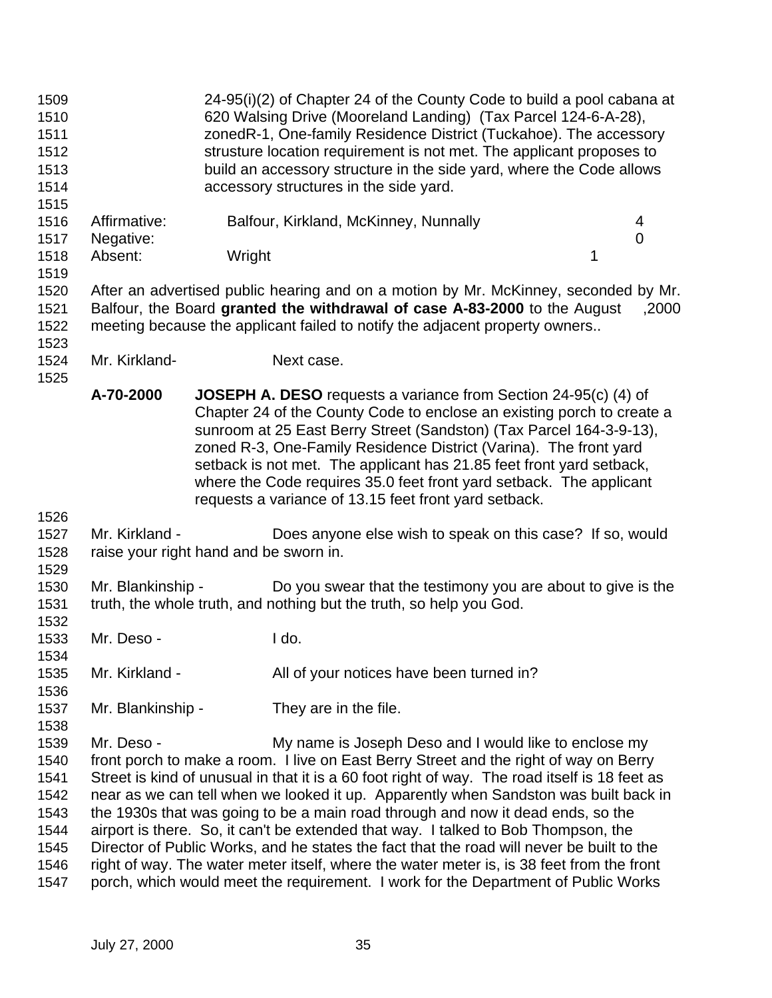| 1509<br>1510<br>1511<br>1512<br>1513<br>1514                                                                                                                                                                                                                                                                                                                                                                                                                                                                                                                                                                                                                                                                                                                                                                                                                                                   | 24-95(i)(2) of Chapter 24 of the County Code to build a pool cabana at<br>620 Walsing Drive (Mooreland Landing) (Tax Parcel 124-6-A-28),<br>zonedR-1, One-family Residence District (Tuckahoe). The accessory<br>strusture location requirement is not met. The applicant proposes to<br>build an accessory structure in the side yard, where the Code allows<br>accessory structures in the side yard. |        |                                                                                                                                                                                                                                                                                                                                                                                                                                                                                                      |   |                  |  |
|------------------------------------------------------------------------------------------------------------------------------------------------------------------------------------------------------------------------------------------------------------------------------------------------------------------------------------------------------------------------------------------------------------------------------------------------------------------------------------------------------------------------------------------------------------------------------------------------------------------------------------------------------------------------------------------------------------------------------------------------------------------------------------------------------------------------------------------------------------------------------------------------|---------------------------------------------------------------------------------------------------------------------------------------------------------------------------------------------------------------------------------------------------------------------------------------------------------------------------------------------------------------------------------------------------------|--------|------------------------------------------------------------------------------------------------------------------------------------------------------------------------------------------------------------------------------------------------------------------------------------------------------------------------------------------------------------------------------------------------------------------------------------------------------------------------------------------------------|---|------------------|--|
| 1515<br>1516<br>1517                                                                                                                                                                                                                                                                                                                                                                                                                                                                                                                                                                                                                                                                                                                                                                                                                                                                           | Affirmative:<br>Negative:                                                                                                                                                                                                                                                                                                                                                                               |        | Balfour, Kirkland, McKinney, Nunnally                                                                                                                                                                                                                                                                                                                                                                                                                                                                |   | 4<br>$\mathbf 0$ |  |
| 1518<br>1519                                                                                                                                                                                                                                                                                                                                                                                                                                                                                                                                                                                                                                                                                                                                                                                                                                                                                   | Absent:                                                                                                                                                                                                                                                                                                                                                                                                 | Wright |                                                                                                                                                                                                                                                                                                                                                                                                                                                                                                      | 1 |                  |  |
| 1520<br>1521<br>1522<br>1523                                                                                                                                                                                                                                                                                                                                                                                                                                                                                                                                                                                                                                                                                                                                                                                                                                                                   | After an advertised public hearing and on a motion by Mr. McKinney, seconded by Mr.<br>Balfour, the Board granted the withdrawal of case A-83-2000 to the August<br>,2000<br>meeting because the applicant failed to notify the adjacent property owners                                                                                                                                                |        |                                                                                                                                                                                                                                                                                                                                                                                                                                                                                                      |   |                  |  |
| 1524<br>1525                                                                                                                                                                                                                                                                                                                                                                                                                                                                                                                                                                                                                                                                                                                                                                                                                                                                                   | Mr. Kirkland-                                                                                                                                                                                                                                                                                                                                                                                           |        | Next case.                                                                                                                                                                                                                                                                                                                                                                                                                                                                                           |   |                  |  |
|                                                                                                                                                                                                                                                                                                                                                                                                                                                                                                                                                                                                                                                                                                                                                                                                                                                                                                | A-70-2000                                                                                                                                                                                                                                                                                                                                                                                               |        | <b>JOSEPH A. DESO</b> requests a variance from Section 24-95(c) (4) of<br>Chapter 24 of the County Code to enclose an existing porch to create a<br>sunroom at 25 East Berry Street (Sandston) (Tax Parcel 164-3-9-13),<br>zoned R-3, One-Family Residence District (Varina). The front yard<br>setback is not met. The applicant has 21.85 feet front yard setback,<br>where the Code requires 35.0 feet front yard setback. The applicant<br>requests a variance of 13.15 feet front yard setback. |   |                  |  |
| 1526                                                                                                                                                                                                                                                                                                                                                                                                                                                                                                                                                                                                                                                                                                                                                                                                                                                                                           |                                                                                                                                                                                                                                                                                                                                                                                                         |        |                                                                                                                                                                                                                                                                                                                                                                                                                                                                                                      |   |                  |  |
| 1527<br>1528<br>1529                                                                                                                                                                                                                                                                                                                                                                                                                                                                                                                                                                                                                                                                                                                                                                                                                                                                           | Mr. Kirkland -<br>raise your right hand and be sworn in.                                                                                                                                                                                                                                                                                                                                                |        | Does anyone else wish to speak on this case? If so, would                                                                                                                                                                                                                                                                                                                                                                                                                                            |   |                  |  |
| 1530<br>1531                                                                                                                                                                                                                                                                                                                                                                                                                                                                                                                                                                                                                                                                                                                                                                                                                                                                                   | Mr. Blankinship -                                                                                                                                                                                                                                                                                                                                                                                       |        | Do you swear that the testimony you are about to give is the<br>truth, the whole truth, and nothing but the truth, so help you God.                                                                                                                                                                                                                                                                                                                                                                  |   |                  |  |
| 1532<br>1533<br>1534                                                                                                                                                                                                                                                                                                                                                                                                                                                                                                                                                                                                                                                                                                                                                                                                                                                                           | Mr. Deso -                                                                                                                                                                                                                                                                                                                                                                                              |        | I do.                                                                                                                                                                                                                                                                                                                                                                                                                                                                                                |   |                  |  |
| 1535<br>1536                                                                                                                                                                                                                                                                                                                                                                                                                                                                                                                                                                                                                                                                                                                                                                                                                                                                                   | Mr. Kirkland -                                                                                                                                                                                                                                                                                                                                                                                          |        | All of your notices have been turned in?                                                                                                                                                                                                                                                                                                                                                                                                                                                             |   |                  |  |
| 1537                                                                                                                                                                                                                                                                                                                                                                                                                                                                                                                                                                                                                                                                                                                                                                                                                                                                                           | Mr. Blankinship -                                                                                                                                                                                                                                                                                                                                                                                       |        | They are in the file.                                                                                                                                                                                                                                                                                                                                                                                                                                                                                |   |                  |  |
| 1538<br>Mr. Deso -<br>1539<br>My name is Joseph Deso and I would like to enclose my<br>front porch to make a room. I live on East Berry Street and the right of way on Berry<br>1540<br>Street is kind of unusual in that it is a 60 foot right of way. The road itself is 18 feet as<br>1541<br>near as we can tell when we looked it up. Apparently when Sandston was built back in<br>1542<br>the 1930s that was going to be a main road through and now it dead ends, so the<br>1543<br>airport is there. So, it can't be extended that way. I talked to Bob Thompson, the<br>1544<br>Director of Public Works, and he states the fact that the road will never be built to the<br>1545<br>right of way. The water meter itself, where the water meter is, is 38 feet from the front<br>1546<br>porch, which would meet the requirement. I work for the Department of Public Works<br>1547 |                                                                                                                                                                                                                                                                                                                                                                                                         |        |                                                                                                                                                                                                                                                                                                                                                                                                                                                                                                      |   |                  |  |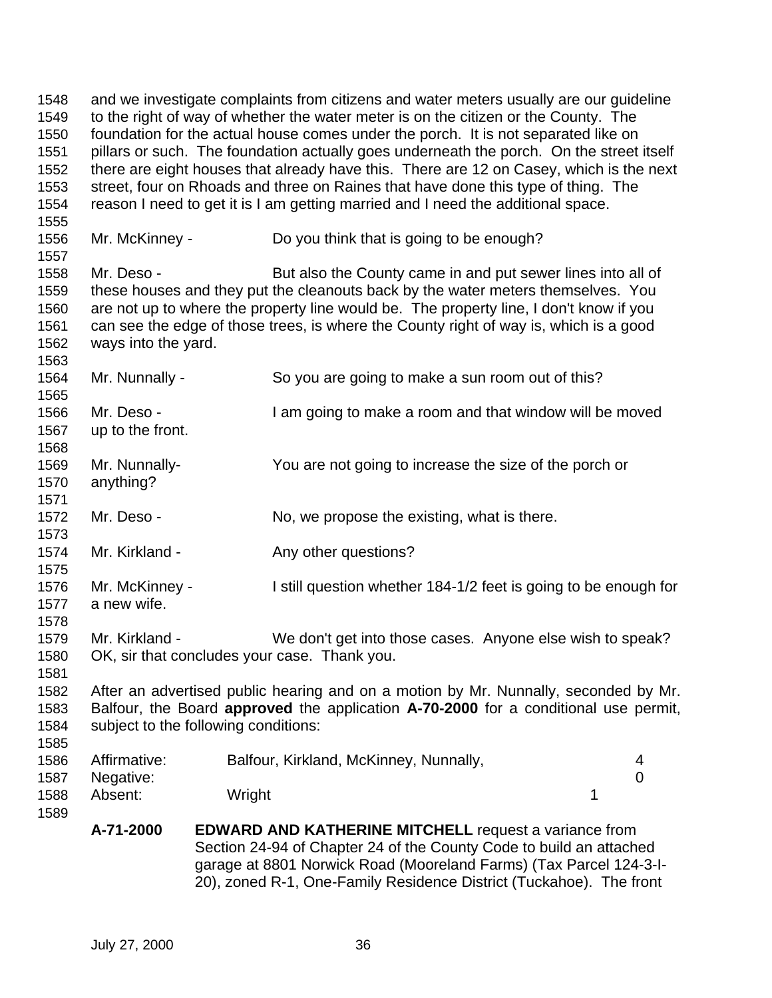and we investigate complaints from citizens and water meters usually are our guideline to the right of way of whether the water meter is on the citizen or the County. The foundation for the actual house comes under the porch. It is not separated like on pillars or such. The foundation actually goes underneath the porch. On the street itself there are eight houses that already have this. There are 12 on Casey, which is the next street, four on Rhoads and three on Raines that have done this type of thing. The reason I need to get it is I am getting married and I need the additional space. Mr. McKinney - Do you think that is going to be enough? 1558 Mr. Deso - But also the County came in and put sewer lines into all of these houses and they put the cleanouts back by the water meters themselves. You are not up to where the property line would be. The property line, I don't know if you can see the edge of those trees, is where the County right of way is, which is a good ways into the yard. Mr. Nunnally - So you are going to make a sun room out of this? Mr. Deso - I am going to make a room and that window will be moved up to the front. Mr. Nunnally- You are not going to increase the size of the porch or anything? 1572 Mr. Deso - No, we propose the existing, what is there. 1574 Mr. Kirkland - Any other questions? Mr. McKinney - I still question whether 184-1/2 feet is going to be enough for a new wife. Mr. Kirkland - We don't get into those cases. Anyone else wish to speak? OK, sir that concludes your case. Thank you. After an advertised public hearing and on a motion by Mr. Nunnally, seconded by Mr. Balfour, the Board **approved** the application **A-70-2000** for a conditional use permit, subject to the following conditions: Affirmative: Balfour, Kirkland, McKinney, Nunnally, 4 Negative: 0 1588 Absent: Wright 1588 Absent: 1 **A-71-2000 EDWARD AND KATHERINE MITCHELL** request a variance from Section 24-94 of Chapter 24 of the County Code to build an attached garage at 8801 Norwick Road (Mooreland Farms) (Tax Parcel 124-3-I-20), zoned R-1, One-Family Residence District (Tuckahoe). The front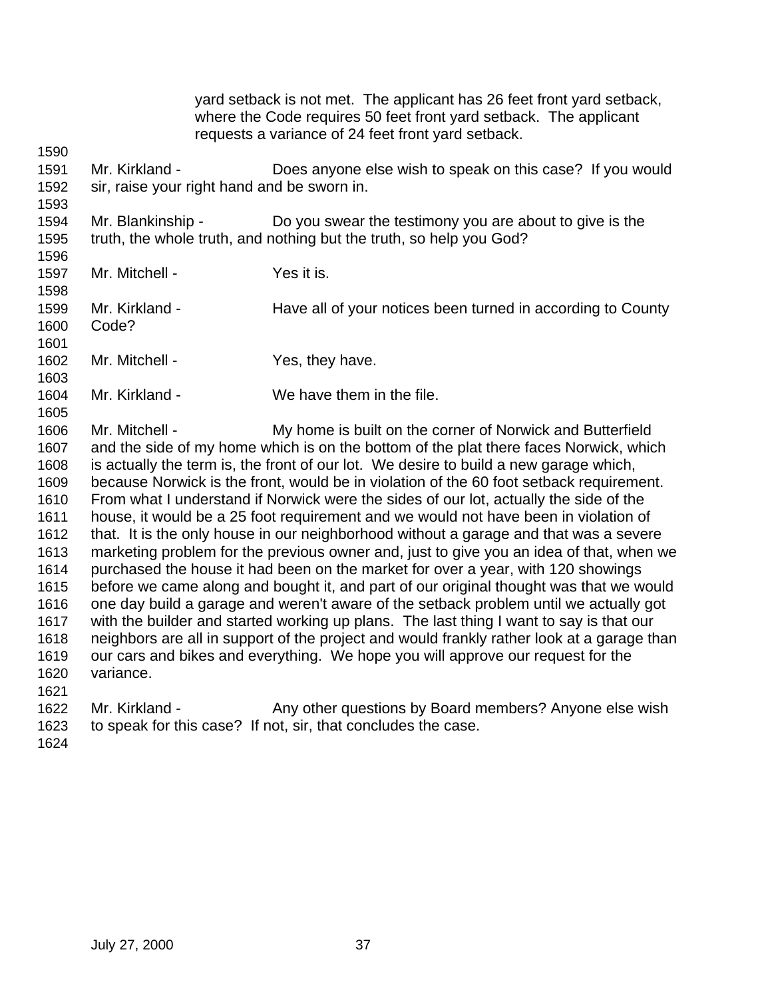|                                                                                                                              |                                                                                                                                                                                                                                                                                             |                           | where the Code requires 50 feet front yard setback. The applicant<br>requests a variance of 24 feet front yard setback. | yard setback is not met. The applicant has 26 feet front yard setback,                                                                                                                                                                                                                                                                                                                                                                                                                                                                                                                                                                                                                                                                                                                                                                                                                                                                                                                        |  |
|------------------------------------------------------------------------------------------------------------------------------|---------------------------------------------------------------------------------------------------------------------------------------------------------------------------------------------------------------------------------------------------------------------------------------------|---------------------------|-------------------------------------------------------------------------------------------------------------------------|-----------------------------------------------------------------------------------------------------------------------------------------------------------------------------------------------------------------------------------------------------------------------------------------------------------------------------------------------------------------------------------------------------------------------------------------------------------------------------------------------------------------------------------------------------------------------------------------------------------------------------------------------------------------------------------------------------------------------------------------------------------------------------------------------------------------------------------------------------------------------------------------------------------------------------------------------------------------------------------------------|--|
| 1590                                                                                                                         |                                                                                                                                                                                                                                                                                             |                           |                                                                                                                         |                                                                                                                                                                                                                                                                                                                                                                                                                                                                                                                                                                                                                                                                                                                                                                                                                                                                                                                                                                                               |  |
| 1591<br>1592<br>1593                                                                                                         | Mr. Kirkland -<br>sir, raise your right hand and be sworn in.                                                                                                                                                                                                                               |                           |                                                                                                                         | Does anyone else wish to speak on this case? If you would                                                                                                                                                                                                                                                                                                                                                                                                                                                                                                                                                                                                                                                                                                                                                                                                                                                                                                                                     |  |
| 1594<br>1595                                                                                                                 | Mr. Blankinship -<br>truth, the whole truth, and nothing but the truth, so help you God?                                                                                                                                                                                                    |                           |                                                                                                                         | Do you swear the testimony you are about to give is the                                                                                                                                                                                                                                                                                                                                                                                                                                                                                                                                                                                                                                                                                                                                                                                                                                                                                                                                       |  |
| 1596<br>1597                                                                                                                 | Mr. Mitchell -                                                                                                                                                                                                                                                                              | Yes it is.                |                                                                                                                         |                                                                                                                                                                                                                                                                                                                                                                                                                                                                                                                                                                                                                                                                                                                                                                                                                                                                                                                                                                                               |  |
| 1598<br>1599<br>1600<br>1601                                                                                                 | Mr. Kirkland -<br>Code?                                                                                                                                                                                                                                                                     |                           |                                                                                                                         | Have all of your notices been turned in according to County                                                                                                                                                                                                                                                                                                                                                                                                                                                                                                                                                                                                                                                                                                                                                                                                                                                                                                                                   |  |
| 1602<br>1603                                                                                                                 | Mr. Mitchell -                                                                                                                                                                                                                                                                              | Yes, they have.           |                                                                                                                         |                                                                                                                                                                                                                                                                                                                                                                                                                                                                                                                                                                                                                                                                                                                                                                                                                                                                                                                                                                                               |  |
| 1604<br>1605                                                                                                                 | Mr. Kirkland -                                                                                                                                                                                                                                                                              | We have them in the file. |                                                                                                                         |                                                                                                                                                                                                                                                                                                                                                                                                                                                                                                                                                                                                                                                                                                                                                                                                                                                                                                                                                                                               |  |
| 1606<br>1607<br>1608<br>1609<br>1610<br>1611<br>1612<br>1613<br>1614<br>1615<br>1616<br>1617<br>1618<br>1619<br>1620<br>1621 | Mr. Mitchell -<br>is actually the term is, the front of our lot. We desire to build a new garage which,<br>purchased the house it had been on the market for over a year, with 120 showings<br>our cars and bikes and everything. We hope you will approve our request for the<br>variance. |                           |                                                                                                                         | My home is built on the corner of Norwick and Butterfield<br>and the side of my home which is on the bottom of the plat there faces Norwick, which<br>because Norwick is the front, would be in violation of the 60 foot setback requirement.<br>From what I understand if Norwick were the sides of our lot, actually the side of the<br>house, it would be a 25 foot requirement and we would not have been in violation of<br>that. It is the only house in our neighborhood without a garage and that was a severe<br>marketing problem for the previous owner and, just to give you an idea of that, when we<br>before we came along and bought it, and part of our original thought was that we would<br>one day build a garage and weren't aware of the setback problem until we actually got<br>with the builder and started working up plans. The last thing I want to say is that our<br>neighbors are all in support of the project and would frankly rather look at a garage than |  |
| 1622<br>1623<br>1624                                                                                                         | Mr. Kirkland -<br>to speak for this case? If not, sir, that concludes the case.                                                                                                                                                                                                             |                           |                                                                                                                         | Any other questions by Board members? Anyone else wish                                                                                                                                                                                                                                                                                                                                                                                                                                                                                                                                                                                                                                                                                                                                                                                                                                                                                                                                        |  |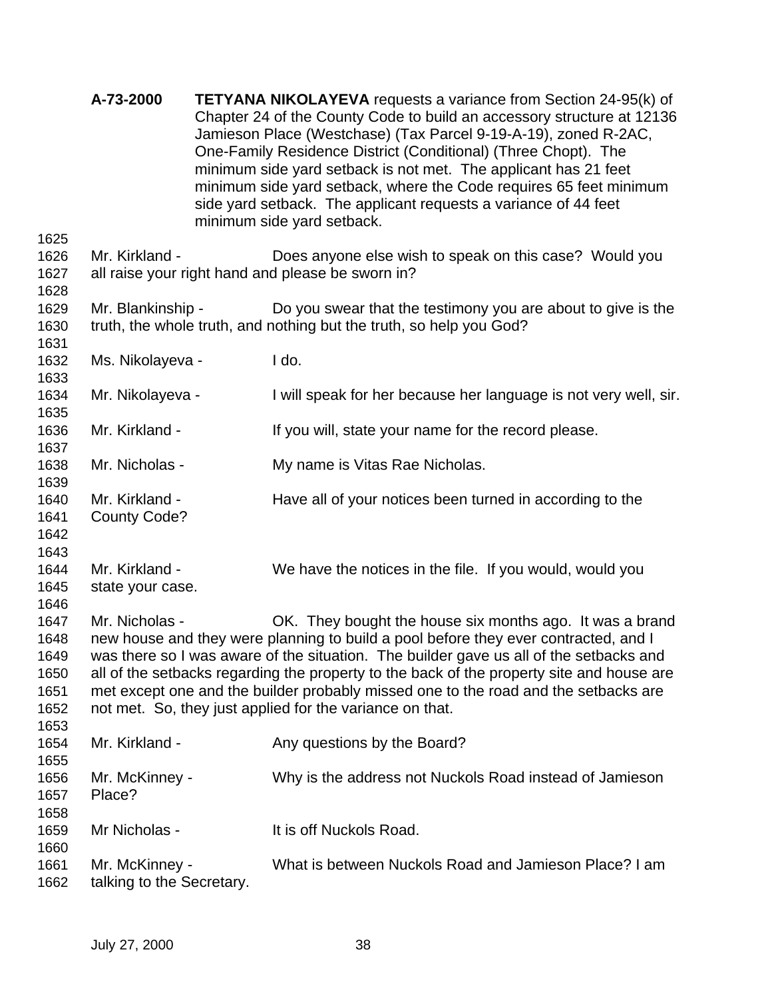|                                              | A-73-2000                                   | <b>TETYANA NIKOLAYEVA</b> requests a variance from Section 24-95(k) of<br>Chapter 24 of the County Code to build an accessory structure at 12136<br>Jamieson Place (Westchase) (Tax Parcel 9-19-A-19), zoned R-2AC,<br>One-Family Residence District (Conditional) (Three Chopt). The<br>minimum side yard setback is not met. The applicant has 21 feet<br>minimum side yard setback, where the Code requires 65 feet minimum<br>side yard setback. The applicant requests a variance of 44 feet<br>minimum side yard setback. |
|----------------------------------------------|---------------------------------------------|---------------------------------------------------------------------------------------------------------------------------------------------------------------------------------------------------------------------------------------------------------------------------------------------------------------------------------------------------------------------------------------------------------------------------------------------------------------------------------------------------------------------------------|
| 1625<br>1626<br>1627                         | Mr. Kirkland -                              | Does anyone else wish to speak on this case? Would you<br>all raise your right hand and please be sworn in?                                                                                                                                                                                                                                                                                                                                                                                                                     |
| 1628<br>1629<br>1630                         | Mr. Blankinship -                           | Do you swear that the testimony you are about to give is the<br>truth, the whole truth, and nothing but the truth, so help you God?                                                                                                                                                                                                                                                                                                                                                                                             |
| 1631<br>1632                                 | Ms. Nikolayeva -                            | I do.                                                                                                                                                                                                                                                                                                                                                                                                                                                                                                                           |
| 1633<br>1634<br>1635                         | Mr. Nikolayeva -                            | I will speak for her because her language is not very well, sir.                                                                                                                                                                                                                                                                                                                                                                                                                                                                |
| 1636<br>1637                                 | Mr. Kirkland -                              | If you will, state your name for the record please.                                                                                                                                                                                                                                                                                                                                                                                                                                                                             |
| 1638<br>1639                                 | Mr. Nicholas -                              | My name is Vitas Rae Nicholas.                                                                                                                                                                                                                                                                                                                                                                                                                                                                                                  |
| 1640<br>1641<br>1642                         | Mr. Kirkland -<br><b>County Code?</b>       | Have all of your notices been turned in according to the                                                                                                                                                                                                                                                                                                                                                                                                                                                                        |
| 1643<br>1644<br>1645<br>1646                 | Mr. Kirkland -<br>state your case.          | We have the notices in the file. If you would, would you                                                                                                                                                                                                                                                                                                                                                                                                                                                                        |
| 1647<br>1648<br>1649<br>1650<br>1651<br>1652 | Mr. Nicholas -                              | OK. They bought the house six months ago. It was a brand<br>new house and they were planning to build a pool before they ever contracted, and I<br>was there so I was aware of the situation. The builder gave us all of the setbacks and<br>all of the setbacks regarding the property to the back of the property site and house are<br>met except one and the builder probably missed one to the road and the setbacks are<br>not met. So, they just applied for the variance on that.                                       |
| 1653<br>1654                                 | Mr. Kirkland -                              | Any questions by the Board?                                                                                                                                                                                                                                                                                                                                                                                                                                                                                                     |
| 1655<br>1656<br>1657<br>1658                 | Mr. McKinney -<br>Place?                    | Why is the address not Nuckols Road instead of Jamieson                                                                                                                                                                                                                                                                                                                                                                                                                                                                         |
| 1659<br>1660                                 | Mr Nicholas -                               | It is off Nuckols Road.                                                                                                                                                                                                                                                                                                                                                                                                                                                                                                         |
| 1661<br>1662                                 | Mr. McKinney -<br>talking to the Secretary. | What is between Nuckols Road and Jamieson Place? I am                                                                                                                                                                                                                                                                                                                                                                                                                                                                           |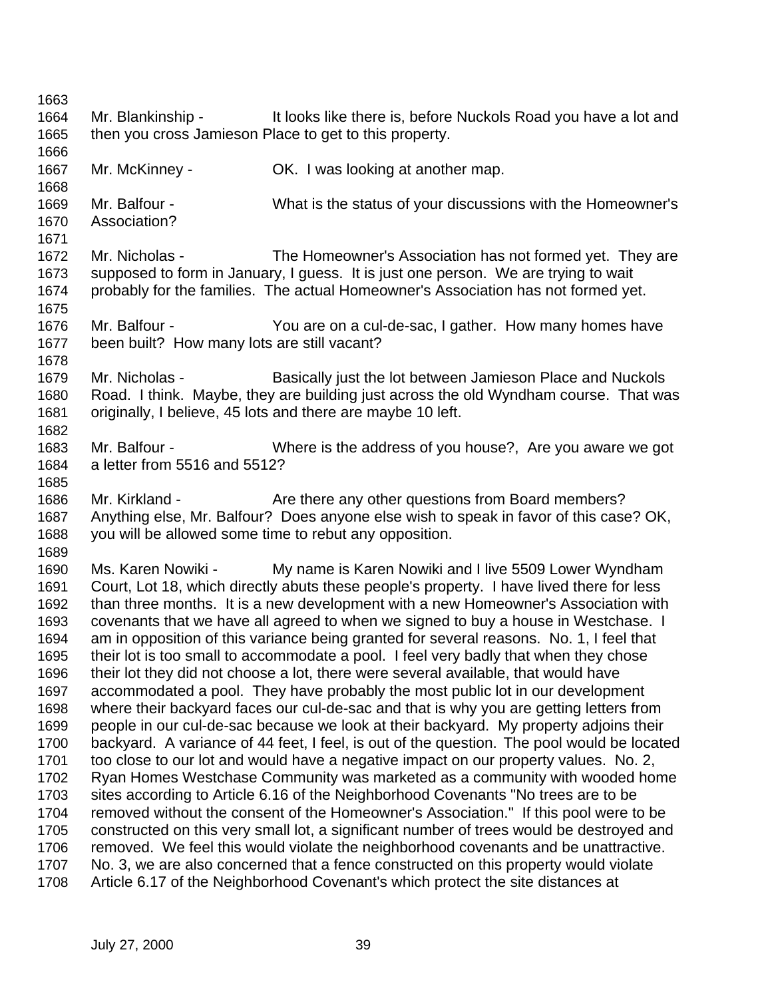Mr. Blankinship - It looks like there is, before Nuckols Road you have a lot and then you cross Jamieson Place to get to this property. 1667 Mr. McKinney - **OK. I was looking at another map.**  Mr. Balfour - What is the status of your discussions with the Homeowner's Association? Mr. Nicholas - The Homeowner's Association has not formed yet. They are supposed to form in January, I guess. It is just one person. We are trying to wait probably for the families. The actual Homeowner's Association has not formed yet. Mr. Balfour - You are on a cul-de-sac, I gather. How many homes have been built? How many lots are still vacant? Mr. Nicholas - Basically just the lot between Jamieson Place and Nuckols Road. I think. Maybe, they are building just across the old Wyndham course. That was originally, I believe, 45 lots and there are maybe 10 left. Mr. Balfour - Where is the address of you house?, Are you aware we got a letter from 5516 and 5512? 1686 Mr. Kirkland - Are there any other questions from Board members? Anything else, Mr. Balfour? Does anyone else wish to speak in favor of this case? OK, you will be allowed some time to rebut any opposition. Ms. Karen Nowiki - My name is Karen Nowiki and I live 5509 Lower Wyndham Court, Lot 18, which directly abuts these people's property. I have lived there for less than three months. It is a new development with a new Homeowner's Association with covenants that we have all agreed to when we signed to buy a house in Westchase. I am in opposition of this variance being granted for several reasons. No. 1, I feel that their lot is too small to accommodate a pool. I feel very badly that when they chose their lot they did not choose a lot, there were several available, that would have accommodated a pool. They have probably the most public lot in our development where their backyard faces our cul-de-sac and that is why you are getting letters from people in our cul-de-sac because we look at their backyard. My property adjoins their backyard. A variance of 44 feet, I feel, is out of the question. The pool would be located too close to our lot and would have a negative impact on our property values. No. 2, Ryan Homes Westchase Community was marketed as a community with wooded home sites according to Article 6.16 of the Neighborhood Covenants "No trees are to be removed without the consent of the Homeowner's Association." If this pool were to be constructed on this very small lot, a significant number of trees would be destroyed and removed. We feel this would violate the neighborhood covenants and be unattractive. No. 3, we are also concerned that a fence constructed on this property would violate Article 6.17 of the Neighborhood Covenant's which protect the site distances at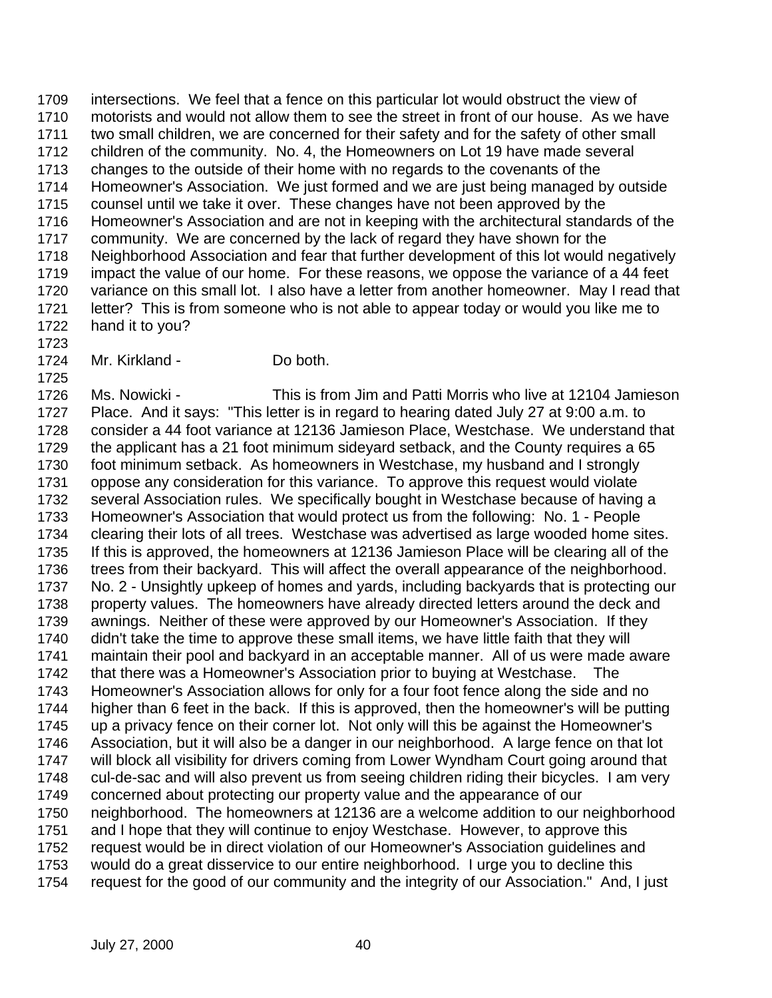intersections. We feel that a fence on this particular lot would obstruct the view of motorists and would not allow them to see the street in front of our house. As we have two small children, we are concerned for their safety and for the safety of other small children of the community. No. 4, the Homeowners on Lot 19 have made several changes to the outside of their home with no regards to the covenants of the Homeowner's Association. We just formed and we are just being managed by outside counsel until we take it over. These changes have not been approved by the Homeowner's Association and are not in keeping with the architectural standards of the community. We are concerned by the lack of regard they have shown for the Neighborhood Association and fear that further development of this lot would negatively impact the value of our home. For these reasons, we oppose the variance of a 44 feet variance on this small lot. I also have a letter from another homeowner. May I read that letter? This is from someone who is not able to appear today or would you like me to hand it to you?

Mr. Kirkland - Do both.

 Ms. Nowicki - This is from Jim and Patti Morris who live at 12104 Jamieson Place. And it says: "This letter is in regard to hearing dated July 27 at 9:00 a.m. to consider a 44 foot variance at 12136 Jamieson Place, Westchase. We understand that the applicant has a 21 foot minimum sideyard setback, and the County requires a 65 foot minimum setback. As homeowners in Westchase, my husband and I strongly oppose any consideration for this variance. To approve this request would violate several Association rules. We specifically bought in Westchase because of having a Homeowner's Association that would protect us from the following: No. 1 - People clearing their lots of all trees. Westchase was advertised as large wooded home sites. If this is approved, the homeowners at 12136 Jamieson Place will be clearing all of the trees from their backyard. This will affect the overall appearance of the neighborhood. No. 2 - Unsightly upkeep of homes and yards, including backyards that is protecting our property values. The homeowners have already directed letters around the deck and awnings. Neither of these were approved by our Homeowner's Association. If they didn't take the time to approve these small items, we have little faith that they will maintain their pool and backyard in an acceptable manner. All of us were made aware that there was a Homeowner's Association prior to buying at Westchase. The Homeowner's Association allows for only for a four foot fence along the side and no higher than 6 feet in the back. If this is approved, then the homeowner's will be putting up a privacy fence on their corner lot. Not only will this be against the Homeowner's Association, but it will also be a danger in our neighborhood. A large fence on that lot will block all visibility for drivers coming from Lower Wyndham Court going around that cul-de-sac and will also prevent us from seeing children riding their bicycles. I am very concerned about protecting our property value and the appearance of our neighborhood. The homeowners at 12136 are a welcome addition to our neighborhood and I hope that they will continue to enjoy Westchase. However, to approve this request would be in direct violation of our Homeowner's Association guidelines and would do a great disservice to our entire neighborhood. I urge you to decline this request for the good of our community and the integrity of our Association." And, I just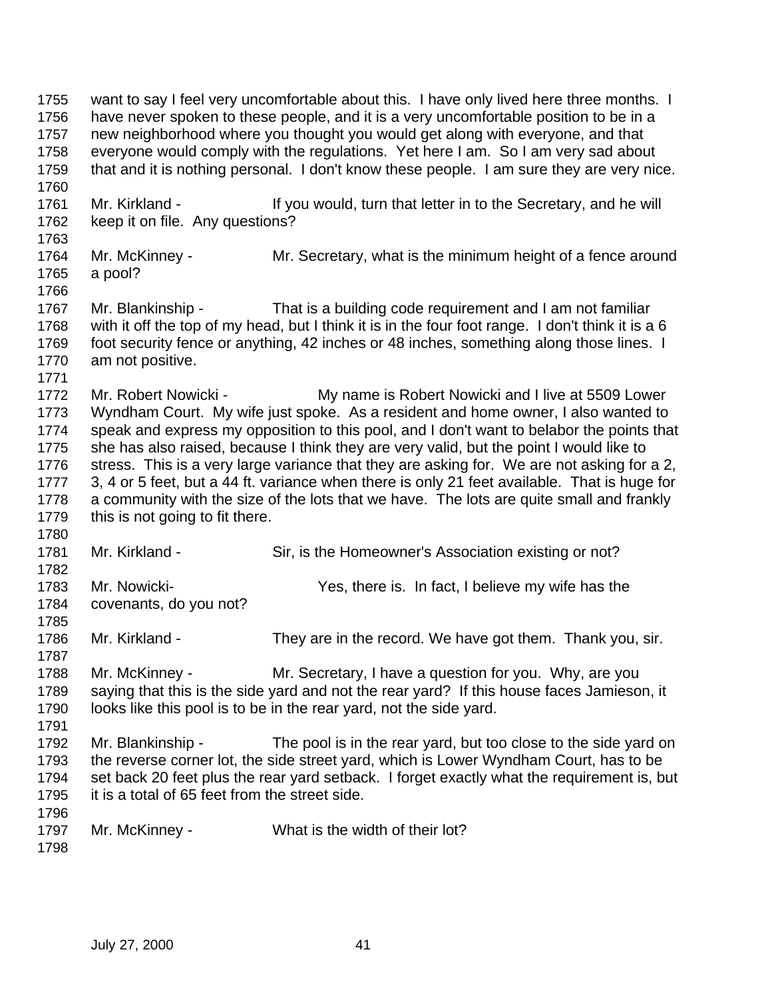1755 want to say I feel very uncomfortable about this. I have only lived here three months. I have never spoken to these people, and it is a very uncomfortable position to be in a new neighborhood where you thought you would get along with everyone, and that everyone would comply with the regulations. Yet here I am. So I am very sad about that and it is nothing personal. I don't know these people. I am sure they are very nice. 1761 Mr. Kirkland - If you would, turn that letter in to the Secretary, and he will keep it on file. Any questions? Mr. McKinney - Mr. Secretary, what is the minimum height of a fence around a pool? Mr. Blankinship - That is a building code requirement and I am not familiar with it off the top of my head, but I think it is in the four foot range. I don't think it is a 6 1769 foot security fence or anything, 42 inches or 48 inches, something along those lines. I am not positive. 1772 Mr. Robert Nowicki - My name is Robert Nowicki and I live at 5509 Lower Wyndham Court. My wife just spoke. As a resident and home owner, I also wanted to speak and express my opposition to this pool, and I don't want to belabor the points that she has also raised, because I think they are very valid, but the point I would like to 1776 stress. This is a very large variance that they are asking for. We are not asking for a 2, 3, 4 or 5 feet, but a 44 ft. variance when there is only 21 feet available. That is huge for a community with the size of the lots that we have. The lots are quite small and frankly 1779 this is not going to fit there. 1781 Mr. Kirkland - Sir, is the Homeowner's Association existing or not? Mr. Nowicki- Yes, there is. In fact, I believe my wife has the covenants, do you not? Mr. Kirkland - They are in the record. We have got them. Thank you, sir. 1788 Mr. McKinney - Mr. Secretary, I have a question for you. Why, are you saying that this is the side yard and not the rear yard? If this house faces Jamieson, it looks like this pool is to be in the rear yard, not the side yard. 1792 Mr. Blankinship - The pool is in the rear yard, but too close to the side yard on the reverse corner lot, the side street yard, which is Lower Wyndham Court, has to be set back 20 feet plus the rear yard setback. I forget exactly what the requirement is, but it is a total of 65 feet from the street side. Mr. McKinney - What is the width of their lot?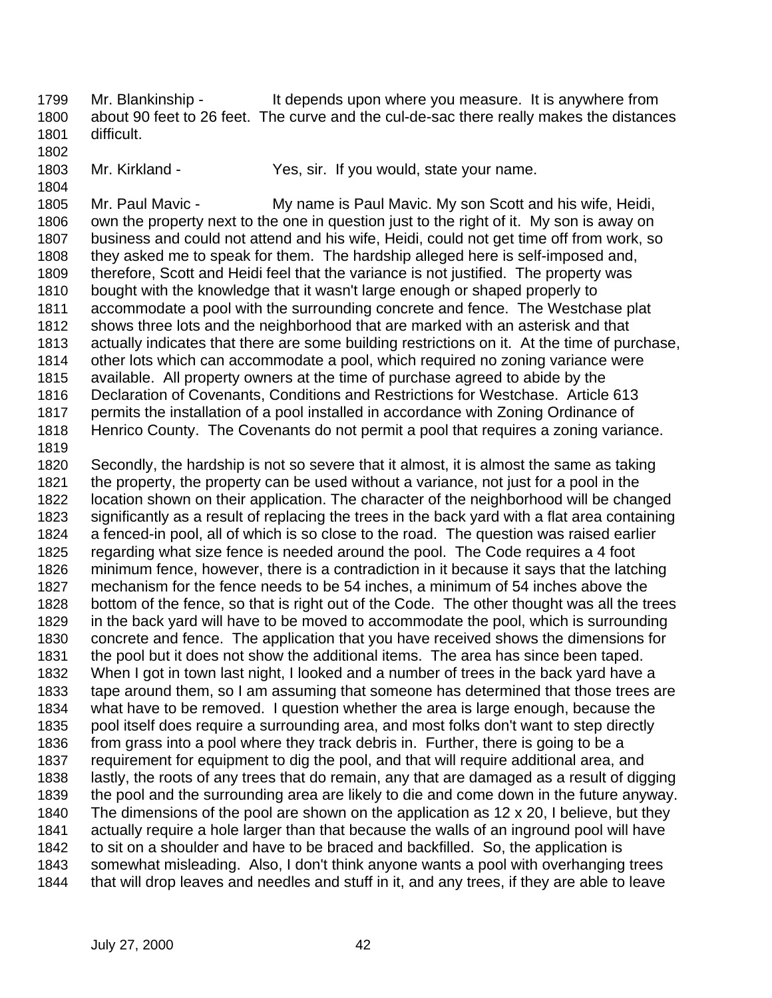Mr. Blankinship - It depends upon where you measure. It is anywhere from about 90 feet to 26 feet. The curve and the cul-de-sac there really makes the distances difficult.

- 
- 
- 
- Mr. Kirkland Yes, sir. If you would, state your name.

 Mr. Paul Mavic - My name is Paul Mavic. My son Scott and his wife, Heidi, own the property next to the one in question just to the right of it. My son is away on business and could not attend and his wife, Heidi, could not get time off from work, so they asked me to speak for them. The hardship alleged here is self-imposed and, therefore, Scott and Heidi feel that the variance is not justified. The property was bought with the knowledge that it wasn't large enough or shaped properly to accommodate a pool with the surrounding concrete and fence. The Westchase plat shows three lots and the neighborhood that are marked with an asterisk and that actually indicates that there are some building restrictions on it. At the time of purchase, other lots which can accommodate a pool, which required no zoning variance were available. All property owners at the time of purchase agreed to abide by the Declaration of Covenants, Conditions and Restrictions for Westchase. Article 613 permits the installation of a pool installed in accordance with Zoning Ordinance of Henrico County. The Covenants do not permit a pool that requires a zoning variance.

 Secondly, the hardship is not so severe that it almost, it is almost the same as taking the property, the property can be used without a variance, not just for a pool in the location shown on their application. The character of the neighborhood will be changed significantly as a result of replacing the trees in the back yard with a flat area containing a fenced-in pool, all of which is so close to the road. The question was raised earlier regarding what size fence is needed around the pool. The Code requires a 4 foot minimum fence, however, there is a contradiction in it because it says that the latching mechanism for the fence needs to be 54 inches, a minimum of 54 inches above the bottom of the fence, so that is right out of the Code. The other thought was all the trees in the back yard will have to be moved to accommodate the pool, which is surrounding concrete and fence. The application that you have received shows the dimensions for the pool but it does not show the additional items. The area has since been taped. When I got in town last night, I looked and a number of trees in the back yard have a tape around them, so I am assuming that someone has determined that those trees are what have to be removed. I question whether the area is large enough, because the pool itself does require a surrounding area, and most folks don't want to step directly from grass into a pool where they track debris in. Further, there is going to be a requirement for equipment to dig the pool, and that will require additional area, and lastly, the roots of any trees that do remain, any that are damaged as a result of digging the pool and the surrounding area are likely to die and come down in the future anyway. The dimensions of the pool are shown on the application as 12 x 20, I believe, but they actually require a hole larger than that because the walls of an inground pool will have to sit on a shoulder and have to be braced and backfilled. So, the application is somewhat misleading. Also, I don't think anyone wants a pool with overhanging trees that will drop leaves and needles and stuff in it, and any trees, if they are able to leave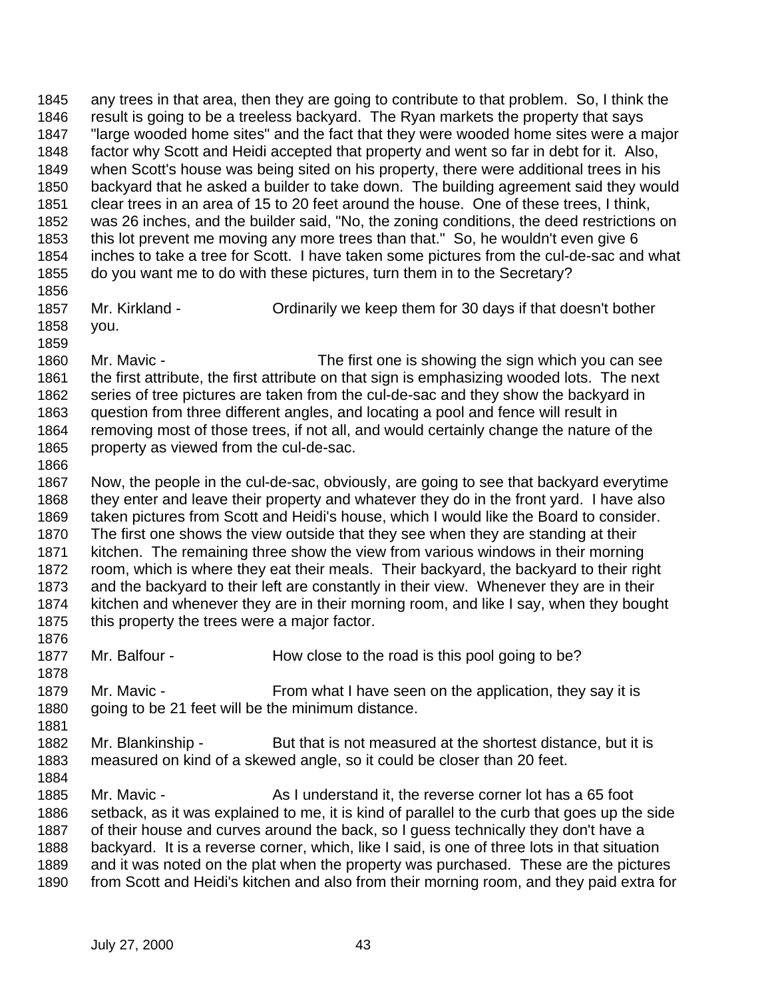any trees in that area, then they are going to contribute to that problem. So, I think the result is going to be a treeless backyard. The Ryan markets the property that says "large wooded home sites" and the fact that they were wooded home sites were a major factor why Scott and Heidi accepted that property and went so far in debt for it. Also, when Scott's house was being sited on his property, there were additional trees in his backyard that he asked a builder to take down. The building agreement said they would clear trees in an area of 15 to 20 feet around the house. One of these trees, I think, was 26 inches, and the builder said, "No, the zoning conditions, the deed restrictions on this lot prevent me moving any more trees than that." So, he wouldn't even give 6 inches to take a tree for Scott. I have taken some pictures from the cul-de-sac and what do you want me to do with these pictures, turn them in to the Secretary? Mr. Kirkland - Ordinarily we keep them for 30 days if that doesn't bother you. Mr. Mavic - The first one is showing the sign which you can see the first attribute, the first attribute on that sign is emphasizing wooded lots. The next series of tree pictures are taken from the cul-de-sac and they show the backyard in question from three different angles, and locating a pool and fence will result in removing most of those trees, if not all, and would certainly change the nature of the property as viewed from the cul-de-sac. Now, the people in the cul-de-sac, obviously, are going to see that backyard everytime they enter and leave their property and whatever they do in the front yard. I have also taken pictures from Scott and Heidi's house, which I would like the Board to consider. The first one shows the view outside that they see when they are standing at their kitchen. The remaining three show the view from various windows in their morning room, which is where they eat their meals. Their backyard, the backyard to their right and the backyard to their left are constantly in their view. Whenever they are in their kitchen and whenever they are in their morning room, and like I say, when they bought 1875 this property the trees were a major factor. 1877 Mr. Balfour - How close to the road is this pool going to be? 1879 Mr. Mavic - From what I have seen on the application, they say it is 1880 going to be 21 feet will be the minimum distance. 1882 Mr. Blankinship - But that is not measured at the shortest distance, but it is measured on kind of a skewed angle, so it could be closer than 20 feet. Mr. Mavic - As I understand it, the reverse corner lot has a 65 foot setback, as it was explained to me, it is kind of parallel to the curb that goes up the side of their house and curves around the back, so I guess technically they don't have a backyard. It is a reverse corner, which, like I said, is one of three lots in that situation and it was noted on the plat when the property was purchased. These are the pictures from Scott and Heidi's kitchen and also from their morning room, and they paid extra for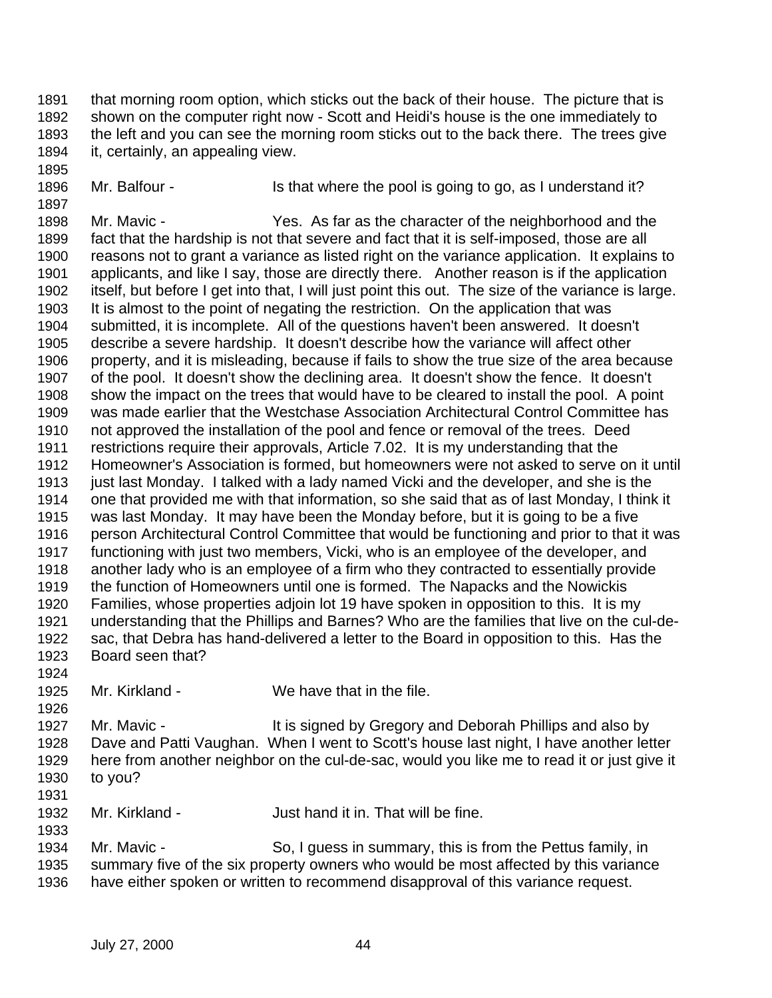- that morning room option, which sticks out the back of their house. The picture that is shown on the computer right now - Scott and Heidi's house is the one immediately to the left and you can see the morning room sticks out to the back there. The trees give it, certainly, an appealing view.
- -

1896 Mr. Balfour - Is that where the pool is going to go, as I understand it?

 Mr. Mavic - Yes. As far as the character of the neighborhood and the fact that the hardship is not that severe and fact that it is self-imposed, those are all reasons not to grant a variance as listed right on the variance application. It explains to applicants, and like I say, those are directly there. Another reason is if the application itself, but before I get into that, I will just point this out. The size of the variance is large. It is almost to the point of negating the restriction. On the application that was submitted, it is incomplete. All of the questions haven't been answered. It doesn't describe a severe hardship. It doesn't describe how the variance will affect other property, and it is misleading, because if fails to show the true size of the area because of the pool. It doesn't show the declining area. It doesn't show the fence. It doesn't show the impact on the trees that would have to be cleared to install the pool. A point was made earlier that the Westchase Association Architectural Control Committee has not approved the installation of the pool and fence or removal of the trees. Deed restrictions require their approvals, Article 7.02. It is my understanding that the Homeowner's Association is formed, but homeowners were not asked to serve on it until just last Monday. I talked with a lady named Vicki and the developer, and she is the one that provided me with that information, so she said that as of last Monday, I think it was last Monday. It may have been the Monday before, but it is going to be a five person Architectural Control Committee that would be functioning and prior to that it was functioning with just two members, Vicki, who is an employee of the developer, and another lady who is an employee of a firm who they contracted to essentially provide the function of Homeowners until one is formed. The Napacks and the Nowickis Families, whose properties adjoin lot 19 have spoken in opposition to this. It is my understanding that the Phillips and Barnes? Who are the families that live on the cul-de- sac, that Debra has hand-delivered a letter to the Board in opposition to this. Has the Board seen that?

- Mr. Kirkland We have that in the file.
- 1927 Mr. Mavic - It is signed by Gregory and Deborah Phillips and also by Dave and Patti Vaughan. When I went to Scott's house last night, I have another letter here from another neighbor on the cul-de-sac, would you like me to read it or just give it to you?
- Mr. Kirkland Just hand it in. That will be fine.
- Mr. Mavic - So, I guess in summary, this is from the Pettus family, in summary five of the six property owners who would be most affected by this variance have either spoken or written to recommend disapproval of this variance request.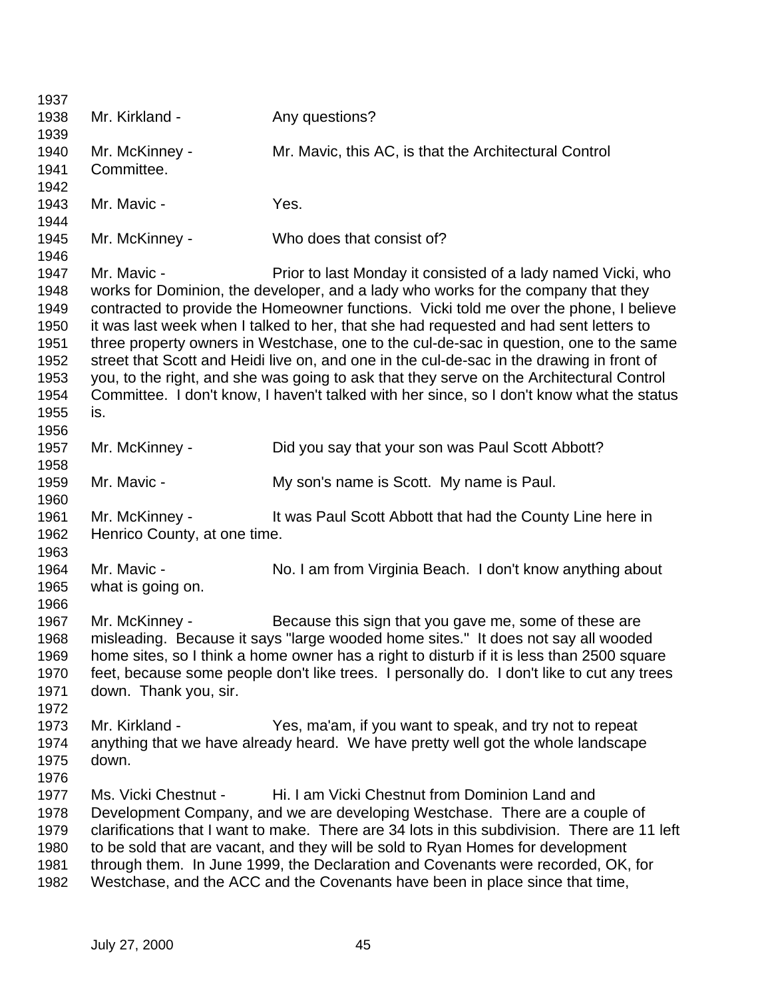| 1937                                                                         |                                                |                                                                                                                                                                                                                                                                                                                                                                                                                                                                                                                                                                                                                                                                                                                      |
|------------------------------------------------------------------------------|------------------------------------------------|----------------------------------------------------------------------------------------------------------------------------------------------------------------------------------------------------------------------------------------------------------------------------------------------------------------------------------------------------------------------------------------------------------------------------------------------------------------------------------------------------------------------------------------------------------------------------------------------------------------------------------------------------------------------------------------------------------------------|
| 1938<br>1939                                                                 | Mr. Kirkland -                                 | Any questions?                                                                                                                                                                                                                                                                                                                                                                                                                                                                                                                                                                                                                                                                                                       |
| 1940<br>1941<br>1942                                                         | Mr. McKinney -<br>Committee.                   | Mr. Mavic, this AC, is that the Architectural Control                                                                                                                                                                                                                                                                                                                                                                                                                                                                                                                                                                                                                                                                |
| 1943<br>1944                                                                 | Mr. Mavic -                                    | Yes.                                                                                                                                                                                                                                                                                                                                                                                                                                                                                                                                                                                                                                                                                                                 |
| 1945<br>1946                                                                 | Mr. McKinney -                                 | Who does that consist of?                                                                                                                                                                                                                                                                                                                                                                                                                                                                                                                                                                                                                                                                                            |
| 1947<br>1948<br>1949<br>1950<br>1951<br>1952<br>1953<br>1954<br>1955<br>1956 | Mr. Mavic -<br>is.                             | Prior to last Monday it consisted of a lady named Vicki, who<br>works for Dominion, the developer, and a lady who works for the company that they<br>contracted to provide the Homeowner functions. Vicki told me over the phone, I believe<br>it was last week when I talked to her, that she had requested and had sent letters to<br>three property owners in Westchase, one to the cul-de-sac in question, one to the same<br>street that Scott and Heidi live on, and one in the cul-de-sac in the drawing in front of<br>you, to the right, and she was going to ask that they serve on the Architectural Control<br>Committee. I don't know, I haven't talked with her since, so I don't know what the status |
| 1957<br>1958                                                                 | Mr. McKinney -                                 | Did you say that your son was Paul Scott Abbott?                                                                                                                                                                                                                                                                                                                                                                                                                                                                                                                                                                                                                                                                     |
| 1959<br>1960                                                                 | Mr. Mavic -                                    | My son's name is Scott. My name is Paul.                                                                                                                                                                                                                                                                                                                                                                                                                                                                                                                                                                                                                                                                             |
| 1961<br>1962<br>1963                                                         | Mr. McKinney -<br>Henrico County, at one time. | It was Paul Scott Abbott that had the County Line here in                                                                                                                                                                                                                                                                                                                                                                                                                                                                                                                                                                                                                                                            |
| 1964<br>1965<br>1966                                                         | Mr. Mavic -<br>what is going on.               | No. I am from Virginia Beach. I don't know anything about                                                                                                                                                                                                                                                                                                                                                                                                                                                                                                                                                                                                                                                            |
| 1967<br>1968<br>1969<br>1970<br>1971<br>1972                                 | Mr. McKinney -<br>down. Thank you, sir.        | Because this sign that you gave me, some of these are<br>misleading. Because it says "large wooded home sites." It does not say all wooded<br>home sites, so I think a home owner has a right to disturb if it is less than 2500 square<br>feet, because some people don't like trees. I personally do. I don't like to cut any trees                                                                                                                                                                                                                                                                                                                                                                                |
| 1973<br>1974<br>1975<br>1976                                                 | Mr. Kirkland -<br>down.                        | Yes, ma'am, if you want to speak, and try not to repeat<br>anything that we have already heard. We have pretty well got the whole landscape                                                                                                                                                                                                                                                                                                                                                                                                                                                                                                                                                                          |
| 1977<br>1978<br>1979<br>1980<br>1981<br>1982                                 | Ms. Vicki Chestnut -                           | Hi. I am Vicki Chestnut from Dominion Land and<br>Development Company, and we are developing Westchase. There are a couple of<br>clarifications that I want to make. There are 34 lots in this subdivision. There are 11 left<br>to be sold that are vacant, and they will be sold to Ryan Homes for development<br>through them. In June 1999, the Declaration and Covenants were recorded, OK, for<br>Westchase, and the ACC and the Covenants have been in place since that time,                                                                                                                                                                                                                                 |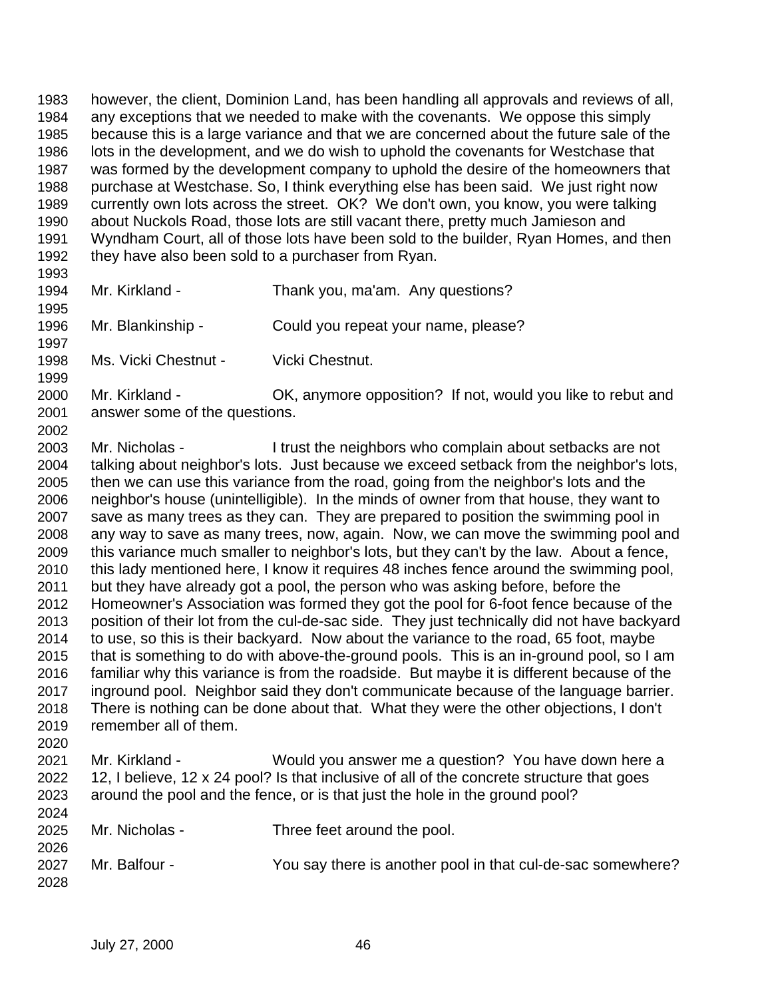however, the client, Dominion Land, has been handling all approvals and reviews of all, any exceptions that we needed to make with the covenants. We oppose this simply because this is a large variance and that we are concerned about the future sale of the lots in the development, and we do wish to uphold the covenants for Westchase that was formed by the development company to uphold the desire of the homeowners that purchase at Westchase. So, I think everything else has been said. We just right now currently own lots across the street. OK? We don't own, you know, you were talking about Nuckols Road, those lots are still vacant there, pretty much Jamieson and Wyndham Court, all of those lots have been sold to the builder, Ryan Homes, and then they have also been sold to a purchaser from Ryan.

 Mr. Kirkland - Thank you, ma'am. Any questions?

 Mr. Blankinship - Could you repeat your name, please? 

Ms. Vicki Chestnut - Vicki Chestnut.

 Mr. Kirkland - OK, anymore opposition? If not, would you like to rebut and answer some of the questions. 

 Mr. Nicholas - I trust the neighbors who complain about setbacks are not talking about neighbor's lots. Just because we exceed setback from the neighbor's lots, then we can use this variance from the road, going from the neighbor's lots and the neighbor's house (unintelligible). In the minds of owner from that house, they want to save as many trees as they can. They are prepared to position the swimming pool in any way to save as many trees, now, again. Now, we can move the swimming pool and this variance much smaller to neighbor's lots, but they can't by the law. About a fence, this lady mentioned here, I know it requires 48 inches fence around the swimming pool, but they have already got a pool, the person who was asking before, before the Homeowner's Association was formed they got the pool for 6-foot fence because of the position of their lot from the cul-de-sac side. They just technically did not have backyard to use, so this is their backyard. Now about the variance to the road, 65 foot, maybe that is something to do with above-the-ground pools. This is an in-ground pool, so I am familiar why this variance is from the roadside. But maybe it is different because of the inground pool. Neighbor said they don't communicate because of the language barrier. There is nothing can be done about that. What they were the other objections, I don't remember all of them. 

 Mr. Kirkland - Would you answer me a question? You have down here a 12, I believe, 12 x 24 pool? Is that inclusive of all of the concrete structure that goes around the pool and the fence, or is that just the hole in the ground pool? 

 Mr. Nicholas - Three feet around the pool. 

| <b>LULU</b> |               |                                                             |
|-------------|---------------|-------------------------------------------------------------|
| 2027        | Mr. Balfour - | You say there is another pool in that cul-de-sac somewhere? |
| 2028        |               |                                                             |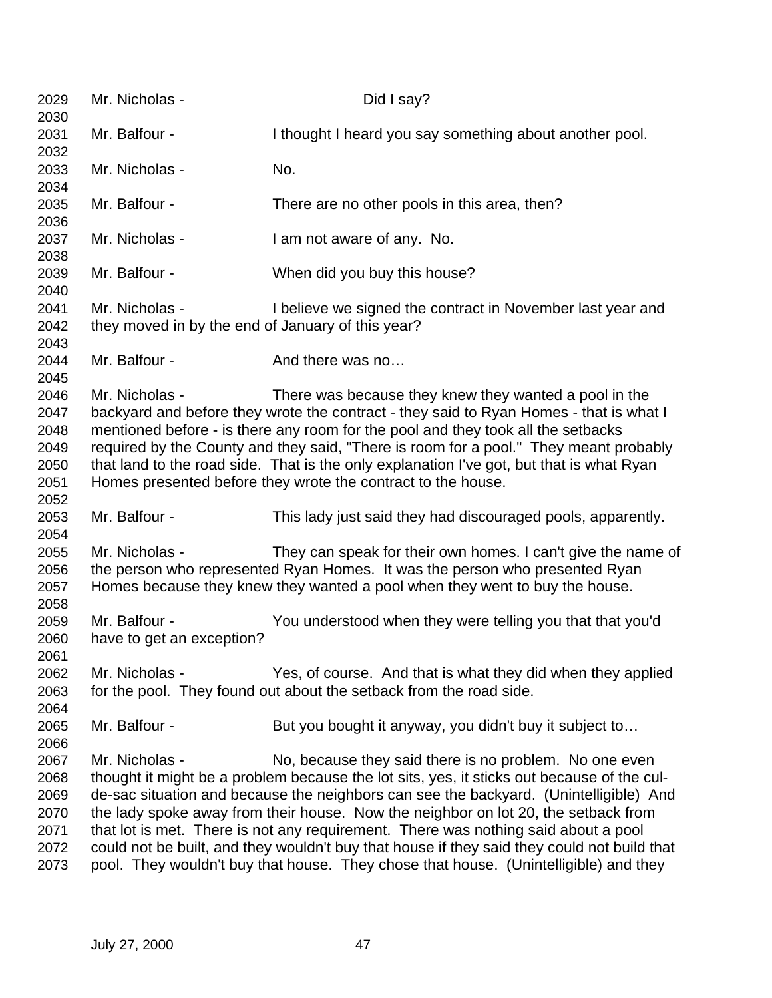| 2029<br>2030                                         | Mr. Nicholas -                                                      | Did I say?                                                                                                                                                                                                                                                                                                                                                                                                                                                                                                                                                                                                       |
|------------------------------------------------------|---------------------------------------------------------------------|------------------------------------------------------------------------------------------------------------------------------------------------------------------------------------------------------------------------------------------------------------------------------------------------------------------------------------------------------------------------------------------------------------------------------------------------------------------------------------------------------------------------------------------------------------------------------------------------------------------|
| 2031<br>2032                                         | Mr. Balfour -                                                       | I thought I heard you say something about another pool.                                                                                                                                                                                                                                                                                                                                                                                                                                                                                                                                                          |
| 2033<br>2034                                         | Mr. Nicholas -                                                      | No.                                                                                                                                                                                                                                                                                                                                                                                                                                                                                                                                                                                                              |
| 2035<br>2036                                         | Mr. Balfour -                                                       | There are no other pools in this area, then?                                                                                                                                                                                                                                                                                                                                                                                                                                                                                                                                                                     |
| 2037<br>2038                                         | Mr. Nicholas -                                                      | I am not aware of any. No.                                                                                                                                                                                                                                                                                                                                                                                                                                                                                                                                                                                       |
| 2039<br>2040                                         | Mr. Balfour -                                                       | When did you buy this house?                                                                                                                                                                                                                                                                                                                                                                                                                                                                                                                                                                                     |
| 2041<br>2042<br>2043                                 | Mr. Nicholas -<br>they moved in by the end of January of this year? | I believe we signed the contract in November last year and                                                                                                                                                                                                                                                                                                                                                                                                                                                                                                                                                       |
| 2044<br>2045                                         | Mr. Balfour -                                                       | And there was no                                                                                                                                                                                                                                                                                                                                                                                                                                                                                                                                                                                                 |
| 2046<br>2047<br>2048<br>2049<br>2050<br>2051<br>2052 | Mr. Nicholas -                                                      | There was because they knew they wanted a pool in the<br>backyard and before they wrote the contract - they said to Ryan Homes - that is what I<br>mentioned before - is there any room for the pool and they took all the setbacks<br>required by the County and they said, "There is room for a pool." They meant probably<br>that land to the road side. That is the only explanation I've got, but that is what Ryan<br>Homes presented before they wrote the contract to the house.                                                                                                                         |
| 2053<br>2054                                         | Mr. Balfour -                                                       | This lady just said they had discouraged pools, apparently.                                                                                                                                                                                                                                                                                                                                                                                                                                                                                                                                                      |
| 2055<br>2056<br>2057<br>2058                         | Mr. Nicholas -                                                      | They can speak for their own homes. I can't give the name of<br>the person who represented Ryan Homes. It was the person who presented Ryan<br>Homes because they knew they wanted a pool when they went to buy the house.                                                                                                                                                                                                                                                                                                                                                                                       |
| 2059<br>2060<br>2061                                 | Mr. Balfour -<br>have to get an exception?                          | You understood when they were telling you that that you'd                                                                                                                                                                                                                                                                                                                                                                                                                                                                                                                                                        |
| 2062<br>2063<br>2064                                 | Mr. Nicholas -                                                      | Yes, of course. And that is what they did when they applied<br>for the pool. They found out about the setback from the road side.                                                                                                                                                                                                                                                                                                                                                                                                                                                                                |
| 2065<br>2066                                         | Mr. Balfour -                                                       | But you bought it anyway, you didn't buy it subject to                                                                                                                                                                                                                                                                                                                                                                                                                                                                                                                                                           |
| 2067<br>2068<br>2069<br>2070<br>2071<br>2072<br>2073 | Mr. Nicholas -                                                      | No, because they said there is no problem. No one even<br>thought it might be a problem because the lot sits, yes, it sticks out because of the cul-<br>de-sac situation and because the neighbors can see the backyard. (Unintelligible) And<br>the lady spoke away from their house. Now the neighbor on lot 20, the setback from<br>that lot is met. There is not any requirement. There was nothing said about a pool<br>could not be built, and they wouldn't buy that house if they said they could not build that<br>pool. They wouldn't buy that house. They chose that house. (Unintelligible) and they |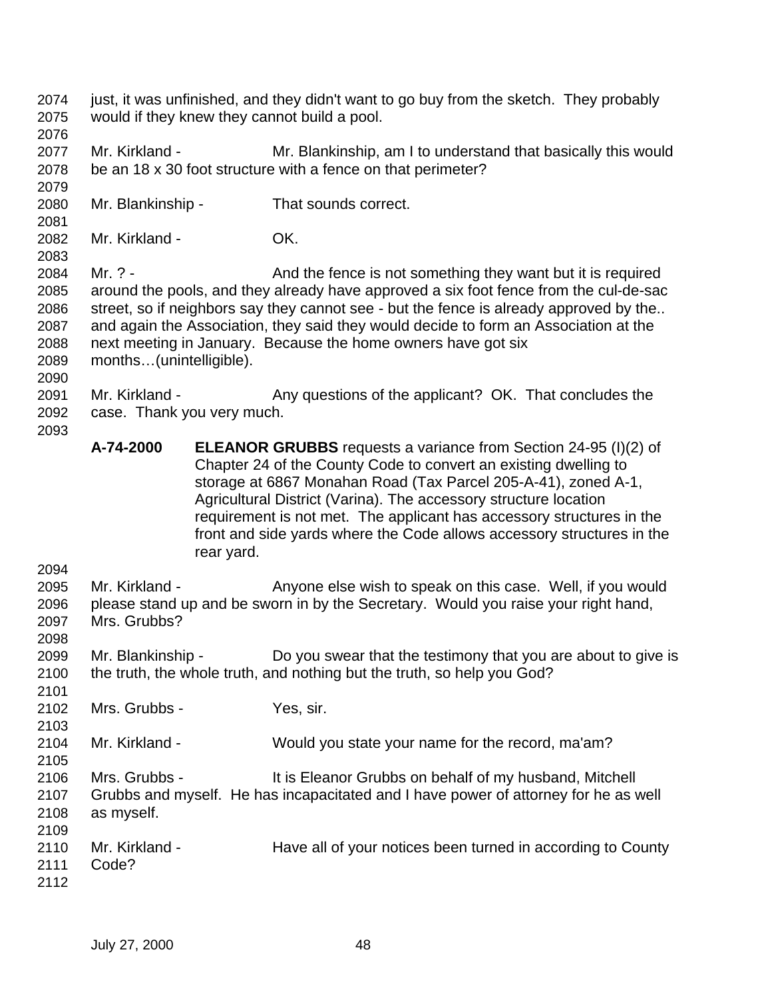- just, it was unfinished, and they didn't want to go buy from the sketch. They probably would if they knew they cannot build a pool.
- 

- Mr. Kirkland Mr. Blankinship, am I to understand that basically this would be an 18 x 30 foot structure with a fence on that perimeter?
- Mr. Blankinship That sounds correct.
- Mr. Kirkland OK.
- 2084 Mr. ? And the fence is not something they want but it is required around the pools, and they already have approved a six foot fence from the cul-de-sac 2086 street, so if neighbors say they cannot see - but the fence is already approved by the.. and again the Association, they said they would decide to form an Association at the next meeting in January. Because the home owners have got six months…(unintelligible).
- 2091 Mr. Kirkland Any questions of the applicant? OK. That concludes the case. Thank you very much.
	- **A-74-2000 ELEANOR GRUBBS** requests a variance from Section 24-95 (I)(2) of Chapter 24 of the County Code to convert an existing dwelling to storage at 6867 Monahan Road (Tax Parcel 205-A-41), zoned A-1, Agricultural District (Varina). The accessory structure location requirement is not met. The applicant has accessory structures in the front and side yards where the Code allows accessory structures in the rear yard.
- 

- Mr. Kirkland Anyone else wish to speak on this case. Well, if you would please stand up and be sworn in by the Secretary. Would you raise your right hand, Mrs. Grubbs?
- Mr. Blankinship Do you swear that the testimony that you are about to give is the truth, the whole truth, and nothing but the truth, so help you God?
- Mrs. Grubbs Yes, sir.
- Mr. Kirkland Would you state your name for the record, ma'am?
- Mrs. Grubbs It is Eleanor Grubbs on behalf of my husband, Mitchell Grubbs and myself. He has incapacitated and I have power of attorney for he as well as myself.
- Mr. Kirkland - Have all of your notices been turned in according to County Code?
-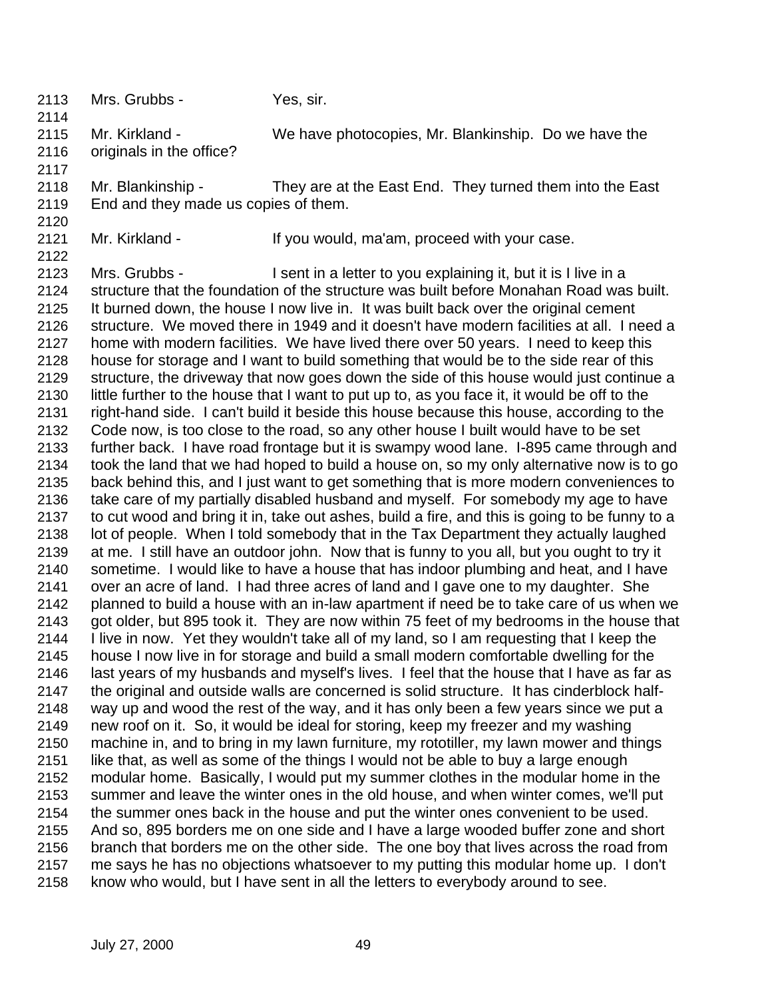Mr. Kirkland - We have photocopies, Mr. Blankinship. Do we have the originals in the office? Mr. Blankinship - They are at the East End. They turned them into the East End and they made us copies of them. Mr. Kirkland - If you would, ma'am, proceed with your case. Mrs. Grubbs - I sent in a letter to you explaining it, but it is I live in a structure that the foundation of the structure was built before Monahan Road was built. It burned down, the house I now live in. It was built back over the original cement structure. We moved there in 1949 and it doesn't have modern facilities at all. I need a home with modern facilities. We have lived there over 50 years. I need to keep this house for storage and I want to build something that would be to the side rear of this structure, the driveway that now goes down the side of this house would just continue a little further to the house that I want to put up to, as you face it, it would be off to the right-hand side. I can't build it beside this house because this house, according to the Code now, is too close to the road, so any other house I built would have to be set further back. I have road frontage but it is swampy wood lane. I-895 came through and took the land that we had hoped to build a house on, so my only alternative now is to go back behind this, and I just want to get something that is more modern conveniences to take care of my partially disabled husband and myself. For somebody my age to have to cut wood and bring it in, take out ashes, build a fire, and this is going to be funny to a lot of people. When I told somebody that in the Tax Department they actually laughed at me. I still have an outdoor john. Now that is funny to you all, but you ought to try it sometime. I would like to have a house that has indoor plumbing and heat, and I have over an acre of land. I had three acres of land and I gave one to my daughter. She planned to build a house with an in-law apartment if need be to take care of us when we got older, but 895 took it. They are now within 75 feet of my bedrooms in the house that I live in now. Yet they wouldn't take all of my land, so I am requesting that I keep the house I now live in for storage and build a small modern comfortable dwelling for the last years of my husbands and myself's lives. I feel that the house that I have as far as the original and outside walls are concerned is solid structure. It has cinderblock half- way up and wood the rest of the way, and it has only been a few years since we put a new roof on it. So, it would be ideal for storing, keep my freezer and my washing machine in, and to bring in my lawn furniture, my rototiller, my lawn mower and things like that, as well as some of the things I would not be able to buy a large enough modular home. Basically, I would put my summer clothes in the modular home in the summer and leave the winter ones in the old house, and when winter comes, we'll put the summer ones back in the house and put the winter ones convenient to be used. And so, 895 borders me on one side and I have a large wooded buffer zone and short branch that borders me on the other side. The one boy that lives across the road from me says he has no objections whatsoever to my putting this modular home up. I don't know who would, but I have sent in all the letters to everybody around to see.

Mrs. Grubbs - Yes, sir.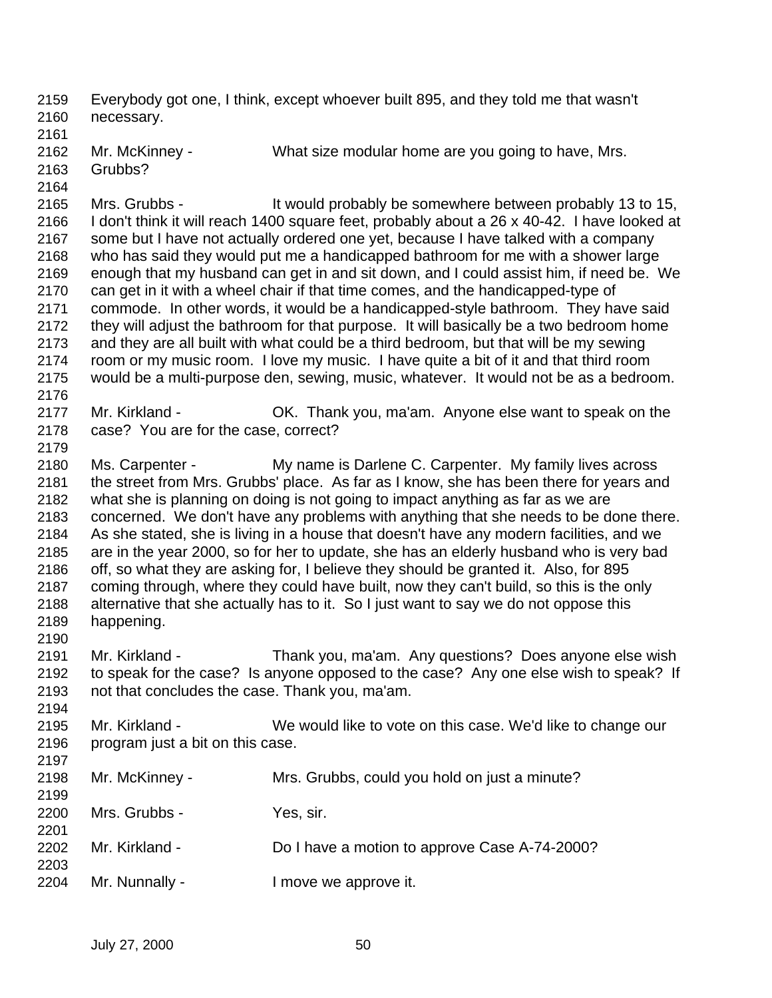Everybody got one, I think, except whoever built 895, and they told me that wasn't necessary.

- Mr. McKinney - What size modular home are you going to have, Mrs.
	- Grubbs?
	-

 Mrs. Grubbs - It would probably be somewhere between probably 13 to 15, I don't think it will reach 1400 square feet, probably about a 26 x 40-42. I have looked at some but I have not actually ordered one yet, because I have talked with a company who has said they would put me a handicapped bathroom for me with a shower large enough that my husband can get in and sit down, and I could assist him, if need be. We can get in it with a wheel chair if that time comes, and the handicapped-type of commode. In other words, it would be a handicapped-style bathroom. They have said they will adjust the bathroom for that purpose. It will basically be a two bedroom home and they are all built with what could be a third bedroom, but that will be my sewing room or my music room. I love my music. I have quite a bit of it and that third room would be a multi-purpose den, sewing, music, whatever. It would not be as a bedroom. Mr. Kirkland - OK. Thank you, ma'am. Anyone else want to speak on the case? You are for the case, correct? Ms. Carpenter - My name is Darlene C. Carpenter. My family lives across the street from Mrs. Grubbs' place. As far as I know, she has been there for years and

 what she is planning on doing is not going to impact anything as far as we are concerned. We don't have any problems with anything that she needs to be done there. As she stated, she is living in a house that doesn't have any modern facilities, and we are in the year 2000, so for her to update, she has an elderly husband who is very bad off, so what they are asking for, I believe they should be granted it. Also, for 895 coming through, where they could have built, now they can't build, so this is the only alternative that she actually has to it. So I just want to say we do not oppose this happening.

 Mr. Kirkland - Thank you, ma'am. Any questions? Does anyone else wish to speak for the case? Is anyone opposed to the case? Any one else wish to speak? If not that concludes the case. Thank you, ma'am.

 Mr. Kirkland - We would like to vote on this case. We'd like to change our program just a bit on this case.

 Mr. McKinney - Mrs. Grubbs, could you hold on just a minute? Mrs. Grubbs - Yes, sir. Mr. Kirkland - Do I have a motion to approve Case A-74-2000? Mr. Nunnally - I move we approve it.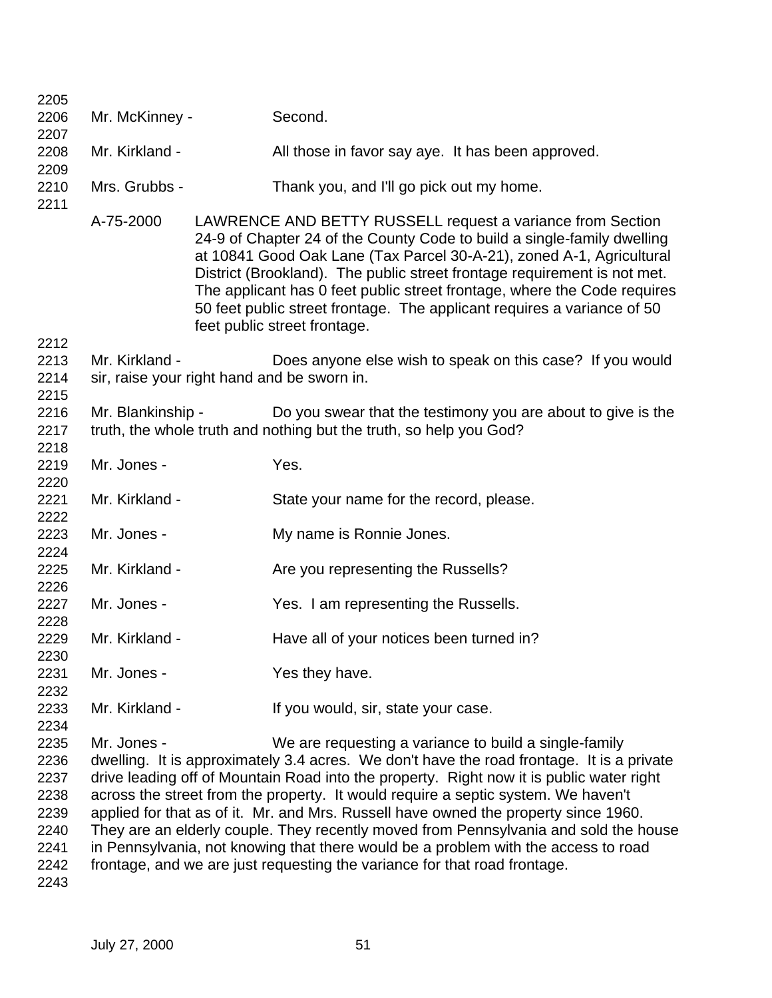| 2205         |                   |                                                                                                                                                                                                                                                                                                                                                                                                                                                                                  |
|--------------|-------------------|----------------------------------------------------------------------------------------------------------------------------------------------------------------------------------------------------------------------------------------------------------------------------------------------------------------------------------------------------------------------------------------------------------------------------------------------------------------------------------|
| 2206         | Mr. McKinney -    | Second.                                                                                                                                                                                                                                                                                                                                                                                                                                                                          |
| 2207         |                   |                                                                                                                                                                                                                                                                                                                                                                                                                                                                                  |
| 2208<br>2209 | Mr. Kirkland -    | All those in favor say aye. It has been approved.                                                                                                                                                                                                                                                                                                                                                                                                                                |
| 2210<br>2211 | Mrs. Grubbs -     | Thank you, and I'll go pick out my home.                                                                                                                                                                                                                                                                                                                                                                                                                                         |
|              | A-75-2000         | LAWRENCE AND BETTY RUSSELL request a variance from Section<br>24-9 of Chapter 24 of the County Code to build a single-family dwelling<br>at 10841 Good Oak Lane (Tax Parcel 30-A-21), zoned A-1, Agricultural<br>District (Brookland). The public street frontage requirement is not met.<br>The applicant has 0 feet public street frontage, where the Code requires<br>50 feet public street frontage. The applicant requires a variance of 50<br>feet public street frontage. |
| 2212         |                   |                                                                                                                                                                                                                                                                                                                                                                                                                                                                                  |
| 2213         | Mr. Kirkland -    | Does anyone else wish to speak on this case? If you would                                                                                                                                                                                                                                                                                                                                                                                                                        |
| 2214         |                   | sir, raise your right hand and be sworn in.                                                                                                                                                                                                                                                                                                                                                                                                                                      |
| 2215         |                   |                                                                                                                                                                                                                                                                                                                                                                                                                                                                                  |
| 2216<br>2217 | Mr. Blankinship - | Do you swear that the testimony you are about to give is the<br>truth, the whole truth and nothing but the truth, so help you God?                                                                                                                                                                                                                                                                                                                                               |
| 2218         |                   |                                                                                                                                                                                                                                                                                                                                                                                                                                                                                  |
| 2219         | Mr. Jones -       | Yes.                                                                                                                                                                                                                                                                                                                                                                                                                                                                             |
| 2220         |                   |                                                                                                                                                                                                                                                                                                                                                                                                                                                                                  |
| 2221         | Mr. Kirkland -    | State your name for the record, please.                                                                                                                                                                                                                                                                                                                                                                                                                                          |
| 2222         |                   |                                                                                                                                                                                                                                                                                                                                                                                                                                                                                  |
| 2223         | Mr. Jones -       | My name is Ronnie Jones.                                                                                                                                                                                                                                                                                                                                                                                                                                                         |
| 2224         |                   |                                                                                                                                                                                                                                                                                                                                                                                                                                                                                  |
| 2225         | Mr. Kirkland -    | Are you representing the Russells?                                                                                                                                                                                                                                                                                                                                                                                                                                               |
| 2226         |                   |                                                                                                                                                                                                                                                                                                                                                                                                                                                                                  |
| 2227         | Mr. Jones -       | Yes. I am representing the Russells.                                                                                                                                                                                                                                                                                                                                                                                                                                             |
| 2228         |                   |                                                                                                                                                                                                                                                                                                                                                                                                                                                                                  |
| 2229         | Mr. Kirkland -    | Have all of your notices been turned in?                                                                                                                                                                                                                                                                                                                                                                                                                                         |
| 2230         |                   |                                                                                                                                                                                                                                                                                                                                                                                                                                                                                  |
| 2231         | Mr. Jones -       | Yes they have.                                                                                                                                                                                                                                                                                                                                                                                                                                                                   |
| 2232         |                   |                                                                                                                                                                                                                                                                                                                                                                                                                                                                                  |
| 2233         | Mr. Kirkland -    | If you would, sir, state your case.                                                                                                                                                                                                                                                                                                                                                                                                                                              |
| 2234         |                   |                                                                                                                                                                                                                                                                                                                                                                                                                                                                                  |
| 2235         | Mr. Jones -       | We are requesting a variance to build a single-family                                                                                                                                                                                                                                                                                                                                                                                                                            |
| 2236         |                   | dwelling. It is approximately 3.4 acres. We don't have the road frontage. It is a private                                                                                                                                                                                                                                                                                                                                                                                        |
| 2237         |                   | drive leading off of Mountain Road into the property. Right now it is public water right                                                                                                                                                                                                                                                                                                                                                                                         |
| 2238         |                   | across the street from the property. It would require a septic system. We haven't                                                                                                                                                                                                                                                                                                                                                                                                |
| 2239         |                   | applied for that as of it. Mr. and Mrs. Russell have owned the property since 1960.                                                                                                                                                                                                                                                                                                                                                                                              |
| 2240         |                   | They are an elderly couple. They recently moved from Pennsylvania and sold the house                                                                                                                                                                                                                                                                                                                                                                                             |
| 2241         |                   | in Pennsylvania, not knowing that there would be a problem with the access to road                                                                                                                                                                                                                                                                                                                                                                                               |
| 2242         |                   | frontage, and we are just requesting the variance for that road frontage.                                                                                                                                                                                                                                                                                                                                                                                                        |
| 2243         |                   |                                                                                                                                                                                                                                                                                                                                                                                                                                                                                  |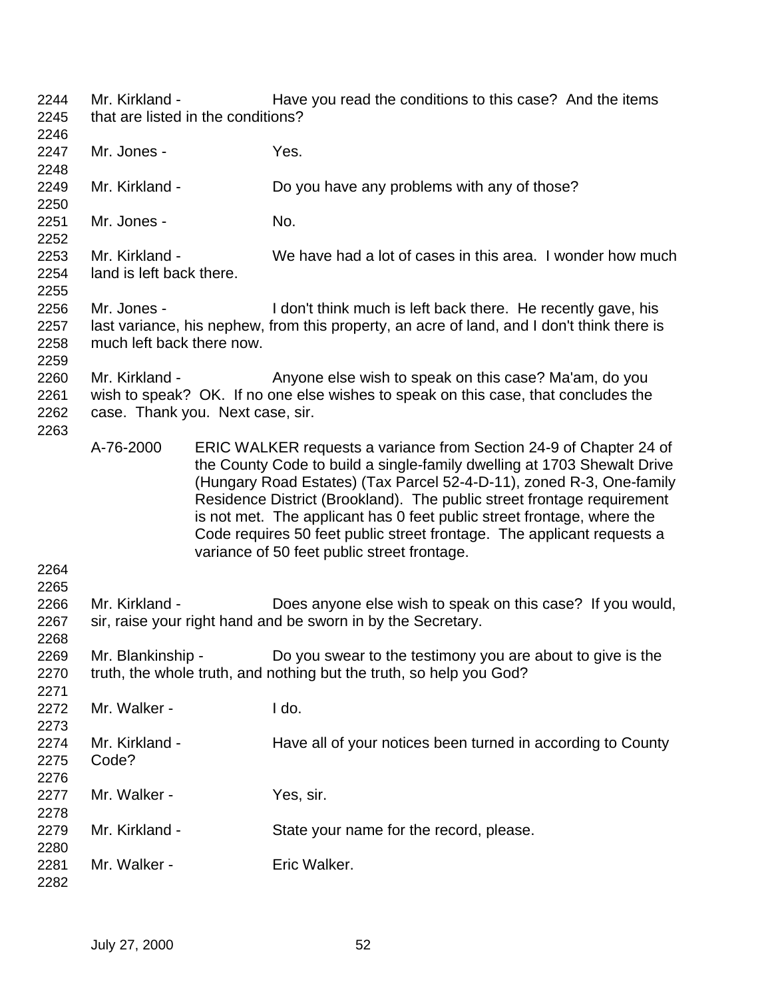Mr. Kirkland - Have you read the conditions to this case? And the items that are listed in the conditions? Mr. Jones - Yes. Mr. Kirkland - Do you have any problems with any of those? Mr. Jones - No. Mr. Kirkland - We have had a lot of cases in this area. I wonder how much land is left back there. Mr. Jones - I don't think much is left back there. He recently gave, his last variance, his nephew, from this property, an acre of land, and I don't think there is much left back there now. 2260 Mr. Kirkland - Anyone else wish to speak on this case? Ma'am, do you wish to speak? OK. If no one else wishes to speak on this case, that concludes the case. Thank you. Next case, sir. A-76-2000 ERIC WALKER requests a variance from Section 24-9 of Chapter 24 of the County Code to build a single-family dwelling at 1703 Shewalt Drive (Hungary Road Estates) (Tax Parcel 52-4-D-11), zoned R-3, One-family Residence District (Brookland). The public street frontage requirement is not met. The applicant has 0 feet public street frontage, where the Code requires 50 feet public street frontage. The applicant requests a variance of 50 feet public street frontage. Mr. Kirkland - Does anyone else wish to speak on this case? If you would, 2267 sir, raise your right hand and be sworn in by the Secretary. Mr. Blankinship - Do you swear to the testimony you are about to give is the truth, the whole truth, and nothing but the truth, so help you God? Mr. Walker - I do. 2274 Mr. Kirkland - Have all of your notices been turned in according to County Code? Mr. Walker - Yes, sir. Mr. Kirkland - State your name for the record, please. 2281 Mr. Walker - Fric Walker.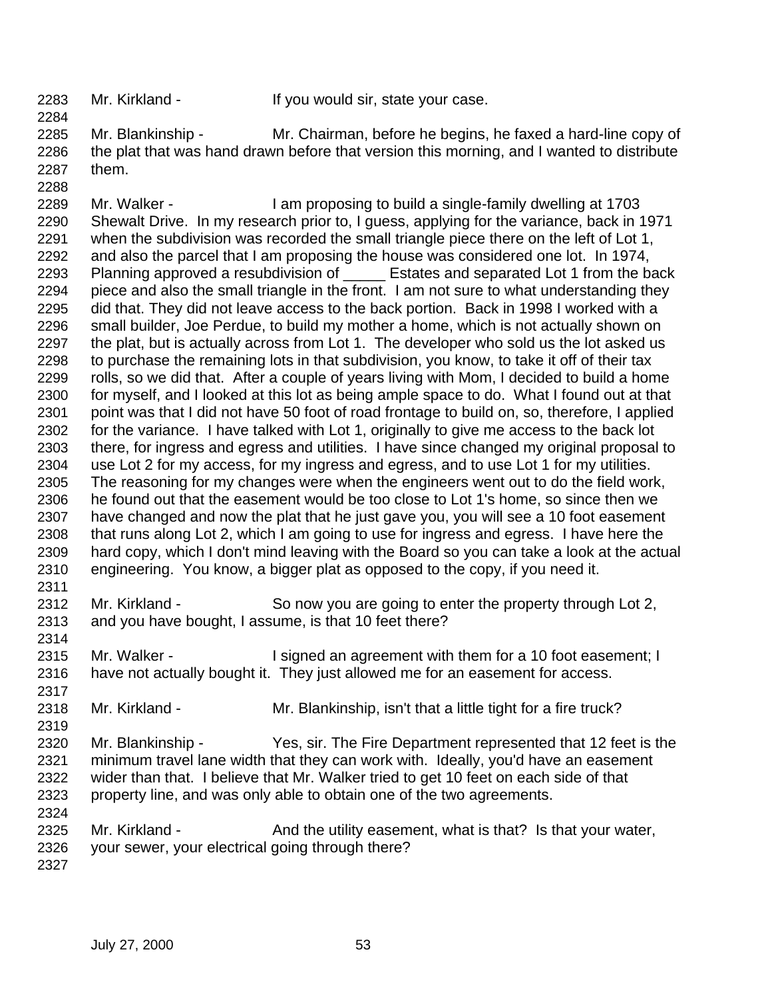Mr. Kirkland - If you would sir, state your case.

 Mr. Blankinship - Mr. Chairman, before he begins, he faxed a hard-line copy of the plat that was hand drawn before that version this morning, and I wanted to distribute them.

- Mr. Walker - I am proposing to build a single-family dwelling at 1703 Shewalt Drive. In my research prior to, I guess, applying for the variance, back in 1971 when the subdivision was recorded the small triangle piece there on the left of Lot 1, and also the parcel that I am proposing the house was considered one lot. In 1974, 2293 Planning approved a resubdivision of Estates and separated Lot 1 from the back piece and also the small triangle in the front. I am not sure to what understanding they did that. They did not leave access to the back portion. Back in 1998 I worked with a small builder, Joe Perdue, to build my mother a home, which is not actually shown on 2297 the plat, but is actually across from Lot 1. The developer who sold us the lot asked us to purchase the remaining lots in that subdivision, you know, to take it off of their tax rolls, so we did that. After a couple of years living with Mom, I decided to build a home for myself, and I looked at this lot as being ample space to do. What I found out at that point was that I did not have 50 foot of road frontage to build on, so, therefore, I applied for the variance. I have talked with Lot 1, originally to give me access to the back lot there, for ingress and egress and utilities. I have since changed my original proposal to use Lot 2 for my access, for my ingress and egress, and to use Lot 1 for my utilities. The reasoning for my changes were when the engineers went out to do the field work, he found out that the easement would be too close to Lot 1's home, so since then we have changed and now the plat that he just gave you, you will see a 10 foot easement that runs along Lot 2, which I am going to use for ingress and egress. I have here the hard copy, which I don't mind leaving with the Board so you can take a look at the actual engineering. You know, a bigger plat as opposed to the copy, if you need it.
- Mr. Kirkland So now you are going to enter the property through Lot 2, and you have bought, I assume, is that 10 feet there?
- Mr. Walker - I signed an agreement with them for a 10 foot easement; I have not actually bought it. They just allowed me for an easement for access.
- Mr. Kirkland - Mr. Blankinship, isn't that a little tight for a fire truck?
- Mr. Blankinship Yes, sir. The Fire Department represented that 12 feet is the minimum travel lane width that they can work with. Ideally, you'd have an easement wider than that. I believe that Mr. Walker tried to get 10 feet on each side of that property line, and was only able to obtain one of the two agreements.
- 2325 Mr. Kirkland And the utility easement, what is that? Is that your water, your sewer, your electrical going through there?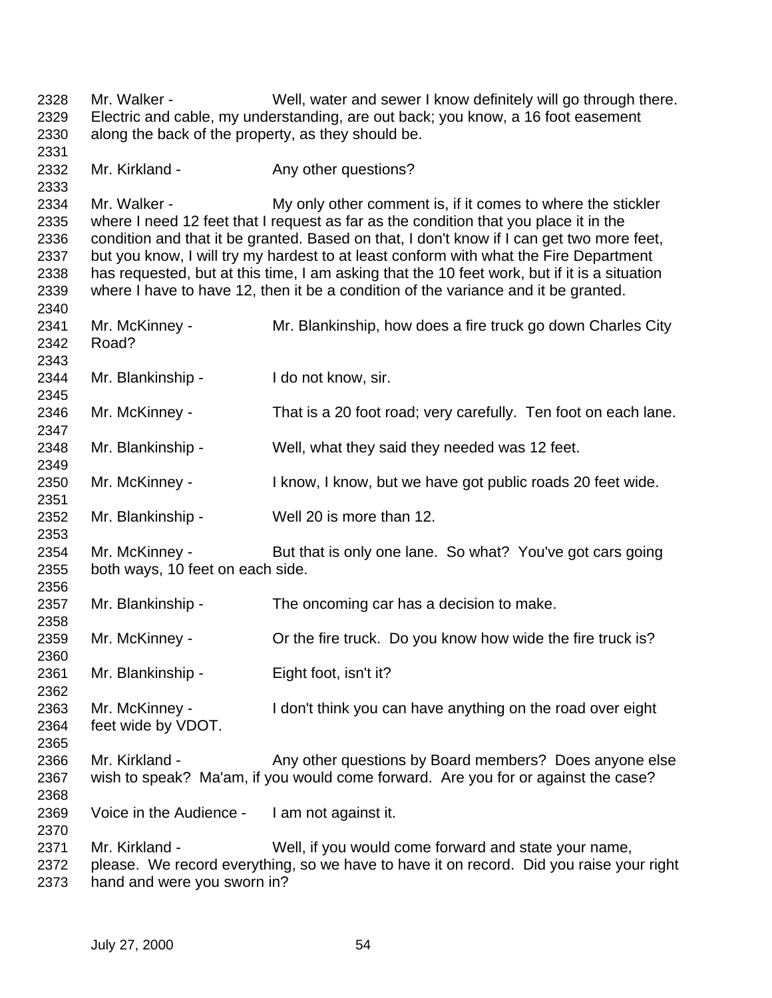Mr. Walker - Well, water and sewer I know definitely will go through there. Electric and cable, my understanding, are out back; you know, a 16 foot easement along the back of the property, as they should be. 2332 Mr. Kirkland - Any other questions? 2334 Mr. Walker - My only other comment is, if it comes to where the stickler where I need 12 feet that I request as far as the condition that you place it in the condition and that it be granted. Based on that, I don't know if I can get two more feet, but you know, I will try my hardest to at least conform with what the Fire Department has requested, but at this time, I am asking that the 10 feet work, but if it is a situation where I have to have 12, then it be a condition of the variance and it be granted. Mr. McKinney - Mr. Blankinship, how does a fire truck go down Charles City Road? Mr. Blankinship - I do not know, sir. Mr. McKinney - That is a 20 foot road; very carefully. Ten foot on each lane. Mr. Blankinship - Well, what they said they needed was 12 feet. Mr. McKinney - I know, I know, but we have got public roads 20 feet wide. Mr. Blankinship - Well 20 is more than 12. Mr. McKinney - But that is only one lane. So what? You've got cars going both ways, 10 feet on each side. Mr. Blankinship - The oncoming car has a decision to make. Mr. McKinney - Or the fire truck. Do you know how wide the fire truck is? Mr. Blankinship - Eight foot, isn't it? Mr. McKinney - I don't think you can have anything on the road over eight feet wide by VDOT. 2366 Mr. Kirkland - Any other questions by Board members? Does anyone else wish to speak? Ma'am, if you would come forward. Are you for or against the case? Voice in the Audience - I am not against it. Mr. Kirkland - Well, if you would come forward and state your name, please. We record everything, so we have to have it on record. Did you raise your right hand and were you sworn in?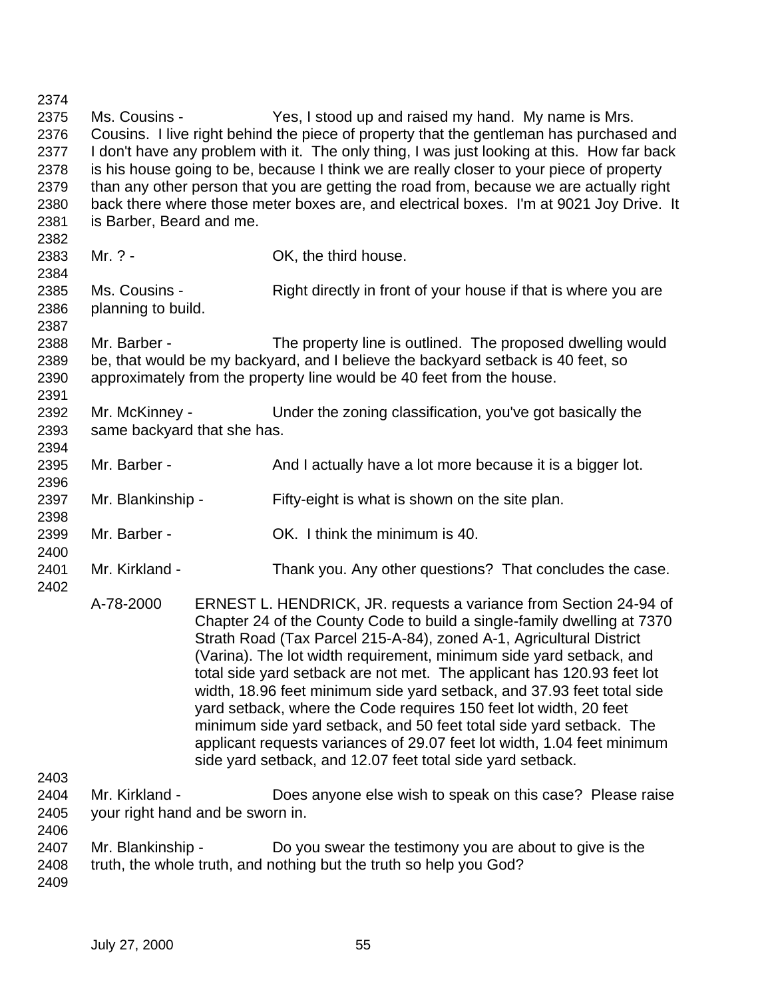| 2374         |                                  |                                                                                                                                                                                                                                                                                                                                                                                                                                                                                                                                                                                                                                                                                                                                     |
|--------------|----------------------------------|-------------------------------------------------------------------------------------------------------------------------------------------------------------------------------------------------------------------------------------------------------------------------------------------------------------------------------------------------------------------------------------------------------------------------------------------------------------------------------------------------------------------------------------------------------------------------------------------------------------------------------------------------------------------------------------------------------------------------------------|
| 2375<br>2376 | Ms. Cousins -                    | Yes, I stood up and raised my hand. My name is Mrs.<br>Cousins. I live right behind the piece of property that the gentleman has purchased and                                                                                                                                                                                                                                                                                                                                                                                                                                                                                                                                                                                      |
| 2377         |                                  | I don't have any problem with it. The only thing, I was just looking at this. How far back                                                                                                                                                                                                                                                                                                                                                                                                                                                                                                                                                                                                                                          |
| 2378         |                                  | is his house going to be, because I think we are really closer to your piece of property                                                                                                                                                                                                                                                                                                                                                                                                                                                                                                                                                                                                                                            |
| 2379         |                                  | than any other person that you are getting the road from, because we are actually right                                                                                                                                                                                                                                                                                                                                                                                                                                                                                                                                                                                                                                             |
| 2380         |                                  | back there where those meter boxes are, and electrical boxes. I'm at 9021 Joy Drive. It                                                                                                                                                                                                                                                                                                                                                                                                                                                                                                                                                                                                                                             |
| 2381         | is Barber, Beard and me.         |                                                                                                                                                                                                                                                                                                                                                                                                                                                                                                                                                                                                                                                                                                                                     |
| 2382         |                                  |                                                                                                                                                                                                                                                                                                                                                                                                                                                                                                                                                                                                                                                                                                                                     |
| 2383         | Mr. ? -                          | OK, the third house.                                                                                                                                                                                                                                                                                                                                                                                                                                                                                                                                                                                                                                                                                                                |
| 2384         |                                  |                                                                                                                                                                                                                                                                                                                                                                                                                                                                                                                                                                                                                                                                                                                                     |
| 2385         | Ms. Cousins -                    | Right directly in front of your house if that is where you are                                                                                                                                                                                                                                                                                                                                                                                                                                                                                                                                                                                                                                                                      |
| 2386         | planning to build.               |                                                                                                                                                                                                                                                                                                                                                                                                                                                                                                                                                                                                                                                                                                                                     |
| 2387         |                                  |                                                                                                                                                                                                                                                                                                                                                                                                                                                                                                                                                                                                                                                                                                                                     |
| 2388<br>2389 | Mr. Barber -                     | The property line is outlined. The proposed dwelling would<br>be, that would be my backyard, and I believe the backyard setback is 40 feet, so                                                                                                                                                                                                                                                                                                                                                                                                                                                                                                                                                                                      |
| 2390         |                                  | approximately from the property line would be 40 feet from the house.                                                                                                                                                                                                                                                                                                                                                                                                                                                                                                                                                                                                                                                               |
| 2391         |                                  |                                                                                                                                                                                                                                                                                                                                                                                                                                                                                                                                                                                                                                                                                                                                     |
| 2392         | Mr. McKinney -                   | Under the zoning classification, you've got basically the                                                                                                                                                                                                                                                                                                                                                                                                                                                                                                                                                                                                                                                                           |
| 2393         | same backyard that she has.      |                                                                                                                                                                                                                                                                                                                                                                                                                                                                                                                                                                                                                                                                                                                                     |
| 2394         |                                  |                                                                                                                                                                                                                                                                                                                                                                                                                                                                                                                                                                                                                                                                                                                                     |
| 2395         | Mr. Barber -                     | And I actually have a lot more because it is a bigger lot.                                                                                                                                                                                                                                                                                                                                                                                                                                                                                                                                                                                                                                                                          |
| 2396         |                                  |                                                                                                                                                                                                                                                                                                                                                                                                                                                                                                                                                                                                                                                                                                                                     |
| 2397         | Mr. Blankinship -                | Fifty-eight is what is shown on the site plan.                                                                                                                                                                                                                                                                                                                                                                                                                                                                                                                                                                                                                                                                                      |
| 2398         |                                  |                                                                                                                                                                                                                                                                                                                                                                                                                                                                                                                                                                                                                                                                                                                                     |
| 2399         | Mr. Barber -                     | OK. I think the minimum is 40.                                                                                                                                                                                                                                                                                                                                                                                                                                                                                                                                                                                                                                                                                                      |
| 2400         |                                  |                                                                                                                                                                                                                                                                                                                                                                                                                                                                                                                                                                                                                                                                                                                                     |
| 2401<br>2402 | Mr. Kirkland -                   | Thank you. Any other questions? That concludes the case.                                                                                                                                                                                                                                                                                                                                                                                                                                                                                                                                                                                                                                                                            |
|              | A-78-2000                        | ERNEST L. HENDRICK, JR. requests a variance from Section 24-94 of<br>Chapter 24 of the County Code to build a single-family dwelling at 7370<br>Strath Road (Tax Parcel 215-A-84), zoned A-1, Agricultural District<br>(Varina). The lot width requirement, minimum side yard setback, and<br>total side yard setback are not met. The applicant has 120.93 feet lot<br>width, 18.96 feet minimum side yard setback, and 37.93 feet total side<br>yard setback, where the Code requires 150 feet lot width, 20 feet<br>minimum side yard setback, and 50 feet total side yard setback. The<br>applicant requests variances of 29.07 feet lot width, 1.04 feet minimum<br>side yard setback, and 12.07 feet total side yard setback. |
| 2403         |                                  |                                                                                                                                                                                                                                                                                                                                                                                                                                                                                                                                                                                                                                                                                                                                     |
| 2404         | Mr. Kirkland -                   | Does anyone else wish to speak on this case? Please raise                                                                                                                                                                                                                                                                                                                                                                                                                                                                                                                                                                                                                                                                           |
| 2405         | your right hand and be sworn in. |                                                                                                                                                                                                                                                                                                                                                                                                                                                                                                                                                                                                                                                                                                                                     |
| 2406         |                                  |                                                                                                                                                                                                                                                                                                                                                                                                                                                                                                                                                                                                                                                                                                                                     |
| 2407         | Mr. Blankinship -                | Do you swear the testimony you are about to give is the                                                                                                                                                                                                                                                                                                                                                                                                                                                                                                                                                                                                                                                                             |
| 2408         |                                  | truth, the whole truth, and nothing but the truth so help you God?                                                                                                                                                                                                                                                                                                                                                                                                                                                                                                                                                                                                                                                                  |
| 2409         |                                  |                                                                                                                                                                                                                                                                                                                                                                                                                                                                                                                                                                                                                                                                                                                                     |
|              |                                  |                                                                                                                                                                                                                                                                                                                                                                                                                                                                                                                                                                                                                                                                                                                                     |
|              |                                  |                                                                                                                                                                                                                                                                                                                                                                                                                                                                                                                                                                                                                                                                                                                                     |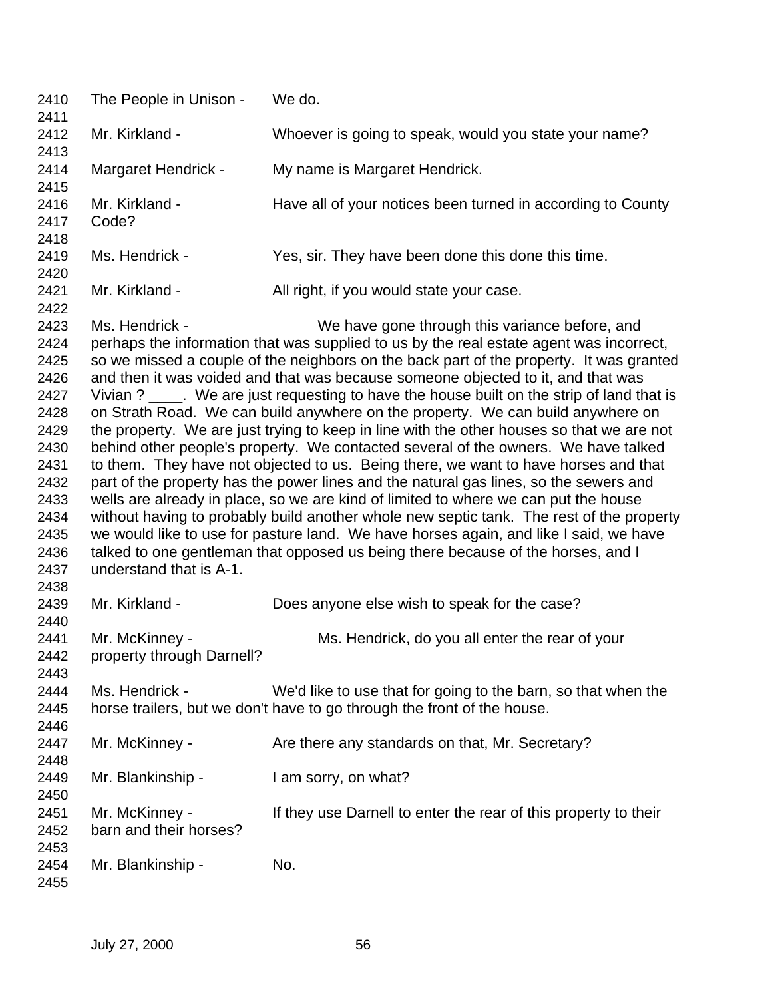| 2410<br>2411                                                                                                                 | The People in Unison -                      | We do.                                                                                                                                                                                                                                                                                                                                                                                                                                                                                                                                                                                                                                                                                                                                                                                                                                                                                                                                                                                                                                                                                                                                                                                                                                       |
|------------------------------------------------------------------------------------------------------------------------------|---------------------------------------------|----------------------------------------------------------------------------------------------------------------------------------------------------------------------------------------------------------------------------------------------------------------------------------------------------------------------------------------------------------------------------------------------------------------------------------------------------------------------------------------------------------------------------------------------------------------------------------------------------------------------------------------------------------------------------------------------------------------------------------------------------------------------------------------------------------------------------------------------------------------------------------------------------------------------------------------------------------------------------------------------------------------------------------------------------------------------------------------------------------------------------------------------------------------------------------------------------------------------------------------------|
| 2412<br>2413                                                                                                                 | Mr. Kirkland -                              | Whoever is going to speak, would you state your name?                                                                                                                                                                                                                                                                                                                                                                                                                                                                                                                                                                                                                                                                                                                                                                                                                                                                                                                                                                                                                                                                                                                                                                                        |
| 2414<br>2415                                                                                                                 | Margaret Hendrick -                         | My name is Margaret Hendrick.                                                                                                                                                                                                                                                                                                                                                                                                                                                                                                                                                                                                                                                                                                                                                                                                                                                                                                                                                                                                                                                                                                                                                                                                                |
| 2416<br>2417<br>2418                                                                                                         | Mr. Kirkland -<br>Code?                     | Have all of your notices been turned in according to County                                                                                                                                                                                                                                                                                                                                                                                                                                                                                                                                                                                                                                                                                                                                                                                                                                                                                                                                                                                                                                                                                                                                                                                  |
| 2419<br>2420                                                                                                                 | Ms. Hendrick -                              | Yes, sir. They have been done this done this time.                                                                                                                                                                                                                                                                                                                                                                                                                                                                                                                                                                                                                                                                                                                                                                                                                                                                                                                                                                                                                                                                                                                                                                                           |
| 2421<br>2422                                                                                                                 | Mr. Kirkland -                              | All right, if you would state your case.                                                                                                                                                                                                                                                                                                                                                                                                                                                                                                                                                                                                                                                                                                                                                                                                                                                                                                                                                                                                                                                                                                                                                                                                     |
| 2423<br>2424<br>2425<br>2426<br>2427<br>2428<br>2429<br>2430<br>2431<br>2432<br>2433<br>2434<br>2435<br>2436<br>2437<br>2438 | Ms. Hendrick -<br>understand that is A-1.   | We have gone through this variance before, and<br>perhaps the information that was supplied to us by the real estate agent was incorrect,<br>so we missed a couple of the neighbors on the back part of the property. It was granted<br>and then it was voided and that was because someone objected to it, and that was<br>Vivian ? ____. We are just requesting to have the house built on the strip of land that is<br>on Strath Road. We can build anywhere on the property. We can build anywhere on<br>the property. We are just trying to keep in line with the other houses so that we are not<br>behind other people's property. We contacted several of the owners. We have talked<br>to them. They have not objected to us. Being there, we want to have horses and that<br>part of the property has the power lines and the natural gas lines, so the sewers and<br>wells are already in place, so we are kind of limited to where we can put the house<br>without having to probably build another whole new septic tank. The rest of the property<br>we would like to use for pasture land. We have horses again, and like I said, we have<br>talked to one gentleman that opposed us being there because of the horses, and I |
| 2439<br>2440                                                                                                                 | Mr. Kirkland -                              | Does anyone else wish to speak for the case?                                                                                                                                                                                                                                                                                                                                                                                                                                                                                                                                                                                                                                                                                                                                                                                                                                                                                                                                                                                                                                                                                                                                                                                                 |
| 2441<br>2442<br>2443                                                                                                         | Mr. McKinney -<br>property through Darnell? | Ms. Hendrick, do you all enter the rear of your                                                                                                                                                                                                                                                                                                                                                                                                                                                                                                                                                                                                                                                                                                                                                                                                                                                                                                                                                                                                                                                                                                                                                                                              |
| 2444<br>2445<br>2446                                                                                                         | Ms. Hendrick -                              | We'd like to use that for going to the barn, so that when the<br>horse trailers, but we don't have to go through the front of the house.                                                                                                                                                                                                                                                                                                                                                                                                                                                                                                                                                                                                                                                                                                                                                                                                                                                                                                                                                                                                                                                                                                     |
| 2447<br>2448                                                                                                                 | Mr. McKinney -                              | Are there any standards on that, Mr. Secretary?                                                                                                                                                                                                                                                                                                                                                                                                                                                                                                                                                                                                                                                                                                                                                                                                                                                                                                                                                                                                                                                                                                                                                                                              |
| 2449<br>2450                                                                                                                 | Mr. Blankinship -                           | I am sorry, on what?                                                                                                                                                                                                                                                                                                                                                                                                                                                                                                                                                                                                                                                                                                                                                                                                                                                                                                                                                                                                                                                                                                                                                                                                                         |
| 2451<br>2452<br>2453                                                                                                         | Mr. McKinney -<br>barn and their horses?    | If they use Darnell to enter the rear of this property to their                                                                                                                                                                                                                                                                                                                                                                                                                                                                                                                                                                                                                                                                                                                                                                                                                                                                                                                                                                                                                                                                                                                                                                              |
| 2454<br>2455                                                                                                                 | Mr. Blankinship -                           | No.                                                                                                                                                                                                                                                                                                                                                                                                                                                                                                                                                                                                                                                                                                                                                                                                                                                                                                                                                                                                                                                                                                                                                                                                                                          |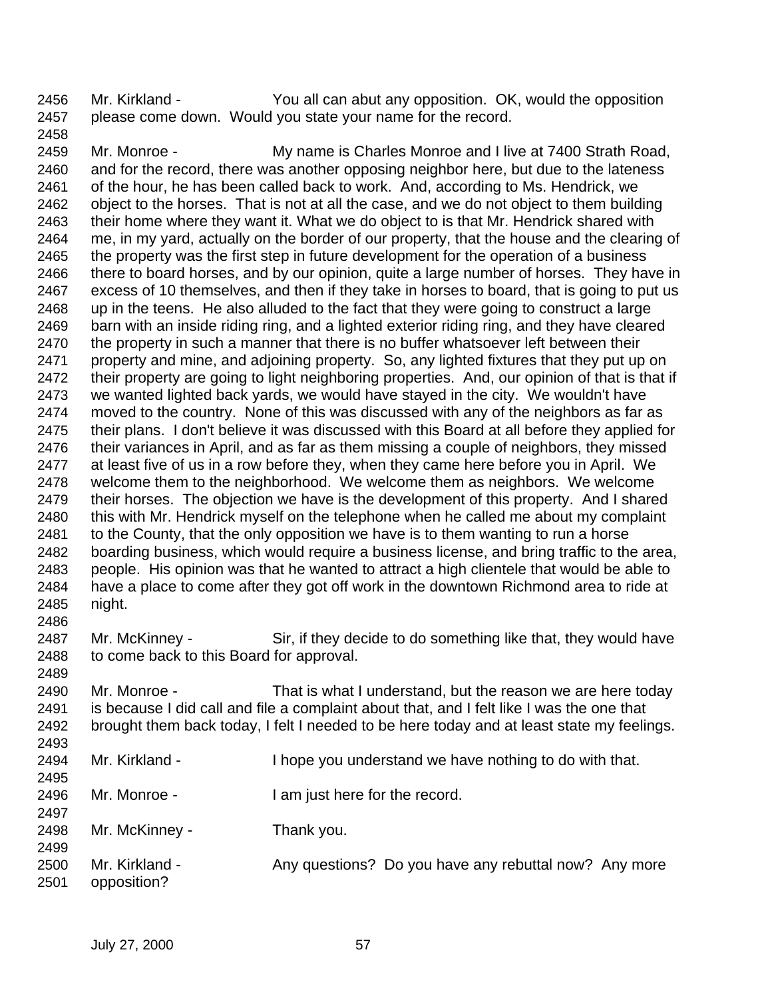Mr. Kirkland - You all can abut any opposition. OK, would the opposition please come down. Would you state your name for the record.

 Mr. Monroe - My name is Charles Monroe and I live at 7400 Strath Road, and for the record, there was another opposing neighbor here, but due to the lateness of the hour, he has been called back to work. And, according to Ms. Hendrick, we object to the horses. That is not at all the case, and we do not object to them building their home where they want it. What we do object to is that Mr. Hendrick shared with me, in my yard, actually on the border of our property, that the house and the clearing of the property was the first step in future development for the operation of a business 2466 there to board horses, and by our opinion, quite a large number of horses. They have in excess of 10 themselves, and then if they take in horses to board, that is going to put us up in the teens. He also alluded to the fact that they were going to construct a large barn with an inside riding ring, and a lighted exterior riding ring, and they have cleared 2470 the property in such a manner that there is no buffer whatsoever left between their property and mine, and adjoining property. So, any lighted fixtures that they put up on their property are going to light neighboring properties. And, our opinion of that is that if we wanted lighted back yards, we would have stayed in the city. We wouldn't have moved to the country. None of this was discussed with any of the neighbors as far as their plans. I don't believe it was discussed with this Board at all before they applied for their variances in April, and as far as them missing a couple of neighbors, they missed at least five of us in a row before they, when they came here before you in April. We welcome them to the neighborhood. We welcome them as neighbors. We welcome their horses. The objection we have is the development of this property. And I shared this with Mr. Hendrick myself on the telephone when he called me about my complaint to the County, that the only opposition we have is to them wanting to run a horse boarding business, which would require a business license, and bring traffic to the area, people. His opinion was that he wanted to attract a high clientele that would be able to have a place to come after they got off work in the downtown Richmond area to ride at night. 

2487 Mr. McKinney - Sir, if they decide to do something like that, they would have to come back to this Board for approval.

 Mr. Monroe - That is what I understand, but the reason we are here today is because I did call and file a complaint about that, and I felt like I was the one that brought them back today, I felt I needed to be here today and at least state my feelings. 

| 2494 | Mr. Kirkland - | I hope you understand we have nothing to do with that. |
|------|----------------|--------------------------------------------------------|
| 2495 |                |                                                        |
| 2496 | Mr. Monroe -   | I am just here for the record.                         |
| 2497 |                |                                                        |
| 2498 | Mr. McKinney - | Thank you.                                             |
| 2499 |                |                                                        |
| 2500 | Mr. Kirkland - | Any questions? Do you have any rebuttal now? Any more  |
| 2501 | opposition?    |                                                        |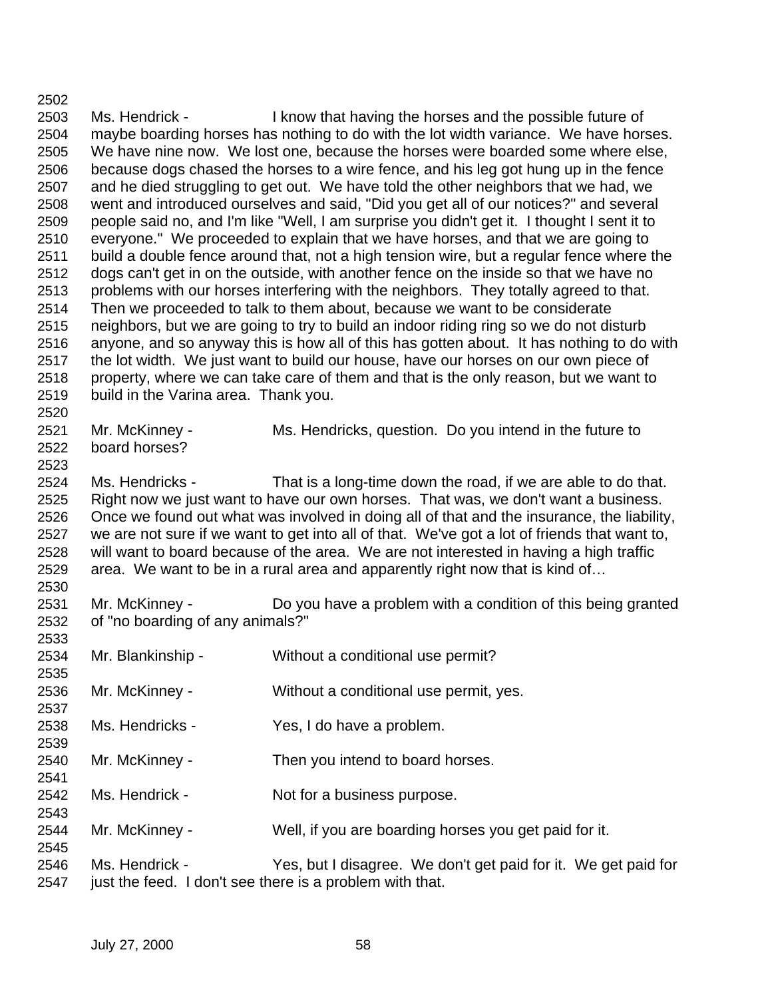Ms. Hendrick - I know that having the horses and the possible future of maybe boarding horses has nothing to do with the lot width variance. We have horses. We have nine now. We lost one, because the horses were boarded some where else, because dogs chased the horses to a wire fence, and his leg got hung up in the fence and he died struggling to get out. We have told the other neighbors that we had, we went and introduced ourselves and said, "Did you get all of our notices?" and several people said no, and I'm like "Well, I am surprise you didn't get it. I thought I sent it to everyone." We proceeded to explain that we have horses, and that we are going to build a double fence around that, not a high tension wire, but a regular fence where the dogs can't get in on the outside, with another fence on the inside so that we have no problems with our horses interfering with the neighbors. They totally agreed to that. Then we proceeded to talk to them about, because we want to be considerate neighbors, but we are going to try to build an indoor riding ring so we do not disturb anyone, and so anyway this is how all of this has gotten about. It has nothing to do with the lot width. We just want to build our house, have our horses on our own piece of property, where we can take care of them and that is the only reason, but we want to build in the Varina area. Thank you. Mr. McKinney - Ms. Hendricks, question. Do you intend in the future to board horses? Ms. Hendricks - That is a long-time down the road, if we are able to do that. Right now we just want to have our own horses. That was, we don't want a business. Once we found out what was involved in doing all of that and the insurance, the liability, we are not sure if we want to get into all of that. We've got a lot of friends that want to, will want to board because of the area. We are not interested in having a high traffic area. We want to be in a rural area and apparently right now that is kind of… Mr. McKinney - Do you have a problem with a condition of this being granted of "no boarding of any animals?" Mr. Blankinship - Without a conditional use permit? Mr. McKinney - Without a conditional use permit, yes. Ms. Hendricks - Yes, I do have a problem. Mr. McKinney - Then you intend to board horses. Ms. Hendrick - Not for a business purpose. Mr. McKinney - Well, if you are boarding horses you get paid for it. Ms. Hendrick - Yes, but I disagree. We don't get paid for it. We get paid for 2547 just the feed. I don't see there is a problem with that.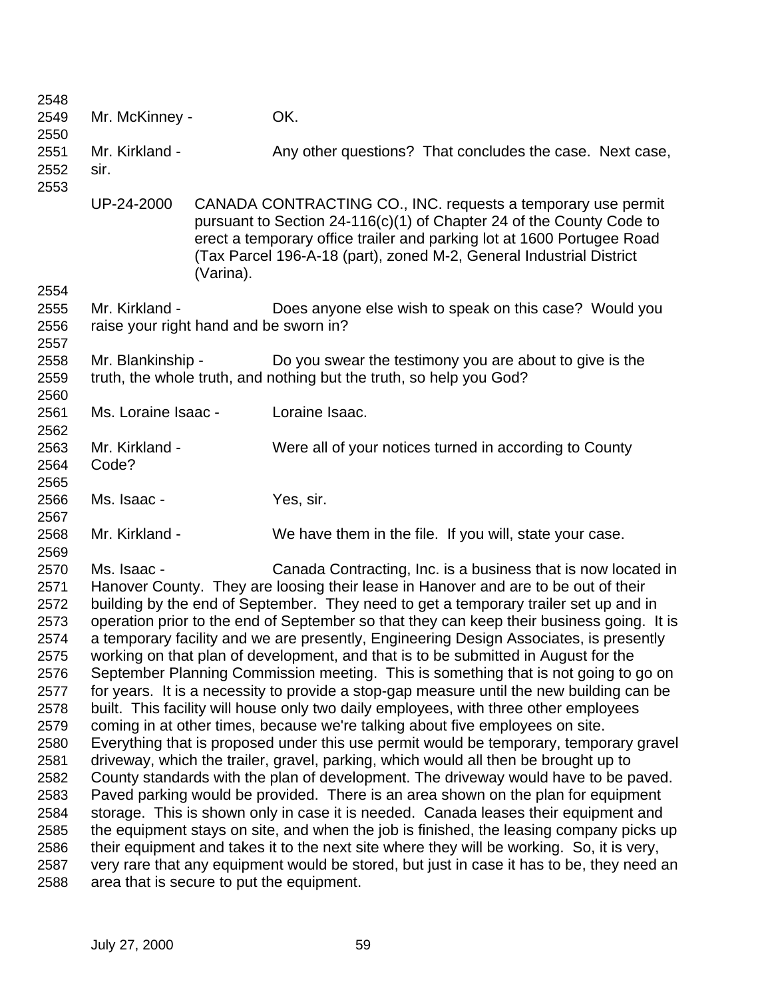| 2548         |                                                                                     |           |                                                                                                                                                                                                                                                                                       |  |  |
|--------------|-------------------------------------------------------------------------------------|-----------|---------------------------------------------------------------------------------------------------------------------------------------------------------------------------------------------------------------------------------------------------------------------------------------|--|--|
| 2549         | Mr. McKinney -                                                                      |           | OK.                                                                                                                                                                                                                                                                                   |  |  |
| 2550         |                                                                                     |           |                                                                                                                                                                                                                                                                                       |  |  |
| 2551         | Mr. Kirkland -                                                                      |           | Any other questions? That concludes the case. Next case,                                                                                                                                                                                                                              |  |  |
| 2552         | sir.                                                                                |           |                                                                                                                                                                                                                                                                                       |  |  |
| 2553         |                                                                                     |           |                                                                                                                                                                                                                                                                                       |  |  |
|              | UP-24-2000                                                                          | (Varina). | CANADA CONTRACTING CO., INC. requests a temporary use permit<br>pursuant to Section 24-116(c)(1) of Chapter 24 of the County Code to<br>erect a temporary office trailer and parking lot at 1600 Portugee Road<br>(Tax Parcel 196-A-18 (part), zoned M-2, General Industrial District |  |  |
| 2554         |                                                                                     |           |                                                                                                                                                                                                                                                                                       |  |  |
| 2555<br>2556 | Mr. Kirkland -<br>raise your right hand and be sworn in?                            |           | Does anyone else wish to speak on this case? Would you                                                                                                                                                                                                                                |  |  |
| 2557         |                                                                                     |           |                                                                                                                                                                                                                                                                                       |  |  |
| 2558<br>2559 | Mr. Blankinship -                                                                   |           | Do you swear the testimony you are about to give is the<br>truth, the whole truth, and nothing but the truth, so help you God?                                                                                                                                                        |  |  |
| 2560         |                                                                                     |           |                                                                                                                                                                                                                                                                                       |  |  |
| 2561         | Ms. Loraine Isaac -                                                                 |           | Loraine Isaac.                                                                                                                                                                                                                                                                        |  |  |
| 2562         |                                                                                     |           |                                                                                                                                                                                                                                                                                       |  |  |
| 2563         | Mr. Kirkland -                                                                      |           | Were all of your notices turned in according to County                                                                                                                                                                                                                                |  |  |
| 2564         | Code?                                                                               |           |                                                                                                                                                                                                                                                                                       |  |  |
| 2565         |                                                                                     |           |                                                                                                                                                                                                                                                                                       |  |  |
| 2566         | Ms. Isaac -                                                                         |           | Yes, sir.                                                                                                                                                                                                                                                                             |  |  |
| 2567         |                                                                                     |           |                                                                                                                                                                                                                                                                                       |  |  |
| 2568         | Mr. Kirkland -                                                                      |           | We have them in the file. If you will, state your case.                                                                                                                                                                                                                               |  |  |
| 2569         |                                                                                     |           |                                                                                                                                                                                                                                                                                       |  |  |
| 2570         | Ms. Isaac -                                                                         |           | Canada Contracting, Inc. is a business that is now located in                                                                                                                                                                                                                         |  |  |
| 2571         |                                                                                     |           | Hanover County. They are loosing their lease in Hanover and are to be out of their                                                                                                                                                                                                    |  |  |
| 2572         |                                                                                     |           | building by the end of September. They need to get a temporary trailer set up and in                                                                                                                                                                                                  |  |  |
| 2573         |                                                                                     |           | operation prior to the end of September so that they can keep their business going. It is                                                                                                                                                                                             |  |  |
| 2574         |                                                                                     |           | a temporary facility and we are presently, Engineering Design Associates, is presently                                                                                                                                                                                                |  |  |
| 2575         |                                                                                     |           | working on that plan of development, and that is to be submitted in August for the                                                                                                                                                                                                    |  |  |
| 2576         |                                                                                     |           | September Planning Commission meeting. This is something that is not going to go on                                                                                                                                                                                                   |  |  |
| 2577         |                                                                                     |           | for years. It is a necessity to provide a stop-gap measure until the new building can be                                                                                                                                                                                              |  |  |
| 2578         |                                                                                     |           | built. This facility will house only two daily employees, with three other employees                                                                                                                                                                                                  |  |  |
| 2579         |                                                                                     |           | coming in at other times, because we're talking about five employees on site.                                                                                                                                                                                                         |  |  |
| 2580         |                                                                                     |           | Everything that is proposed under this use permit would be temporary, temporary gravel                                                                                                                                                                                                |  |  |
| 2581         | driveway, which the trailer, gravel, parking, which would all then be brought up to |           |                                                                                                                                                                                                                                                                                       |  |  |
| 2582         |                                                                                     |           | County standards with the plan of development. The driveway would have to be paved.                                                                                                                                                                                                   |  |  |
| 2583         |                                                                                     |           | Paved parking would be provided. There is an area shown on the plan for equipment                                                                                                                                                                                                     |  |  |
| 2584         |                                                                                     |           | storage. This is shown only in case it is needed. Canada leases their equipment and                                                                                                                                                                                                   |  |  |
| 2585         |                                                                                     |           | the equipment stays on site, and when the job is finished, the leasing company picks up                                                                                                                                                                                               |  |  |
| 2586         |                                                                                     |           | their equipment and takes it to the next site where they will be working. So, it is very,                                                                                                                                                                                             |  |  |
| 2587         |                                                                                     |           | very rare that any equipment would be stored, but just in case it has to be, they need an                                                                                                                                                                                             |  |  |
| 2588         | area that is secure to put the equipment.                                           |           |                                                                                                                                                                                                                                                                                       |  |  |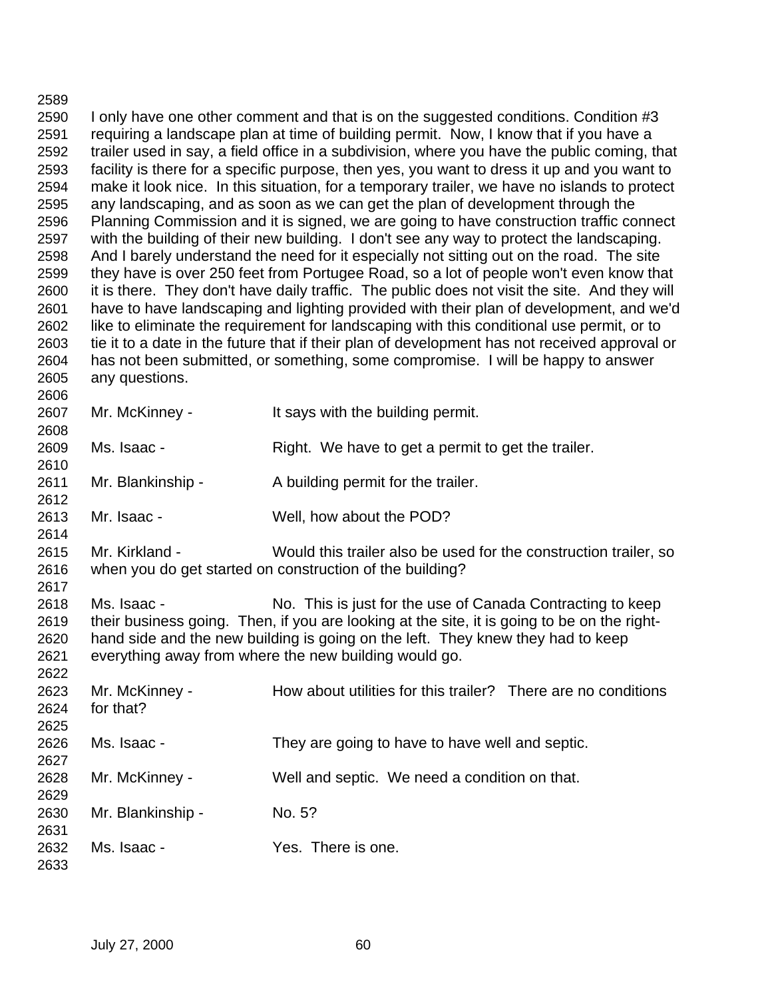I only have one other comment and that is on the suggested conditions. Condition #3 requiring a landscape plan at time of building permit. Now, I know that if you have a trailer used in say, a field office in a subdivision, where you have the public coming, that facility is there for a specific purpose, then yes, you want to dress it up and you want to make it look nice. In this situation, for a temporary trailer, we have no islands to protect any landscaping, and as soon as we can get the plan of development through the Planning Commission and it is signed, we are going to have construction traffic connect with the building of their new building. I don't see any way to protect the landscaping. And I barely understand the need for it especially not sitting out on the road. The site they have is over 250 feet from Portugee Road, so a lot of people won't even know that it is there. They don't have daily traffic. The public does not visit the site. And they will have to have landscaping and lighting provided with their plan of development, and we'd like to eliminate the requirement for landscaping with this conditional use permit, or to tie it to a date in the future that if their plan of development has not received approval or has not been submitted, or something, some compromise. I will be happy to answer any questions. Mr. McKinney - It says with the building permit. 

Ms. Isaac - Right. We have to get a permit to get the trailer.

Mr. Blankinship - A building permit for the trailer.

Mr. Isaac - Well, how about the POD?

 Mr. Kirkland - Would this trailer also be used for the construction trailer, so when you do get started on construction of the building?

 Ms. Isaac - No. This is just for the use of Canada Contracting to keep their business going. Then, if you are looking at the site, it is going to be on the right- hand side and the new building is going on the left. They knew they had to keep everything away from where the new building would go. 

| 2623 | Mr. McKinney -    | How about utilities for this trailer? There are no conditions |
|------|-------------------|---------------------------------------------------------------|
| 2624 | for that?         |                                                               |
| 2625 |                   |                                                               |
| 2626 | Ms. Isaac -       | They are going to have to have well and septic.               |
| 2627 |                   |                                                               |
| 2628 | Mr. McKinney -    | Well and septic. We need a condition on that.                 |
| 2629 |                   |                                                               |
| 2630 | Mr. Blankinship - | No. 5?                                                        |
| 2631 |                   |                                                               |
| 2632 | Ms. Isaac -       | Yes. There is one.                                            |
| 2633 |                   |                                                               |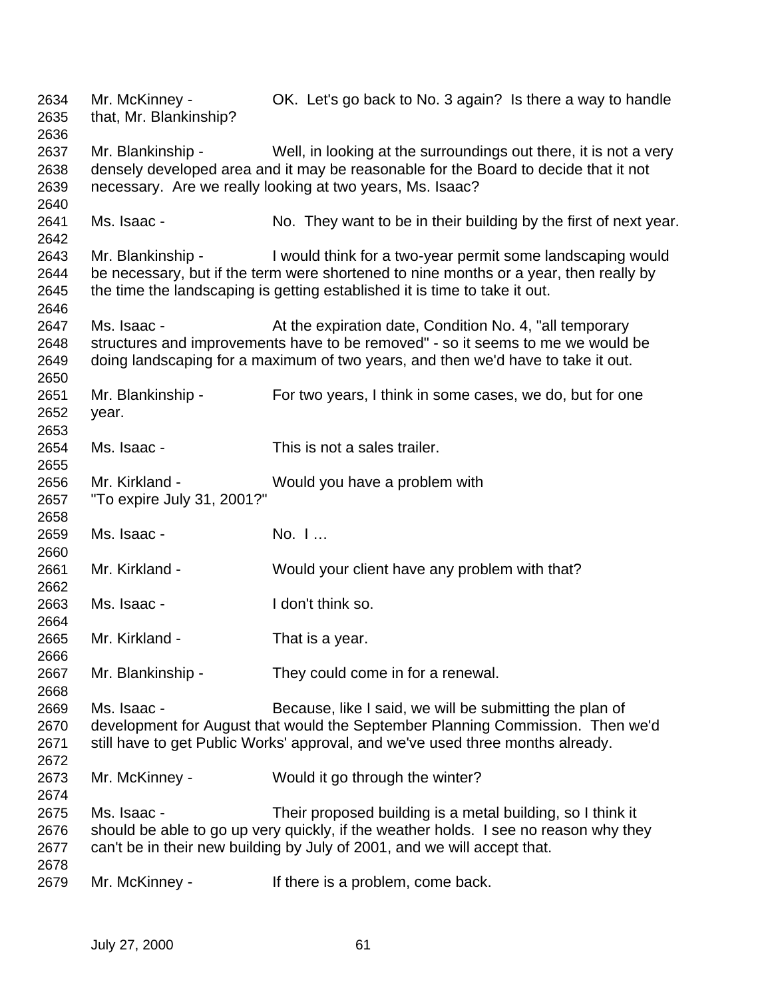Mr. McKinney - OK. Let's go back to No. 3 again? Is there a way to handle that, Mr. Blankinship? Mr. Blankinship - Well, in looking at the surroundings out there, it is not a very densely developed area and it may be reasonable for the Board to decide that it not necessary. Are we really looking at two years, Ms. Isaac? Ms. Isaac - No. They want to be in their building by the first of next year. Mr. Blankinship - I would think for a two-year permit some landscaping would be necessary, but if the term were shortened to nine months or a year, then really by the time the landscaping is getting established it is time to take it out. 2647 Ms. Isaac - <br>At the expiration date, Condition No. 4, "all temporary" structures and improvements have to be removed" - so it seems to me we would be doing landscaping for a maximum of two years, and then we'd have to take it out. Mr. Blankinship - For two years, I think in some cases, we do, but for one year. Ms. Isaac - This is not a sales trailer. Mr. Kirkland - Would you have a problem with "To expire July 31, 2001?" Ms. Isaac - No. I … Mr. Kirkland - Would your client have any problem with that? Ms. Isaac - I don't think so. Mr. Kirkland - That is a year. Mr. Blankinship - They could come in for a renewal. Ms. Isaac - Because, like I said, we will be submitting the plan of development for August that would the September Planning Commission. Then we'd still have to get Public Works' approval, and we've used three months already. Mr. McKinney - Would it go through the winter? Ms. Isaac - Their proposed building is a metal building, so I think it should be able to go up very quickly, if the weather holds. I see no reason why they can't be in their new building by July of 2001, and we will accept that. Mr. McKinney - If there is a problem, come back.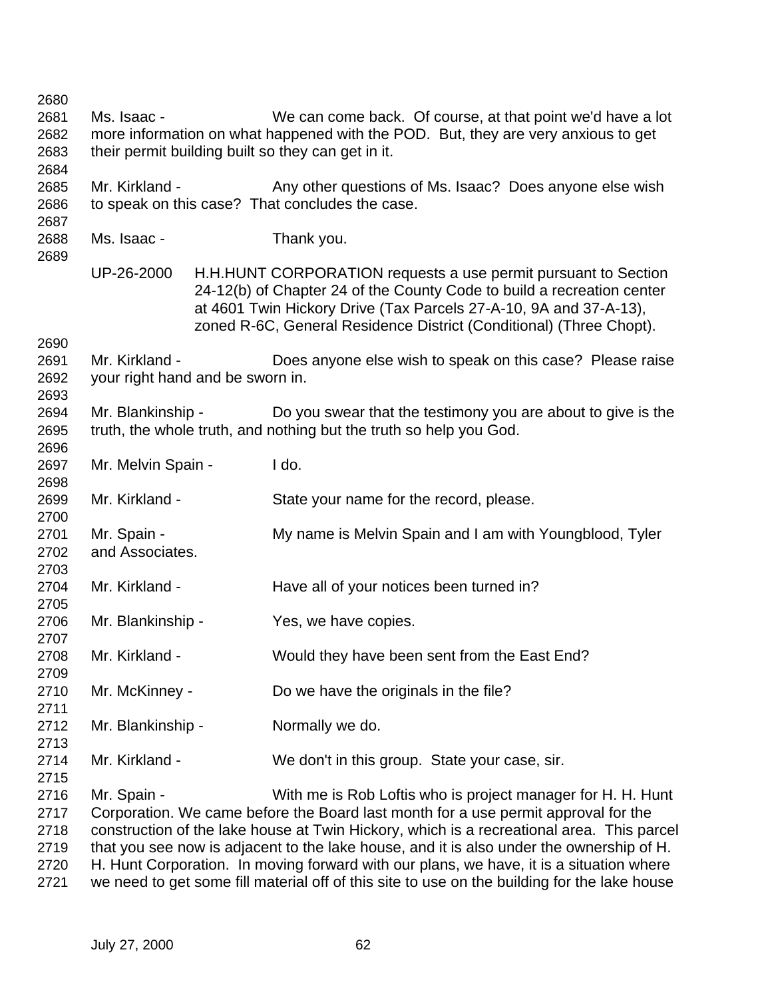| 2680 |                                  |  |                                                                                                                                                                                                                                                                                      |
|------|----------------------------------|--|--------------------------------------------------------------------------------------------------------------------------------------------------------------------------------------------------------------------------------------------------------------------------------------|
| 2681 | Ms. Isaac -                      |  | We can come back. Of course, at that point we'd have a lot                                                                                                                                                                                                                           |
| 2682 |                                  |  | more information on what happened with the POD. But, they are very anxious to get                                                                                                                                                                                                    |
| 2683 |                                  |  | their permit building built so they can get in it.                                                                                                                                                                                                                                   |
| 2684 |                                  |  |                                                                                                                                                                                                                                                                                      |
| 2685 | Mr. Kirkland -                   |  | Any other questions of Ms. Isaac? Does anyone else wish                                                                                                                                                                                                                              |
| 2686 |                                  |  | to speak on this case? That concludes the case.                                                                                                                                                                                                                                      |
| 2687 |                                  |  |                                                                                                                                                                                                                                                                                      |
| 2688 | Ms. Isaac -                      |  | Thank you.                                                                                                                                                                                                                                                                           |
| 2689 |                                  |  |                                                                                                                                                                                                                                                                                      |
|      | UP-26-2000                       |  | H.H.HUNT CORPORATION requests a use permit pursuant to Section<br>24-12(b) of Chapter 24 of the County Code to build a recreation center<br>at 4601 Twin Hickory Drive (Tax Parcels 27-A-10, 9A and 37-A-13),<br>zoned R-6C, General Residence District (Conditional) (Three Chopt). |
| 2690 |                                  |  |                                                                                                                                                                                                                                                                                      |
| 2691 | Mr. Kirkland -                   |  | Does anyone else wish to speak on this case? Please raise                                                                                                                                                                                                                            |
| 2692 | your right hand and be sworn in. |  |                                                                                                                                                                                                                                                                                      |
| 2693 |                                  |  |                                                                                                                                                                                                                                                                                      |
| 2694 | Mr. Blankinship -                |  | Do you swear that the testimony you are about to give is the                                                                                                                                                                                                                         |
| 2695 |                                  |  | truth, the whole truth, and nothing but the truth so help you God.                                                                                                                                                                                                                   |
| 2696 |                                  |  |                                                                                                                                                                                                                                                                                      |
| 2697 | Mr. Melvin Spain -               |  | I do.                                                                                                                                                                                                                                                                                |
| 2698 |                                  |  |                                                                                                                                                                                                                                                                                      |
| 2699 | Mr. Kirkland -                   |  | State your name for the record, please.                                                                                                                                                                                                                                              |
| 2700 |                                  |  |                                                                                                                                                                                                                                                                                      |
| 2701 | Mr. Spain -                      |  | My name is Melvin Spain and I am with Youngblood, Tyler                                                                                                                                                                                                                              |
| 2702 | and Associates.                  |  |                                                                                                                                                                                                                                                                                      |
| 2703 |                                  |  |                                                                                                                                                                                                                                                                                      |
| 2704 | Mr. Kirkland -                   |  | Have all of your notices been turned in?                                                                                                                                                                                                                                             |
| 2705 |                                  |  |                                                                                                                                                                                                                                                                                      |
| 2706 | Mr. Blankinship -                |  | Yes, we have copies.                                                                                                                                                                                                                                                                 |
| 2707 |                                  |  |                                                                                                                                                                                                                                                                                      |
| 2708 | Mr. Kirkland -                   |  | Would they have been sent from the East End?                                                                                                                                                                                                                                         |
| 2709 |                                  |  |                                                                                                                                                                                                                                                                                      |
| 2710 | Mr. McKinney -                   |  | Do we have the originals in the file?                                                                                                                                                                                                                                                |
| 2711 |                                  |  |                                                                                                                                                                                                                                                                                      |
| 2712 | Mr. Blankinship -                |  | Normally we do.                                                                                                                                                                                                                                                                      |
| 2713 |                                  |  |                                                                                                                                                                                                                                                                                      |
| 2714 | Mr. Kirkland -                   |  | We don't in this group. State your case, sir.                                                                                                                                                                                                                                        |
| 2715 |                                  |  |                                                                                                                                                                                                                                                                                      |
| 2716 | Mr. Spain -                      |  | With me is Rob Loftis who is project manager for H. H. Hunt                                                                                                                                                                                                                          |
| 2717 |                                  |  | Corporation. We came before the Board last month for a use permit approval for the                                                                                                                                                                                                   |
| 2718 |                                  |  | construction of the lake house at Twin Hickory, which is a recreational area. This parcel                                                                                                                                                                                            |
| 2719 |                                  |  | that you see now is adjacent to the lake house, and it is also under the ownership of H.                                                                                                                                                                                             |
| 2720 |                                  |  | H. Hunt Corporation. In moving forward with our plans, we have, it is a situation where                                                                                                                                                                                              |
|      |                                  |  | والمتسمعة<br>الملائم والمرجان المتلاط والمتلاط                                                                                                                                                                                                                                       |

we need to get some fill material off of this site to use on the building for the lake house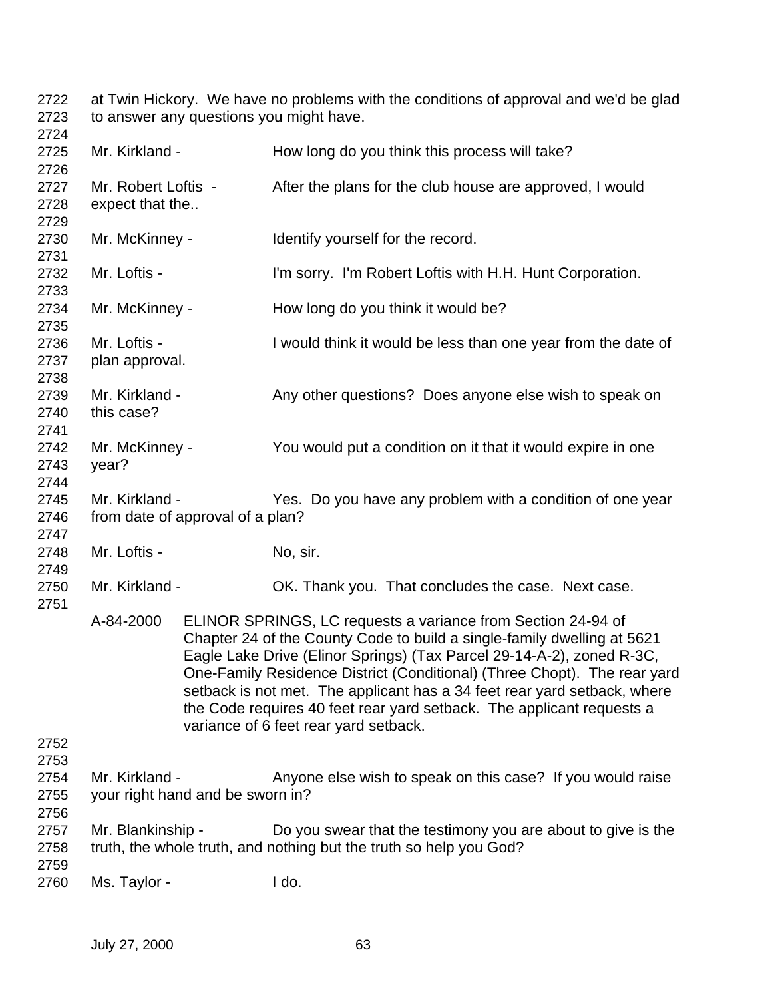at Twin Hickory. We have no problems with the conditions of approval and we'd be glad to answer any questions you might have. 

| 21 2 T<br>2725               | Mr. Kirkland -                                     |  |                                       | How long do you think this process will take?                                                                                                                                                                                                                                                                                                                                                                                                     |  |
|------------------------------|----------------------------------------------------|--|---------------------------------------|---------------------------------------------------------------------------------------------------------------------------------------------------------------------------------------------------------------------------------------------------------------------------------------------------------------------------------------------------------------------------------------------------------------------------------------------------|--|
| 2726<br>2727<br>2728         | Mr. Robert Loftis -<br>expect that the             |  |                                       | After the plans for the club house are approved, I would                                                                                                                                                                                                                                                                                                                                                                                          |  |
| 2729<br>2730                 | Mr. McKinney -                                     |  | Identify yourself for the record.     |                                                                                                                                                                                                                                                                                                                                                                                                                                                   |  |
| 2731<br>2732                 | Mr. Loftis -                                       |  |                                       | I'm sorry. I'm Robert Loftis with H.H. Hunt Corporation.                                                                                                                                                                                                                                                                                                                                                                                          |  |
| 2733<br>2734                 | Mr. McKinney -                                     |  |                                       | How long do you think it would be?                                                                                                                                                                                                                                                                                                                                                                                                                |  |
| 2735<br>2736<br>2737         | Mr. Loftis -<br>plan approval.                     |  |                                       | I would think it would be less than one year from the date of                                                                                                                                                                                                                                                                                                                                                                                     |  |
| 2738<br>2739<br>2740         | Mr. Kirkland -<br>this case?                       |  |                                       | Any other questions? Does anyone else wish to speak on                                                                                                                                                                                                                                                                                                                                                                                            |  |
| 2741<br>2742<br>2743         | Mr. McKinney -<br>year?                            |  |                                       | You would put a condition on it that it would expire in one                                                                                                                                                                                                                                                                                                                                                                                       |  |
| 2744<br>2745<br>2746         | Mr. Kirkland -<br>from date of approval of a plan? |  |                                       | Yes. Do you have any problem with a condition of one year                                                                                                                                                                                                                                                                                                                                                                                         |  |
| 2747<br>2748                 | Mr. Loftis -                                       |  | No, sir.                              |                                                                                                                                                                                                                                                                                                                                                                                                                                                   |  |
| 2749<br>2750                 | Mr. Kirkland -                                     |  |                                       | OK. Thank you. That concludes the case. Next case.                                                                                                                                                                                                                                                                                                                                                                                                |  |
| 2751                         | A-84-2000                                          |  | variance of 6 feet rear yard setback. | ELINOR SPRINGS, LC requests a variance from Section 24-94 of<br>Chapter 24 of the County Code to build a single-family dwelling at 5621<br>Eagle Lake Drive (Elinor Springs) (Tax Parcel 29-14-A-2), zoned R-3C,<br>One-Family Residence District (Conditional) (Three Chopt). The rear yard<br>setback is not met. The applicant has a 34 feet rear yard setback, where<br>the Code requires 40 feet rear yard setback. The applicant requests a |  |
| 2752<br>2753<br>2754<br>2755 | Mr. Kirkland -<br>your right hand and be sworn in? |  |                                       | Anyone else wish to speak on this case? If you would raise                                                                                                                                                                                                                                                                                                                                                                                        |  |
| 2756<br>2757<br>2758         | Mr. Blankinship -                                  |  |                                       | Do you swear that the testimony you are about to give is the<br>truth, the whole truth, and nothing but the truth so help you God?                                                                                                                                                                                                                                                                                                                |  |
| 2759<br>2760                 | Ms. Taylor -                                       |  | I do.                                 |                                                                                                                                                                                                                                                                                                                                                                                                                                                   |  |
|                              |                                                    |  |                                       |                                                                                                                                                                                                                                                                                                                                                                                                                                                   |  |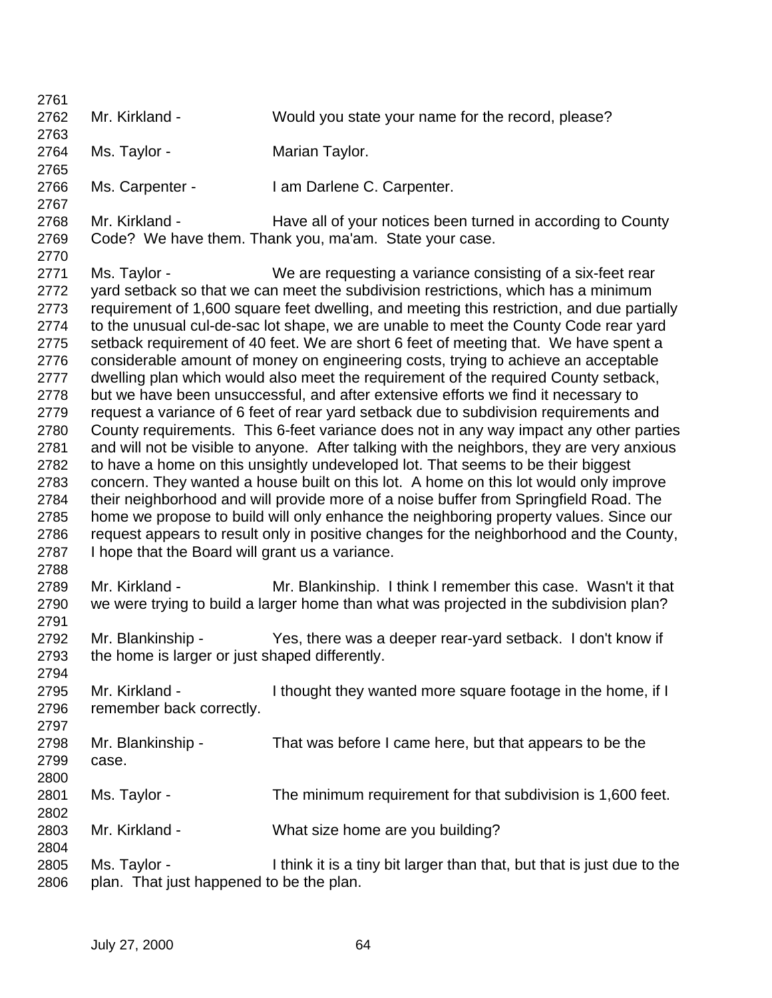| 2761 |                                                                                       |                                                                                            |  |  |  |
|------|---------------------------------------------------------------------------------------|--------------------------------------------------------------------------------------------|--|--|--|
| 2762 | Mr. Kirkland -                                                                        | Would you state your name for the record, please?                                          |  |  |  |
| 2763 |                                                                                       |                                                                                            |  |  |  |
| 2764 | Ms. Taylor -                                                                          | Marian Taylor.                                                                             |  |  |  |
| 2765 |                                                                                       |                                                                                            |  |  |  |
| 2766 | Ms. Carpenter -                                                                       | I am Darlene C. Carpenter.                                                                 |  |  |  |
| 2767 |                                                                                       |                                                                                            |  |  |  |
| 2768 | Mr. Kirkland -                                                                        | Have all of your notices been turned in according to County                                |  |  |  |
| 2769 |                                                                                       | Code? We have them. Thank you, ma'am. State your case.                                     |  |  |  |
| 2770 |                                                                                       |                                                                                            |  |  |  |
| 2771 | Ms. Taylor -                                                                          | We are requesting a variance consisting of a six-feet rear                                 |  |  |  |
| 2772 |                                                                                       | yard setback so that we can meet the subdivision restrictions, which has a minimum         |  |  |  |
| 2773 |                                                                                       | requirement of 1,600 square feet dwelling, and meeting this restriction, and due partially |  |  |  |
| 2774 |                                                                                       | to the unusual cul-de-sac lot shape, we are unable to meet the County Code rear yard       |  |  |  |
| 2775 |                                                                                       | setback requirement of 40 feet. We are short 6 feet of meeting that. We have spent a       |  |  |  |
| 2776 |                                                                                       | considerable amount of money on engineering costs, trying to achieve an acceptable         |  |  |  |
| 2777 |                                                                                       | dwelling plan which would also meet the requirement of the required County setback,        |  |  |  |
| 2778 |                                                                                       | but we have been unsuccessful, and after extensive efforts we find it necessary to         |  |  |  |
| 2779 |                                                                                       | request a variance of 6 feet of rear yard setback due to subdivision requirements and      |  |  |  |
| 2780 |                                                                                       | County requirements. This 6-feet variance does not in any way impact any other parties     |  |  |  |
| 2781 |                                                                                       | and will not be visible to anyone. After talking with the neighbors, they are very anxious |  |  |  |
| 2782 |                                                                                       | to have a home on this unsightly undeveloped lot. That seems to be their biggest           |  |  |  |
| 2783 |                                                                                       | concern. They wanted a house built on this lot. A home on this lot would only improve      |  |  |  |
| 2784 |                                                                                       | their neighborhood and will provide more of a noise buffer from Springfield Road. The      |  |  |  |
| 2785 | home we propose to build will only enhance the neighboring property values. Since our |                                                                                            |  |  |  |
| 2786 |                                                                                       | request appears to result only in positive changes for the neighborhood and the County,    |  |  |  |
| 2787 | I hope that the Board will grant us a variance.                                       |                                                                                            |  |  |  |
| 2788 |                                                                                       |                                                                                            |  |  |  |
| 2789 | Mr. Kirkland -                                                                        | Mr. Blankinship. I think I remember this case. Wasn't it that                              |  |  |  |
| 2790 |                                                                                       | we were trying to build a larger home than what was projected in the subdivision plan?     |  |  |  |
| 2791 |                                                                                       |                                                                                            |  |  |  |
| 2792 | Mr. Blankinship -                                                                     | Yes, there was a deeper rear-yard setback. I don't know if                                 |  |  |  |
| 2793 | the home is larger or just shaped differently.                                        |                                                                                            |  |  |  |
| 2794 |                                                                                       |                                                                                            |  |  |  |
| 2795 | Mr. Kirkland -                                                                        | I thought they wanted more square footage in the home, if I                                |  |  |  |
| 2796 | remember back correctly.                                                              |                                                                                            |  |  |  |
| 2797 |                                                                                       |                                                                                            |  |  |  |
| 2798 | Mr. Blankinship -                                                                     | That was before I came here, but that appears to be the                                    |  |  |  |
| 2799 | case.                                                                                 |                                                                                            |  |  |  |
| 2800 |                                                                                       |                                                                                            |  |  |  |
| 2801 | Ms. Taylor -                                                                          | The minimum requirement for that subdivision is 1,600 feet.                                |  |  |  |
| 2802 |                                                                                       |                                                                                            |  |  |  |
| 2803 | Mr. Kirkland -                                                                        | What size home are you building?                                                           |  |  |  |
| 2804 |                                                                                       |                                                                                            |  |  |  |
| 2805 | Ms. Taylor -                                                                          | I think it is a tiny bit larger than that, but that is just due to the                     |  |  |  |
| 2806 | plan. That just happened to be the plan.                                              |                                                                                            |  |  |  |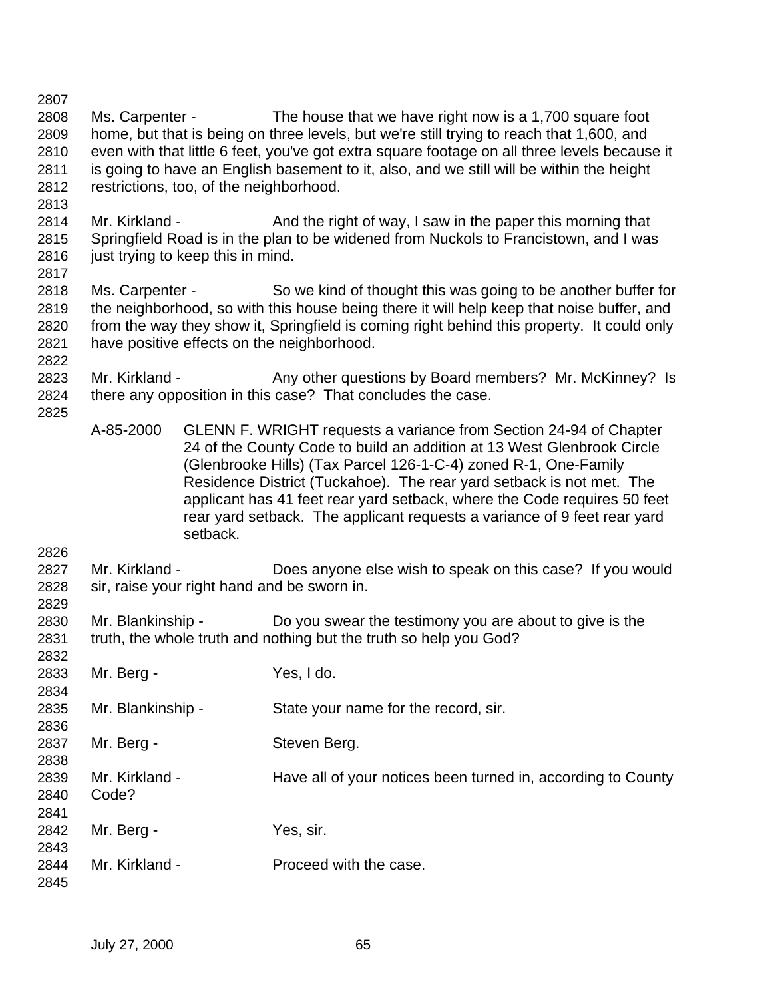| 2807                                         |                         |                                         |                                                                                                                                                                                                                                                                                                                                                                                                                                                |
|----------------------------------------------|-------------------------|-----------------------------------------|------------------------------------------------------------------------------------------------------------------------------------------------------------------------------------------------------------------------------------------------------------------------------------------------------------------------------------------------------------------------------------------------------------------------------------------------|
| 2808<br>2809<br>2810<br>2811<br>2812<br>2813 | Ms. Carpenter -         | restrictions, too, of the neighborhood. | The house that we have right now is a 1,700 square foot<br>home, but that is being on three levels, but we're still trying to reach that 1,600, and<br>even with that little 6 feet, you've got extra square footage on all three levels because it<br>is going to have an English basement to it, also, and we still will be within the height                                                                                                |
| 2814<br>2815<br>2816<br>2817                 | Mr. Kirkland -          | just trying to keep this in mind.       | And the right of way, I saw in the paper this morning that<br>Springfield Road is in the plan to be widened from Nuckols to Francistown, and I was                                                                                                                                                                                                                                                                                             |
| 2818<br>2819<br>2820<br>2821<br>2822         | Ms. Carpenter -         |                                         | So we kind of thought this was going to be another buffer for<br>the neighborhood, so with this house being there it will help keep that noise buffer, and<br>from the way they show it, Springfield is coming right behind this property. It could only<br>have positive effects on the neighborhood.                                                                                                                                         |
| 2823<br>2824<br>2825                         | Mr. Kirkland -          |                                         | Any other questions by Board members? Mr. McKinney? Is<br>there any opposition in this case? That concludes the case.                                                                                                                                                                                                                                                                                                                          |
|                                              | A-85-2000               | setback.                                | GLENN F. WRIGHT requests a variance from Section 24-94 of Chapter<br>24 of the County Code to build an addition at 13 West Glenbrook Circle<br>(Glenbrooke Hills) (Tax Parcel 126-1-C-4) zoned R-1, One-Family<br>Residence District (Tuckahoe). The rear yard setback is not met. The<br>applicant has 41 feet rear yard setback, where the Code requires 50 feet<br>rear yard setback. The applicant requests a variance of 9 feet rear yard |
| 2826<br>2827<br>2828                         | Mr. Kirkland -          |                                         | Does anyone else wish to speak on this case? If you would<br>sir, raise your right hand and be sworn in.                                                                                                                                                                                                                                                                                                                                       |
| 2829<br>2830<br>2831                         | Mr. Blankinship -       |                                         | Do you swear the testimony you are about to give is the<br>truth, the whole truth and nothing but the truth so help you God?                                                                                                                                                                                                                                                                                                                   |
| 2832<br>2833<br>2834                         | Mr. Berg -              |                                         | Yes, I do.                                                                                                                                                                                                                                                                                                                                                                                                                                     |
| 2835<br>2836                                 | Mr. Blankinship -       |                                         | State your name for the record, sir.                                                                                                                                                                                                                                                                                                                                                                                                           |
| 2837<br>2838                                 | Mr. Berg -              |                                         | Steven Berg.                                                                                                                                                                                                                                                                                                                                                                                                                                   |
| 2839<br>2840<br>2841                         | Mr. Kirkland -<br>Code? |                                         | Have all of your notices been turned in, according to County                                                                                                                                                                                                                                                                                                                                                                                   |
| 2842<br>2843                                 | Mr. Berg -              |                                         | Yes, sir.                                                                                                                                                                                                                                                                                                                                                                                                                                      |
| 2844<br>2845                                 | Mr. Kirkland -          |                                         | Proceed with the case.                                                                                                                                                                                                                                                                                                                                                                                                                         |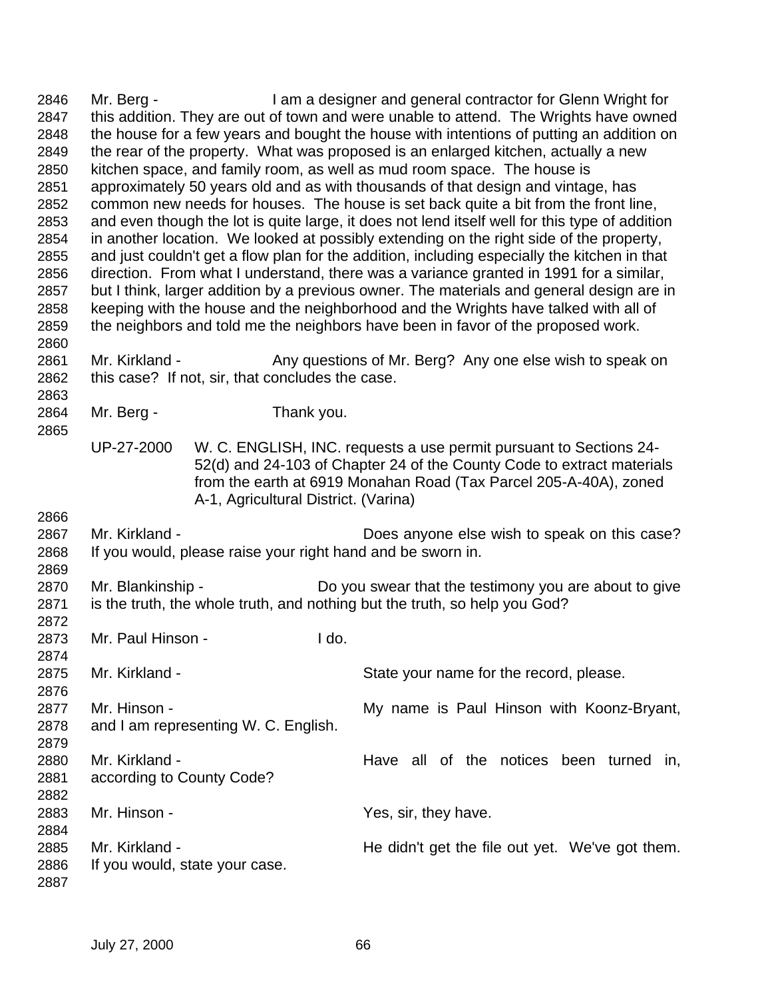| 2846         | Mr. Berg -                                                                               |                                      | I am a designer and general contractor for Glenn Wright for                                    |  |
|--------------|------------------------------------------------------------------------------------------|--------------------------------------|------------------------------------------------------------------------------------------------|--|
| 2847         |                                                                                          |                                      | this addition. They are out of town and were unable to attend. The Wrights have owned          |  |
| 2848         | the house for a few years and bought the house with intentions of putting an addition on |                                      |                                                                                                |  |
| 2849         | the rear of the property. What was proposed is an enlarged kitchen, actually a new       |                                      |                                                                                                |  |
| 2850         | kitchen space, and family room, as well as mud room space. The house is                  |                                      |                                                                                                |  |
| 2851         |                                                                                          |                                      | approximately 50 years old and as with thousands of that design and vintage, has               |  |
| 2852         |                                                                                          |                                      | common new needs for houses. The house is set back quite a bit from the front line,            |  |
| 2853         |                                                                                          |                                      | and even though the lot is quite large, it does not lend itself well for this type of addition |  |
| 2854         |                                                                                          |                                      | in another location. We looked at possibly extending on the right side of the property,        |  |
| 2855         |                                                                                          |                                      | and just couldn't get a flow plan for the addition, including especially the kitchen in that   |  |
| 2856         |                                                                                          |                                      | direction. From what I understand, there was a variance granted in 1991 for a similar,         |  |
| 2857         |                                                                                          |                                      | but I think, larger addition by a previous owner. The materials and general design are in      |  |
| 2858         |                                                                                          |                                      | keeping with the house and the neighborhood and the Wrights have talked with all of            |  |
| 2859         |                                                                                          |                                      | the neighbors and told me the neighbors have been in favor of the proposed work.               |  |
| 2860         |                                                                                          |                                      |                                                                                                |  |
| 2861         | Mr. Kirkland -                                                                           |                                      | Any questions of Mr. Berg? Any one else wish to speak on                                       |  |
| 2862         | this case? If not, sir, that concludes the case.                                         |                                      |                                                                                                |  |
| 2863         |                                                                                          |                                      |                                                                                                |  |
| 2864         | Mr. Berg -                                                                               | Thank you.                           |                                                                                                |  |
| 2865         |                                                                                          |                                      |                                                                                                |  |
|              | UP-27-2000                                                                               |                                      | W. C. ENGLISH, INC. requests a use permit pursuant to Sections 24-                             |  |
|              |                                                                                          |                                      | 52(d) and 24-103 of Chapter 24 of the County Code to extract materials                         |  |
|              |                                                                                          |                                      | from the earth at 6919 Monahan Road (Tax Parcel 205-A-40A), zoned                              |  |
|              |                                                                                          | A-1, Agricultural District. (Varina) |                                                                                                |  |
| 2866         |                                                                                          |                                      |                                                                                                |  |
| 2867         | Mr. Kirkland -                                                                           |                                      | Does anyone else wish to speak on this case?                                                   |  |
| 2868         | If you would, please raise your right hand and be sworn in.                              |                                      |                                                                                                |  |
| 2869         |                                                                                          |                                      |                                                                                                |  |
| 2870         | Mr. Blankinship -                                                                        |                                      | Do you swear that the testimony you are about to give                                          |  |
| 2871         |                                                                                          |                                      | is the truth, the whole truth, and nothing but the truth, so help you God?                     |  |
| 2872         | Mr. Paul Hinson -                                                                        |                                      |                                                                                                |  |
| 2873<br>2874 |                                                                                          | I do.                                |                                                                                                |  |
| 2875         | Mr. Kirkland -                                                                           |                                      | State your name for the record, please.                                                        |  |
| 2876         |                                                                                          |                                      |                                                                                                |  |
| 2877         | Mr. Hinson -                                                                             |                                      | My name is Paul Hinson with Koonz-Bryant,                                                      |  |
| 2878         | and I am representing W. C. English.                                                     |                                      |                                                                                                |  |
| 2879         |                                                                                          |                                      |                                                                                                |  |
| 2880         | Mr. Kirkland -                                                                           |                                      | Have all of the notices been turned in,                                                        |  |
| 2881         | according to County Code?                                                                |                                      |                                                                                                |  |
| 2882         |                                                                                          |                                      |                                                                                                |  |
| 2883         | Mr. Hinson -                                                                             |                                      | Yes, sir, they have.                                                                           |  |
| 2884         |                                                                                          |                                      |                                                                                                |  |
| 2885         | Mr. Kirkland -                                                                           |                                      | He didn't get the file out yet. We've got them.                                                |  |
| 2886         | If you would, state your case.                                                           |                                      |                                                                                                |  |
| 2887         |                                                                                          |                                      |                                                                                                |  |
|              |                                                                                          |                                      |                                                                                                |  |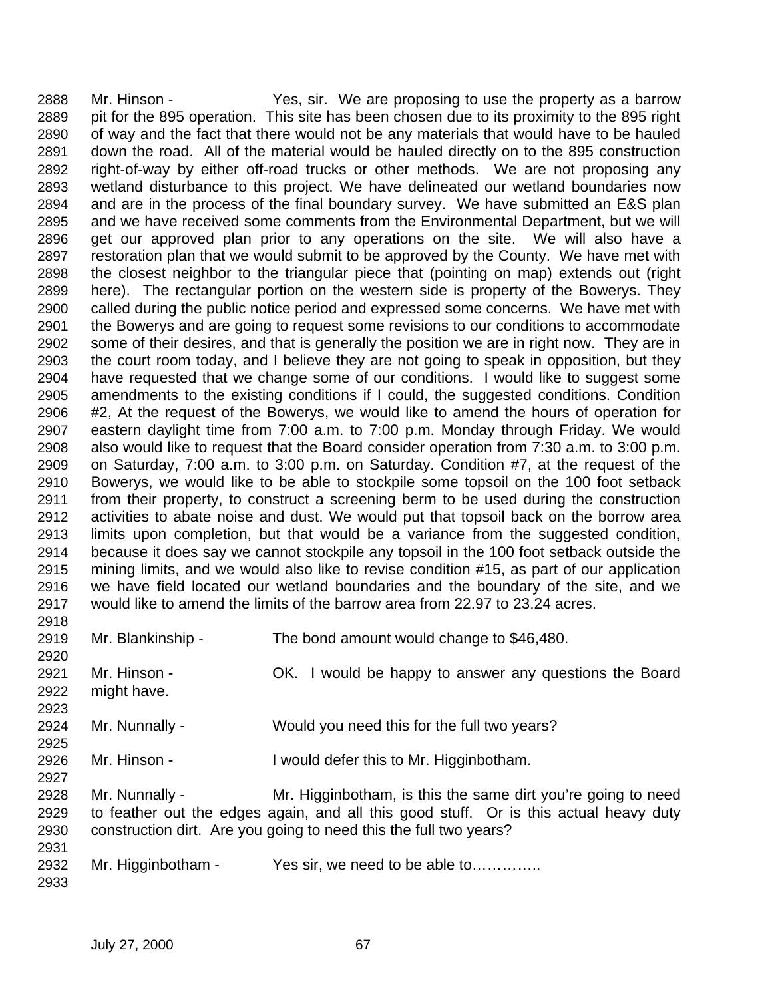Mr. Hinson - Yes, sir. We are proposing to use the property as a barrow pit for the 895 operation. This site has been chosen due to its proximity to the 895 right of way and the fact that there would not be any materials that would have to be hauled down the road. All of the material would be hauled directly on to the 895 construction right-of-way by either off-road trucks or other methods. We are not proposing any wetland disturbance to this project. We have delineated our wetland boundaries now and are in the process of the final boundary survey. We have submitted an E&S plan and we have received some comments from the Environmental Department, but we will get our approved plan prior to any operations on the site. We will also have a restoration plan that we would submit to be approved by the County. We have met with the closest neighbor to the triangular piece that (pointing on map) extends out (right here). The rectangular portion on the western side is property of the Bowerys. They called during the public notice period and expressed some concerns. We have met with the Bowerys and are going to request some revisions to our conditions to accommodate some of their desires, and that is generally the position we are in right now. They are in the court room today, and I believe they are not going to speak in opposition, but they have requested that we change some of our conditions. I would like to suggest some amendments to the existing conditions if I could, the suggested conditions. Condition #2, At the request of the Bowerys, we would like to amend the hours of operation for eastern daylight time from 7:00 a.m. to 7:00 p.m. Monday through Friday. We would also would like to request that the Board consider operation from 7:30 a.m. to 3:00 p.m. on Saturday, 7:00 a.m. to 3:00 p.m. on Saturday. Condition #7, at the request of the Bowerys, we would like to be able to stockpile some topsoil on the 100 foot setback from their property, to construct a screening berm to be used during the construction activities to abate noise and dust. We would put that topsoil back on the borrow area limits upon completion, but that would be a variance from the suggested condition, because it does say we cannot stockpile any topsoil in the 100 foot setback outside the mining limits, and we would also like to revise condition #15, as part of our application we have field located our wetland boundaries and the boundary of the site, and we would like to amend the limits of the barrow area from 22.97 to 23.24 acres. 

| 2919 | Mr. Blankinship -  | The bond amount would change to \$46,480.                                             |
|------|--------------------|---------------------------------------------------------------------------------------|
| 2920 |                    |                                                                                       |
| 2921 | Mr. Hinson -       | OK. I would be happy to answer any questions the Board                                |
| 2922 | might have.        |                                                                                       |
| 2923 |                    |                                                                                       |
| 2924 | Mr. Nunnally -     | Would you need this for the full two years?                                           |
| 2925 |                    |                                                                                       |
| 2926 | Mr. Hinson -       | I would defer this to Mr. Higginbotham.                                               |
| 2927 |                    |                                                                                       |
| 2928 | Mr. Nunnally -     | Mr. Higginbotham, is this the same dirt you're going to need                          |
| 2929 |                    | to feather out the edges again, and all this good stuff. Or is this actual heavy duty |
| 2930 |                    | construction dirt. Are you going to need this the full two years?                     |
| 2931 |                    |                                                                                       |
| 2932 | Mr. Higginbotham - | Yes sir, we need to be able to                                                        |
| 2933 |                    |                                                                                       |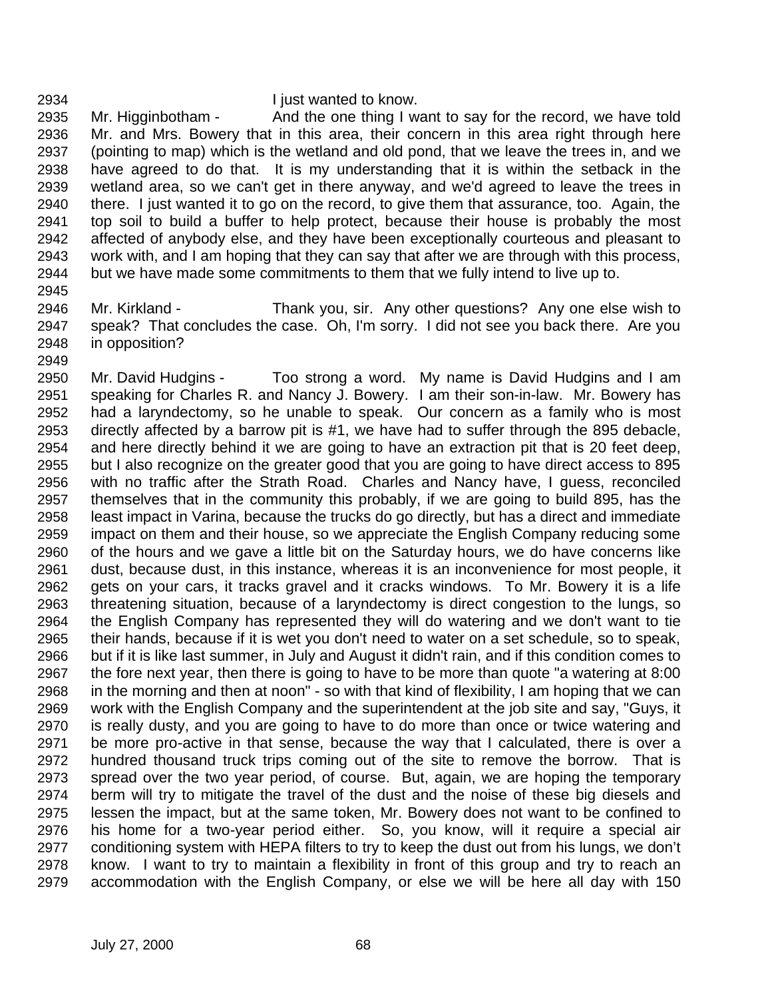## I just wanted to know.

 Mr. Higginbotham - And the one thing I want to say for the record, we have told Mr. and Mrs. Bowery that in this area, their concern in this area right through here (pointing to map) which is the wetland and old pond, that we leave the trees in, and we have agreed to do that. It is my understanding that it is within the setback in the wetland area, so we can't get in there anyway, and we'd agreed to leave the trees in there. I just wanted it to go on the record, to give them that assurance, too. Again, the top soil to build a buffer to help protect, because their house is probably the most affected of anybody else, and they have been exceptionally courteous and pleasant to work with, and I am hoping that they can say that after we are through with this process, but we have made some commitments to them that we fully intend to live up to. 

 Mr. Kirkland - Thank you, sir. Any other questions? Any one else wish to speak? That concludes the case. Oh, I'm sorry. I did not see you back there. Are you in opposition?

 Mr. David Hudgins - Too strong a word. My name is David Hudgins and I am speaking for Charles R. and Nancy J. Bowery. I am their son-in-law. Mr. Bowery has had a laryndectomy, so he unable to speak. Our concern as a family who is most directly affected by a barrow pit is #1, we have had to suffer through the 895 debacle, and here directly behind it we are going to have an extraction pit that is 20 feet deep, but I also recognize on the greater good that you are going to have direct access to 895 with no traffic after the Strath Road. Charles and Nancy have, I guess, reconciled themselves that in the community this probably, if we are going to build 895, has the least impact in Varina, because the trucks do go directly, but has a direct and immediate impact on them and their house, so we appreciate the English Company reducing some of the hours and we gave a little bit on the Saturday hours, we do have concerns like dust, because dust, in this instance, whereas it is an inconvenience for most people, it gets on your cars, it tracks gravel and it cracks windows. To Mr. Bowery it is a life threatening situation, because of a laryndectomy is direct congestion to the lungs, so the English Company has represented they will do watering and we don't want to tie their hands, because if it is wet you don't need to water on a set schedule, so to speak, but if it is like last summer, in July and August it didn't rain, and if this condition comes to the fore next year, then there is going to have to be more than quote "a watering at 8:00 in the morning and then at noon" - so with that kind of flexibility, I am hoping that we can work with the English Company and the superintendent at the job site and say, "Guys, it is really dusty, and you are going to have to do more than once or twice watering and be more pro-active in that sense, because the way that I calculated, there is over a hundred thousand truck trips coming out of the site to remove the borrow. That is spread over the two year period, of course. But, again, we are hoping the temporary berm will try to mitigate the travel of the dust and the noise of these big diesels and lessen the impact, but at the same token, Mr. Bowery does not want to be confined to his home for a two-year period either. So, you know, will it require a special air conditioning system with HEPA filters to try to keep the dust out from his lungs, we don't know. I want to try to maintain a flexibility in front of this group and try to reach an accommodation with the English Company, or else we will be here all day with 150